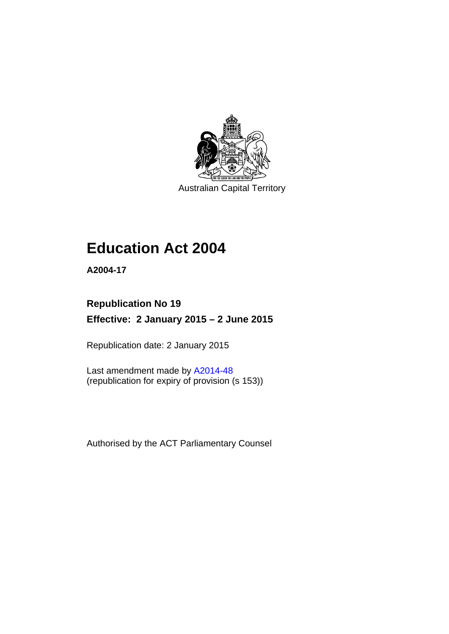

Australian Capital Territory

# **Education Act 2004**

**A2004-17** 

# **Republication No 19 Effective: 2 January 2015 – 2 June 2015**

Republication date: 2 January 2015

Last amendment made by [A2014-48](http://www.legislation.act.gov.au/a/2014-48) (republication for expiry of provision (s 153))

Authorised by the ACT Parliamentary Counsel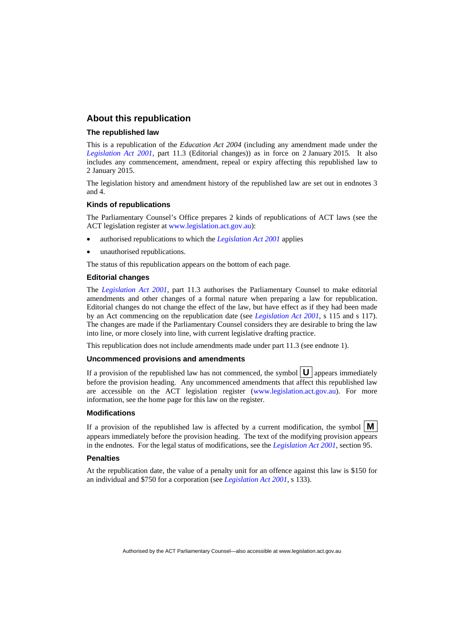### **About this republication**

#### **The republished law**

This is a republication of the *Education Act 2004* (including any amendment made under the *[Legislation Act 2001](http://www.legislation.act.gov.au/a/2001-14)*, part 11.3 (Editorial changes)) as in force on 2 January 2015*.* It also includes any commencement, amendment, repeal or expiry affecting this republished law to 2 January 2015.

The legislation history and amendment history of the republished law are set out in endnotes 3 and 4.

#### **Kinds of republications**

The Parliamentary Counsel's Office prepares 2 kinds of republications of ACT laws (see the ACT legislation register at [www.legislation.act.gov.au](http://www.legislation.act.gov.au/)):

- authorised republications to which the *[Legislation Act 2001](http://www.legislation.act.gov.au/a/2001-14)* applies
- unauthorised republications.

The status of this republication appears on the bottom of each page.

#### **Editorial changes**

The *[Legislation Act 2001](http://www.legislation.act.gov.au/a/2001-14)*, part 11.3 authorises the Parliamentary Counsel to make editorial amendments and other changes of a formal nature when preparing a law for republication. Editorial changes do not change the effect of the law, but have effect as if they had been made by an Act commencing on the republication date (see *[Legislation Act 2001](http://www.legislation.act.gov.au/a/2001-14)*, s 115 and s 117). The changes are made if the Parliamentary Counsel considers they are desirable to bring the law into line, or more closely into line, with current legislative drafting practice.

This republication does not include amendments made under part 11.3 (see endnote 1).

#### **Uncommenced provisions and amendments**

If a provision of the republished law has not commenced, the symbol  $\mathbf{U}$  appears immediately before the provision heading. Any uncommenced amendments that affect this republished law are accessible on the ACT legislation register [\(www.legislation.act.gov.au\)](http://www.legislation.act.gov.au/). For more information, see the home page for this law on the register.

#### **Modifications**

If a provision of the republished law is affected by a current modification, the symbol  $\mathbf{M}$ appears immediately before the provision heading. The text of the modifying provision appears in the endnotes. For the legal status of modifications, see the *[Legislation Act 2001](http://www.legislation.act.gov.au/a/2001-14)*, section 95.

#### **Penalties**

At the republication date, the value of a penalty unit for an offence against this law is \$150 for an individual and \$750 for a corporation (see *[Legislation Act 2001](http://www.legislation.act.gov.au/a/2001-14)*, s 133).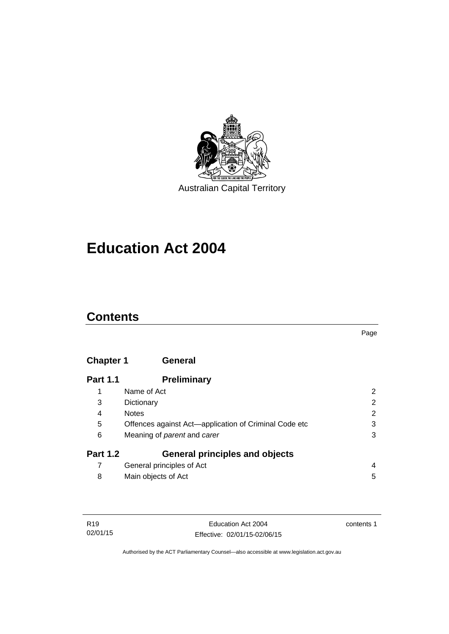

# **Education Act 2004**

# **Contents**

#### Page

# **[Chapter 1](#page-13-0) General**

| <b>Part 1.1</b> | <b>Preliminary</b>                                    |                |
|-----------------|-------------------------------------------------------|----------------|
|                 | Name of Act                                           | 2              |
| 3               | Dictionary                                            | $\overline{2}$ |
| 4               | <b>Notes</b>                                          | $\overline{2}$ |
| 5               | Offences against Act—application of Criminal Code etc | 3              |
| 6               | Meaning of <i>parent</i> and <i>carer</i>             | 3              |
| <b>Part 1.2</b> | <b>General principles and objects</b>                 |                |
|                 | General principles of Act                             | 4              |
| 8               | Main objects of Act                                   | 5              |

| R <sub>19</sub> | Education Act 2004           | contents 1 |
|-----------------|------------------------------|------------|
| 02/01/15        | Effective: 02/01/15-02/06/15 |            |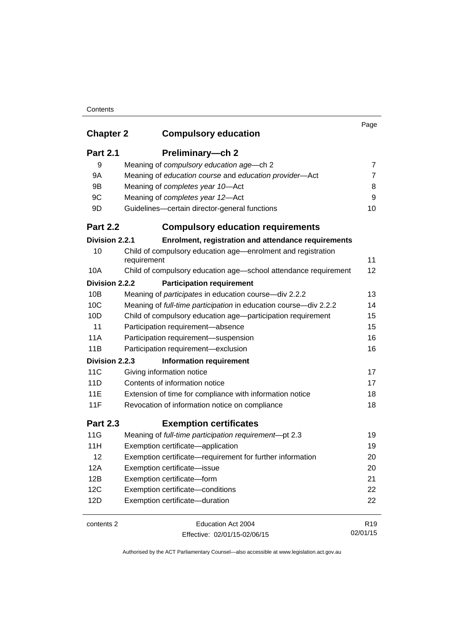| <b>Chapter 2</b> | <b>Compulsory education</b>                                                 | Page            |
|------------------|-----------------------------------------------------------------------------|-----------------|
| <b>Part 2.1</b>  | Preliminary-ch 2                                                            |                 |
| 9                | Meaning of compulsory education age-ch 2                                    | 7               |
| <b>9A</b>        | Meaning of education course and education provider-Act                      | $\overline{7}$  |
| 9B               | Meaning of completes year 10-Act                                            | 8               |
| 9C               | Meaning of completes year 12-Act                                            | 9               |
| 9D               | Guidelines-certain director-general functions                               | 10              |
| <b>Part 2.2</b>  | <b>Compulsory education requirements</b>                                    |                 |
| Division 2.2.1   | Enrolment, registration and attendance requirements                         |                 |
| 10               | Child of compulsory education age—enrolment and registration<br>requirement | 11              |
| 10A              | Child of compulsory education age-school attendance requirement             | 12              |
| Division 2.2.2   | <b>Participation requirement</b>                                            |                 |
| 10B              | Meaning of <i>participates</i> in education course-div 2.2.2                | 13              |
| 10 <sup>C</sup>  | Meaning of full-time participation in education course-div 2.2.2            | 14              |
| 10D              | Child of compulsory education age-participation requirement                 | 15              |
| 11               | Participation requirement-absence                                           | 15              |
| 11A              | Participation requirement-suspension                                        | 16              |
| 11B              | Participation requirement-exclusion                                         | 16              |
| Division 2.2.3   | <b>Information requirement</b>                                              |                 |
| 11C              | Giving information notice                                                   | 17              |
| 11D              | Contents of information notice                                              | 17              |
| 11E              | Extension of time for compliance with information notice                    | 18              |
| 11F              | Revocation of information notice on compliance                              | 18              |
| <b>Part 2.3</b>  | <b>Exemption certificates</b>                                               |                 |
| 11G              | Meaning of full-time participation requirement-pt 2.3                       | 19              |
| 11H              | Exemption certificate-application                                           | 19              |
| 12               | Exemption certificate-requirement for further information                   | 20              |
| 12A              | Exemption certificate-issue                                                 | 20              |
| 12B              | Exemption certificate-form                                                  | 21              |
| 12C              | Exemption certificate-conditions                                            | 22              |
| 12D              | Exemption certificate-duration                                              | 22              |
| contents 2       | Education Act 2004                                                          | R <sub>19</sub> |
|                  | Effective: 02/01/15-02/06/15                                                | 02/01/15        |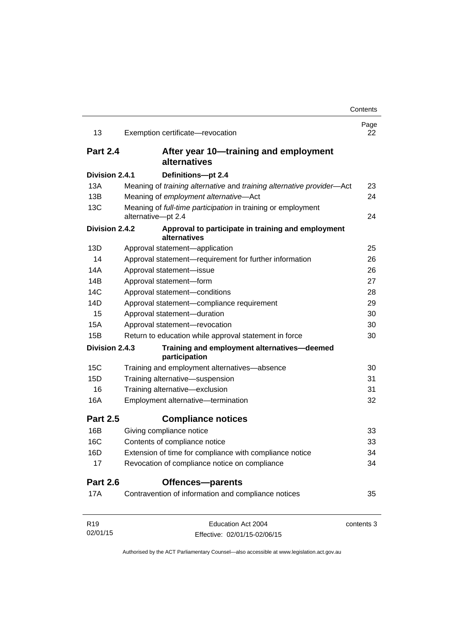| 13              | Exemption certificate-revocation                                                   | Page<br>22 |
|-----------------|------------------------------------------------------------------------------------|------------|
| <b>Part 2.4</b> | After year 10—training and employment<br>alternatives                              |            |
| Division 2.4.1  | Definitions-pt 2.4                                                                 |            |
| 13A             | Meaning of training alternative and training alternative provider-Act              | 23         |
| 13B             | Meaning of employment alternative-Act                                              | 24         |
| 13C             | Meaning of full-time participation in training or employment<br>alternative-pt 2.4 | 24         |
| Division 2.4.2  | Approval to participate in training and employment<br>alternatives                 |            |
| 13D             | Approval statement-application                                                     | 25         |
| 14              | Approval statement-requirement for further information                             | 26         |
| 14A             | Approval statement-issue                                                           | 26         |
| 14B             | Approval statement-form                                                            | 27         |
| 14C             | Approval statement-conditions                                                      | 28         |
| 14D             | Approval statement-compliance requirement                                          | 29         |
| 15              | Approval statement-duration                                                        | 30         |
| 15A             | Approval statement-revocation                                                      | 30         |
| 15B             | Return to education while approval statement in force                              | 30         |
| Division 2.4.3  | Training and employment alternatives-deemed<br>participation                       |            |
| 15C             | Training and employment alternatives-absence                                       | 30         |
| 15D             | Training alternative-suspension                                                    | 31         |
| 16              | Training alternative-exclusion                                                     | 31         |
| 16A             | Employment alternative-termination                                                 | 32         |
| <b>Part 2.5</b> | <b>Compliance notices</b>                                                          |            |
| 16B             | Giving compliance notice                                                           | 33         |
| 16C             | Contents of compliance notice                                                      | 33         |
| 16D             | Extension of time for compliance with compliance notice                            | 34         |
| 17              | Revocation of compliance notice on compliance                                      | 34         |
| <b>Part 2.6</b> | Offences-parents                                                                   |            |
| <b>17A</b>      | Contravention of information and compliance notices                                | 35         |
| R <sub>19</sub> | Education Act 2004                                                                 | contents 3 |
| 02/01/15        | Effective: 02/01/15-02/06/15                                                       |            |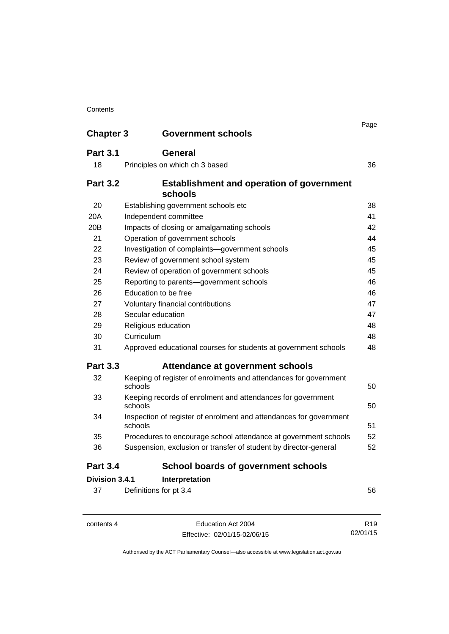| <b>Chapter 3</b> | <b>Government schools</b>                                                     | Page |
|------------------|-------------------------------------------------------------------------------|------|
|                  |                                                                               |      |
| <b>Part 3.1</b>  | General                                                                       |      |
| 18               | Principles on which ch 3 based                                                | 36   |
| <b>Part 3.2</b>  | <b>Establishment and operation of government</b><br>schools                   |      |
| 20               | Establishing government schools etc                                           | 38   |
| 20A              | Independent committee                                                         | 41   |
| 20 <sub>B</sub>  | Impacts of closing or amalgamating schools                                    | 42   |
| 21               | Operation of government schools                                               | 44   |
| 22               | Investigation of complaints-government schools                                | 45   |
| 23               | Review of government school system                                            | 45   |
| 24               | Review of operation of government schools                                     | 45   |
| 25               | Reporting to parents-government schools                                       | 46   |
| 26               | Education to be free                                                          | 46   |
| 27               | Voluntary financial contributions                                             | 47   |
| 28               | Secular education                                                             | 47   |
| 29               | Religious education                                                           | 48   |
| 30               | Curriculum                                                                    | 48   |
| 31               | Approved educational courses for students at government schools               | 48   |
| <b>Part 3.3</b>  | Attendance at government schools                                              |      |
| 32               | Keeping of register of enrolments and attendances for government<br>schools   | 50   |
| 33               | Keeping records of enrolment and attendances for government<br>schools        | 50   |
| 34               | Inspection of register of enrolment and attendances for government<br>schools | 51   |
| 35               | Procedures to encourage school attendance at government schools               | 52   |
| 36               | Suspension, exclusion or transfer of student by director-general              | 52   |
| <b>Part 3.4</b>  | <b>School boards of government schools</b>                                    |      |
| Division 3.4.1   | Interpretation                                                                |      |
| 37               | Definitions for pt 3.4                                                        | 56   |

contents 4 Education Act 2004 Effective: 02/01/15-02/06/15

R19 02/01/15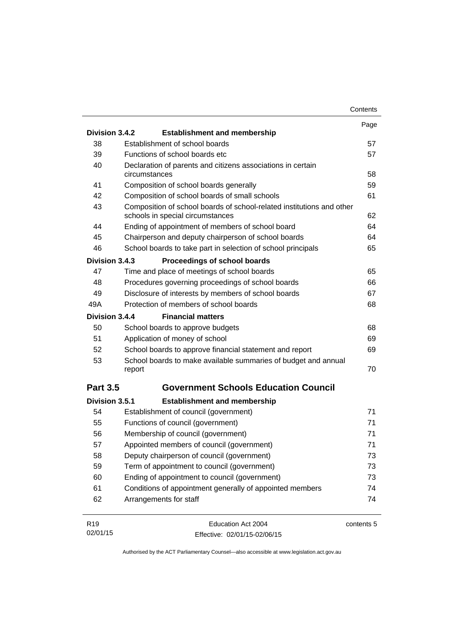|                 |                                                                                                           | Contents   |
|-----------------|-----------------------------------------------------------------------------------------------------------|------------|
|                 |                                                                                                           | Page       |
| Division 3.4.2  | <b>Establishment and membership</b>                                                                       |            |
| 38              | Establishment of school boards                                                                            | 57         |
| 39              | Functions of school boards etc                                                                            | 57         |
| 40              | Declaration of parents and citizens associations in certain<br>circumstances                              | 58         |
| 41              | Composition of school boards generally                                                                    | 59         |
| 42              | Composition of school boards of small schools                                                             | 61         |
| 43              | Composition of school boards of school-related institutions and other<br>schools in special circumstances | 62         |
| 44              | Ending of appointment of members of school board                                                          | 64         |
| 45              | Chairperson and deputy chairperson of school boards                                                       | 64         |
| 46              | School boards to take part in selection of school principals                                              | 65         |
| Division 3.4.3  | Proceedings of school boards                                                                              |            |
| 47              | Time and place of meetings of school boards                                                               | 65         |
| 48              | Procedures governing proceedings of school boards                                                         | 66         |
| 49              | Disclosure of interests by members of school boards                                                       | 67         |
| 49A             | Protection of members of school boards                                                                    | 68         |
| Division 3.4.4  | <b>Financial matters</b>                                                                                  |            |
| 50              | School boards to approve budgets                                                                          | 68         |
| 51              | Application of money of school                                                                            | 69         |
| 52              | School boards to approve financial statement and report                                                   | 69         |
| 53              | School boards to make available summaries of budget and annual<br>report                                  | 70         |
| <b>Part 3.5</b> | <b>Government Schools Education Council</b>                                                               |            |
| Division 3.5.1  | <b>Establishment and membership</b>                                                                       |            |
| 54              | Establishment of council (government)                                                                     | 71         |
| 55              | Functions of council (government)                                                                         | 71         |
| 56              | Membership of council (government)                                                                        | 71         |
| 57              | Appointed members of council (government)                                                                 | 71         |
| 58              | Deputy chairperson of council (government)                                                                | 73         |
| 59              | Term of appointment to council (government)                                                               | 73         |
| 60              | Ending of appointment to council (government)                                                             | 73         |
| 61              | Conditions of appointment generally of appointed members                                                  | 74         |
| 62              | Arrangements for staff                                                                                    | 74         |
| R <sub>19</sub> | Education Act 2004                                                                                        | contents 5 |
| 02/01/15        | Effective: 02/01/15-02/06/15                                                                              |            |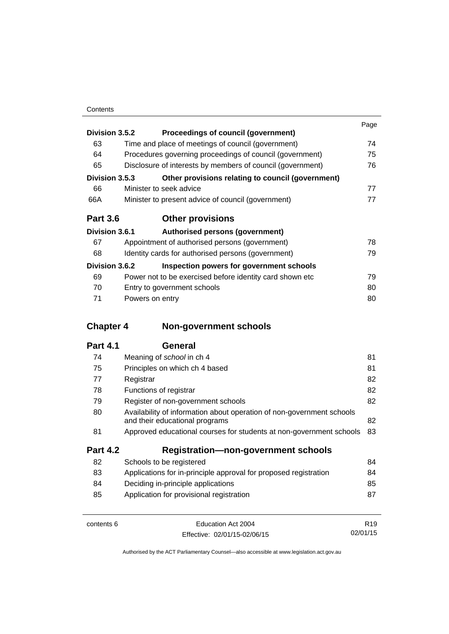|                 |                 |                                                            | Page |
|-----------------|-----------------|------------------------------------------------------------|------|
| Division 3.5.2  |                 | Proceedings of council (government)                        |      |
| 63              |                 | Time and place of meetings of council (government)         | 74   |
| 64              |                 | Procedures governing proceedings of council (government)   | 75   |
| 65              |                 | Disclosure of interests by members of council (government) | 76   |
| Division 3.5.3  |                 | Other provisions relating to council (government)          |      |
| 66              |                 | Minister to seek advice                                    | 77   |
| 66A             |                 | Minister to present advice of council (government)         | 77   |
| <b>Part 3.6</b> |                 | <b>Other provisions</b>                                    |      |
| Division 3.6.1  |                 | Authorised persons (government)                            |      |
| 67              |                 | Appointment of authorised persons (government)             | 78   |
| 68              |                 | Identity cards for authorised persons (government)         | 79   |
| Division 3.6.2  |                 | Inspection powers for government schools                   |      |
| 69              |                 | Power not to be exercised before identity card shown etc.  | 79   |
| 70              |                 | Entry to government schools                                | 80   |
| 71              | Powers on entry |                                                            | 80   |

# **Chapter 4 [Non-government schools](#page-92-0)**

| 74              | Meaning of school in ch 4                                                                               | 81 |
|-----------------|---------------------------------------------------------------------------------------------------------|----|
| 75              | Principles on which ch 4 based                                                                          | 81 |
| 77              | Registrar                                                                                               | 82 |
| 78              | Functions of registrar                                                                                  | 82 |
| 79              | Register of non-government schools                                                                      | 82 |
| 80              | Availability of information about operation of non-government schools<br>and their educational programs | 82 |
| 81              | Approved educational courses for students at non-government schools                                     | 83 |
| <b>Part 4.2</b> | <b>Registration-non-government schools</b>                                                              |    |
| 82              | Schools to be registered                                                                                | 84 |
| 83              | Applications for in-principle approval for proposed registration                                        | 84 |
| 84              | Deciding in-principle applications                                                                      | 85 |
| 85              | Application for provisional registration                                                                | 87 |
|                 |                                                                                                         |    |

| contents 6 | Education Act 2004           | R <sub>19</sub> |
|------------|------------------------------|-----------------|
|            | Effective: 02/01/15-02/06/15 | 02/01/15        |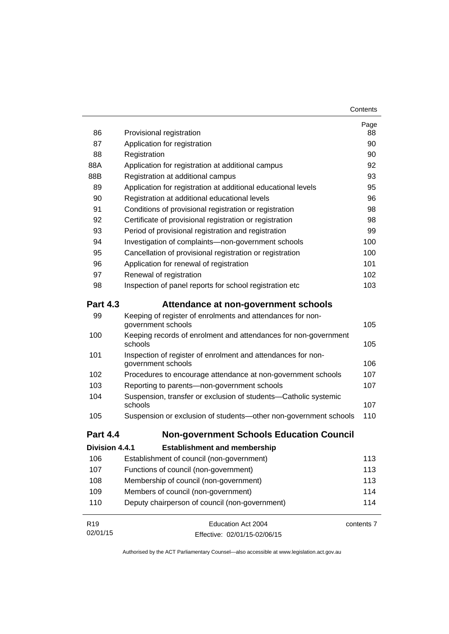| 86              | Provisional registration                                                           | Page<br>88 |
|-----------------|------------------------------------------------------------------------------------|------------|
| 87              | Application for registration                                                       | 90         |
| 88              | Registration                                                                       | 90         |
| 88A             | Application for registration at additional campus                                  | 92         |
| 88B             | Registration at additional campus                                                  | 93         |
| 89              | Application for registration at additional educational levels                      | 95         |
| 90              | Registration at additional educational levels                                      | 96         |
| 91              | Conditions of provisional registration or registration                             | 98         |
| 92              | Certificate of provisional registration or registration                            | 98         |
| 93              | Period of provisional registration and registration                                | 99         |
| 94              | Investigation of complaints-non-government schools                                 | 100        |
| 95              | Cancellation of provisional registration or registration                           | 100        |
| 96              | Application for renewal of registration                                            | 101        |
| 97              | Renewal of registration                                                            | 102        |
| 98              | Inspection of panel reports for school registration etc                            | 103        |
| <b>Part 4.3</b> | Attendance at non-government schools                                               |            |
| 99              | Keeping of register of enrolments and attendances for non-<br>government schools   | 105        |
| 100             | Keeping records of enrolment and attendances for non-government<br>schools         | 105        |
| 101             | Inspection of register of enrolment and attendances for non-<br>government schools | 106        |
| 102             | Procedures to encourage attendance at non-government schools                       | 107        |
| 103             | Reporting to parents-non-government schools                                        | 107        |
| 104             | Suspension, transfer or exclusion of students-Catholic systemic<br>schools         | 107        |
| 105             | Suspension or exclusion of students-other non-government schools                   | 110        |
| <b>Part 4.4</b> | <b>Non-government Schools Education Council</b>                                    |            |
| Division 4.4.1  | <b>Establishment and membership</b>                                                |            |
| 106             | Establishment of council (non-government)                                          | 113        |
| 107             | Functions of council (non-government)                                              | 113        |
| 108             | Membership of council (non-government)                                             | 113        |
| 109             | Members of council (non-government)                                                | 114        |
| 110             | Deputy chairperson of council (non-government)                                     | 114        |
| R <sub>19</sub> | Education Act 2004                                                                 | contents 7 |
| 02/01/15        | Effective: 02/01/15-02/06/15                                                       |            |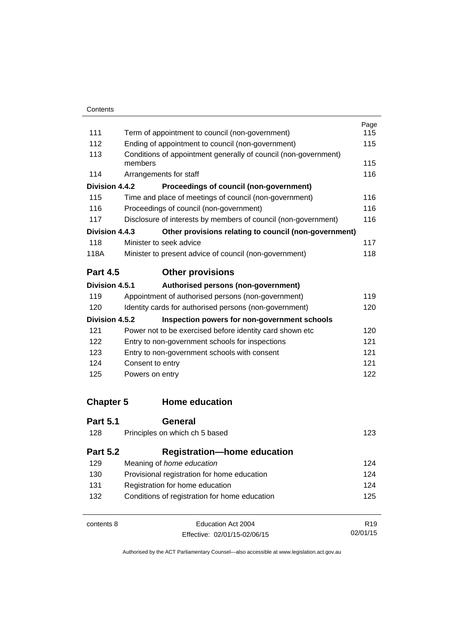|                  |                                                                 | Page            |  |
|------------------|-----------------------------------------------------------------|-----------------|--|
| 111              | Term of appointment to council (non-government)                 |                 |  |
| 112              | Ending of appointment to council (non-government)               |                 |  |
| 113              | Conditions of appointment generally of council (non-government) |                 |  |
|                  | members                                                         | 115             |  |
| 114              | Arrangements for staff                                          | 116             |  |
| Division 4.4.2   | Proceedings of council (non-government)                         |                 |  |
| 115              | Time and place of meetings of council (non-government)          | 116             |  |
| 116              | Proceedings of council (non-government)                         | 116             |  |
| 117              | Disclosure of interests by members of council (non-government)  | 116             |  |
| Division 4.4.3   | Other provisions relating to council (non-government)           |                 |  |
| 118              | Minister to seek advice                                         | 117             |  |
| 118A             | Minister to present advice of council (non-government)          | 118             |  |
| <b>Part 4.5</b>  | <b>Other provisions</b>                                         |                 |  |
| Division 4.5.1   | Authorised persons (non-government)                             |                 |  |
| 119              | Appointment of authorised persons (non-government)              | 119             |  |
| 120              | Identity cards for authorised persons (non-government)          | 120             |  |
| Division 4.5.2   | Inspection powers for non-government schools                    |                 |  |
| 121              | Power not to be exercised before identity card shown etc        | 120             |  |
| 122              | Entry to non-government schools for inspections                 |                 |  |
| 123              | Entry to non-government schools with consent                    | 121             |  |
| 124              | Consent to entry                                                | 121             |  |
| 125              | Powers on entry                                                 | 122             |  |
| <b>Chapter 5</b> | <b>Home education</b>                                           |                 |  |
| <b>Part 5.1</b>  | General                                                         |                 |  |
| 128              | Principles on which ch 5 based                                  | 123             |  |
| <b>Part 5.2</b>  | <b>Registration-home education</b>                              |                 |  |
| 129              | Meaning of home education                                       | 124             |  |
| 130              | Provisional registration for home education                     |                 |  |
| 131              | Registration for home education                                 |                 |  |
| 132              | Conditions of registration for home education                   |                 |  |
| contents 8       | Education Act 2004                                              | R <sub>19</sub> |  |
|                  |                                                                 |                 |  |

Effective: 02/01/15-02/06/15

02/01/15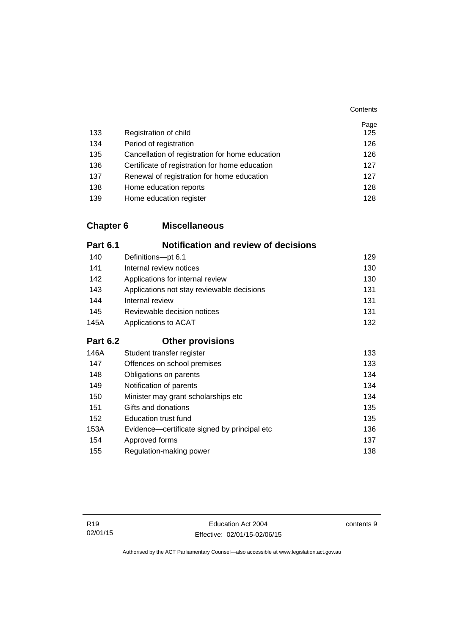|     |                                                 | Page |
|-----|-------------------------------------------------|------|
| 133 | Registration of child                           | 125  |
| 134 | Period of registration                          | 126  |
| 135 | Cancellation of registration for home education | 126  |
| 136 | Certificate of registration for home education  | 127  |
| 137 | Renewal of registration for home education      | 127  |
| 138 | Home education reports                          | 128  |
| 139 | Home education register                         | 128  |

## **Chapter 6 [Miscellaneous](#page-140-0)**

| <b>Part 6.1</b> | <b>Notification and review of decisions</b>  |     |
|-----------------|----------------------------------------------|-----|
| 140             | Definitions-pt 6.1                           | 129 |
| 141             | Internal review notices                      | 130 |
| 142             | Applications for internal review             | 130 |
| 143             | Applications not stay reviewable decisions   | 131 |
| 144             | Internal review                              | 131 |
| 145             | Reviewable decision notices                  | 131 |
| 145A            | Applications to ACAT                         | 132 |
| <b>Part 6.2</b> | <b>Other provisions</b>                      |     |
| 146A            | Student transfer register                    | 133 |
| 147             | Offences on school premises                  | 133 |
| 148             | Obligations on parents                       | 134 |
| 149             | Notification of parents                      | 134 |
| 150             | Minister may grant scholarships etc          | 134 |
| 151             | Gifts and donations                          | 135 |
| 152             | <b>Education trust fund</b>                  | 135 |
| 153A            | Evidence—certificate signed by principal etc | 136 |
| 154             | Approved forms                               | 137 |
| 155             | Regulation-making power                      | 138 |

contents 9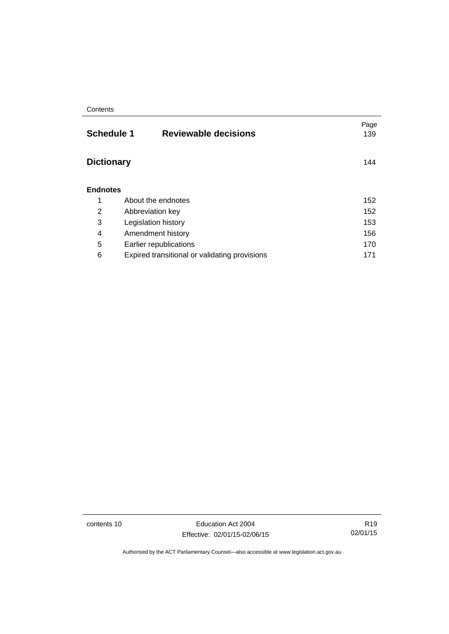| <b>Reviewable decisions</b>                   | Page<br>139                                               |
|-----------------------------------------------|-----------------------------------------------------------|
|                                               | 144                                                       |
|                                               |                                                           |
| About the endnotes                            | 152                                                       |
| Abbreviation key                              | 152                                                       |
| Legislation history                           | 153                                                       |
| Amendment history                             | 156                                                       |
| Earlier republications                        | 170                                                       |
| Expired transitional or validating provisions | 171                                                       |
|                                               | <b>Schedule 1</b><br><b>Dictionary</b><br><b>Endnotes</b> |

contents 10 Education Act 2004 Effective: 02/01/15-02/06/15

R19 02/01/15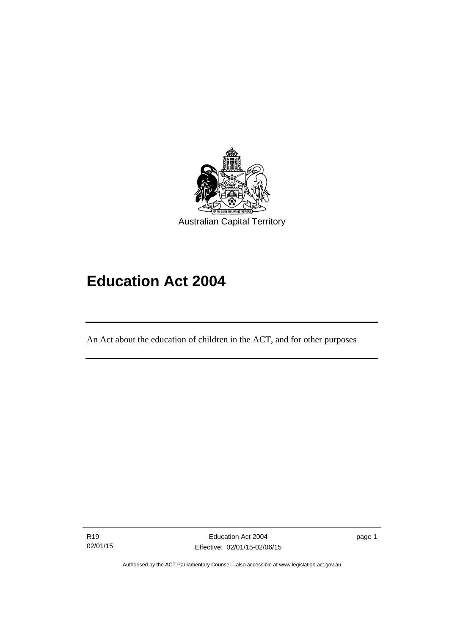

# **Education Act 2004**

An Act about the education of children in the ACT, and for other purposes

R19 02/01/15

l

page 1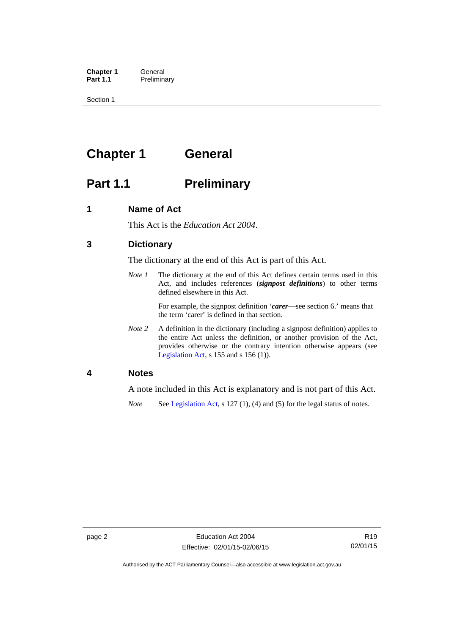**Chapter 1 General**<br>**Part 1.1 Prelimina Preliminary** 

Section 1

# <span id="page-13-0"></span>**Chapter 1 General**

# <span id="page-13-1"></span>**Part 1.1** Preliminary

### <span id="page-13-2"></span>**1 Name of Act**

This Act is the *Education Act 2004*.

### <span id="page-13-3"></span>**3 Dictionary**

The dictionary at the end of this Act is part of this Act.

*Note 1* The dictionary at the end of this Act defines certain terms used in this Act, and includes references (*signpost definitions*) to other terms defined elsewhere in this Act.

> For example, the signpost definition '*carer*—see section 6.' means that the term 'carer' is defined in that section.

*Note 2* A definition in the dictionary (including a signpost definition) applies to the entire Act unless the definition, or another provision of the Act, provides otherwise or the contrary intention otherwise appears (see [Legislation Act,](http://www.legislation.act.gov.au/a/2001-14)  $s$  155 and  $s$  156 (1)).

### <span id="page-13-4"></span>**4 Notes**

A note included in this Act is explanatory and is not part of this Act.

*Note* See [Legislation Act,](http://www.legislation.act.gov.au/a/2001-14) s 127 (1), (4) and (5) for the legal status of notes.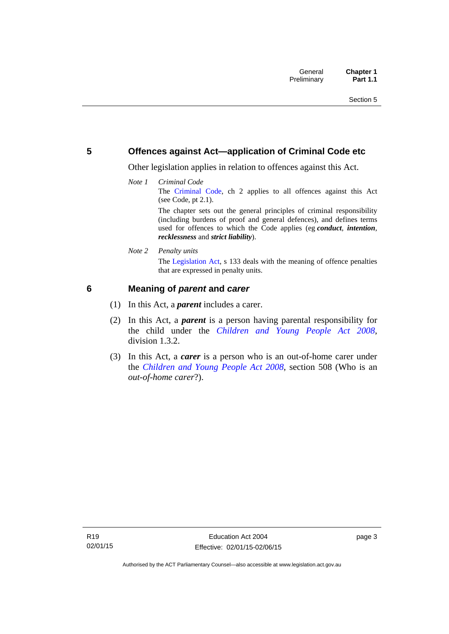### <span id="page-14-0"></span>**5 Offences against Act—application of Criminal Code etc**

Other legislation applies in relation to offences against this Act.

*Note 1 Criminal Code* The [Criminal Code,](http://www.legislation.act.gov.au/a/2002-51) ch 2 applies to all offences against this Act (see Code, pt 2.1). The chapter sets out the general principles of criminal responsibility

(including burdens of proof and general defences), and defines terms used for offences to which the Code applies (eg *conduct*, *intention*, *recklessness* and *strict liability*).

*Note 2 Penalty units* 

The [Legislation Act](http://www.legislation.act.gov.au/a/2001-14), s 133 deals with the meaning of offence penalties that are expressed in penalty units.

### <span id="page-14-1"></span>**6 Meaning of** *parent* **and** *carer*

- (1) In this Act, a *parent* includes a carer.
- (2) In this Act, a *parent* is a person having parental responsibility for the child under the *[Children and Young People Act 2008](http://www.legislation.act.gov.au/a/2008-19)*, division 1.3.2.
- (3) In this Act, a *carer* is a person who is an out-of-home carer under the *[Children and Young People Act 2008](http://www.legislation.act.gov.au/a/2008-19)*, section 508 (Who is an *out-of-home carer*?).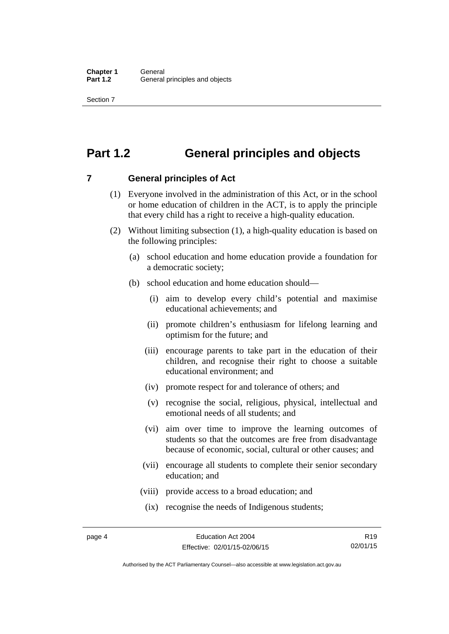Section 7

# <span id="page-15-0"></span>**Part 1.2 General principles and objects**

<span id="page-15-1"></span>**7 General principles of Act** 

- (1) Everyone involved in the administration of this Act, or in the school or home education of children in the ACT, is to apply the principle that every child has a right to receive a high-quality education.
- (2) Without limiting subsection (1), a high-quality education is based on the following principles:
	- (a) school education and home education provide a foundation for a democratic society;
	- (b) school education and home education should—
		- (i) aim to develop every child's potential and maximise educational achievements; and
		- (ii) promote children's enthusiasm for lifelong learning and optimism for the future; and
		- (iii) encourage parents to take part in the education of their children, and recognise their right to choose a suitable educational environment; and
		- (iv) promote respect for and tolerance of others; and
		- (v) recognise the social, religious, physical, intellectual and emotional needs of all students; and
		- (vi) aim over time to improve the learning outcomes of students so that the outcomes are free from disadvantage because of economic, social, cultural or other causes; and
		- (vii) encourage all students to complete their senior secondary education; and
		- (viii) provide access to a broad education; and
		- (ix) recognise the needs of Indigenous students;

R19 02/01/15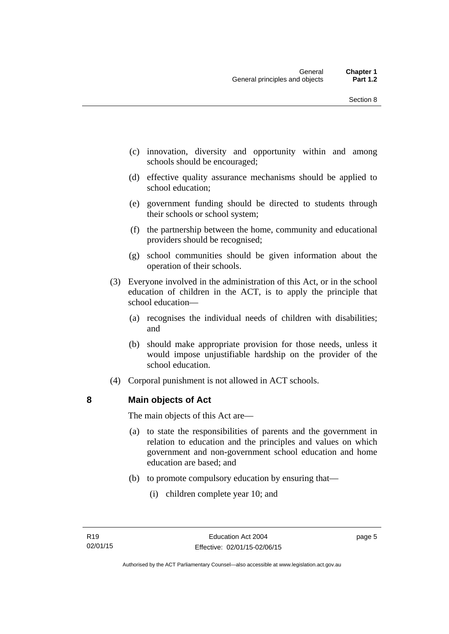- (c) innovation, diversity and opportunity within and among schools should be encouraged;
- (d) effective quality assurance mechanisms should be applied to school education;
- (e) government funding should be directed to students through their schools or school system;
- (f) the partnership between the home, community and educational providers should be recognised;
- (g) school communities should be given information about the operation of their schools.
- (3) Everyone involved in the administration of this Act, or in the school education of children in the ACT, is to apply the principle that school education—
	- (a) recognises the individual needs of children with disabilities; and
	- (b) should make appropriate provision for those needs, unless it would impose unjustifiable hardship on the provider of the school education.
- (4) Corporal punishment is not allowed in ACT schools.

### <span id="page-16-0"></span>**8 Main objects of Act**

The main objects of this Act are—

- (a) to state the responsibilities of parents and the government in relation to education and the principles and values on which government and non-government school education and home education are based; and
- (b) to promote compulsory education by ensuring that—
	- (i) children complete year 10; and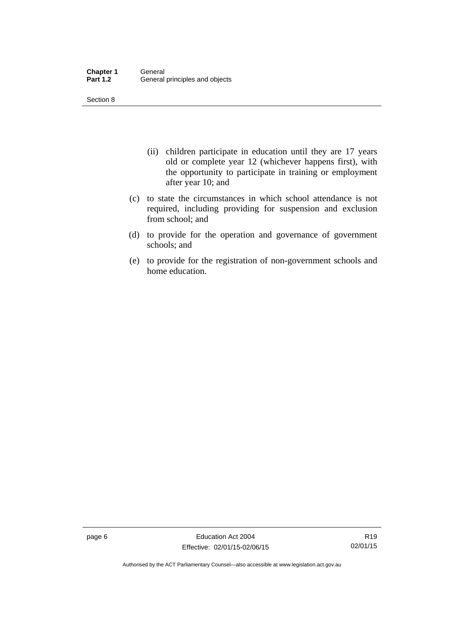Section 8

- (ii) children participate in education until they are 17 years old or complete year 12 (whichever happens first), with the opportunity to participate in training or employment after year 10; and
- (c) to state the circumstances in which school attendance is not required, including providing for suspension and exclusion from school; and
- (d) to provide for the operation and governance of government schools; and
- (e) to provide for the registration of non-government schools and home education.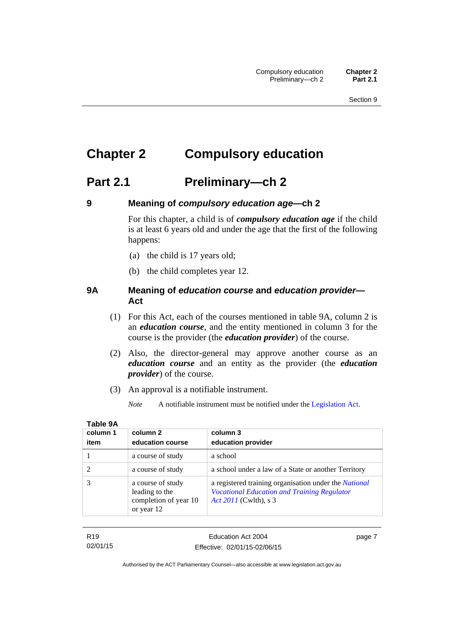# <span id="page-18-0"></span>**Chapter 2 Compulsory education**

## <span id="page-18-1"></span>**Part 2.1 Preliminary—ch 2**

<span id="page-18-2"></span>

### **9 Meaning of** *compulsory education age***—ch 2**

For this chapter, a child is of *compulsory education age* if the child is at least 6 years old and under the age that the first of the following happens:

- (a) the child is 17 years old;
- (b) the child completes year 12.

### <span id="page-18-3"></span>**9A Meaning of** *education course* **and** *education provider***— Act**

- (1) For this Act, each of the courses mentioned in table 9A, column 2 is an *education course*, and the entity mentioned in column 3 for the course is the provider (the *education provider*) of the course.
- (2) Also, the director-general may approve another course as an *education course* and an entity as the provider (the *education provider*) of the course.
- (3) An approval is a notifiable instrument.
	- *Note* A notifiable instrument must be notified under the [Legislation Act](http://www.legislation.act.gov.au/a/2001-14).

| column 1 | column 2                                                                   | column 3                                                                                                                                    |
|----------|----------------------------------------------------------------------------|---------------------------------------------------------------------------------------------------------------------------------------------|
| item     | education course                                                           | education provider                                                                                                                          |
|          | a course of study                                                          | a school                                                                                                                                    |
|          | a course of study                                                          | a school under a law of a State or another Territory                                                                                        |
|          | a course of study<br>leading to the<br>completion of year 10<br>or year 12 | a registered training organisation under the <i>National</i><br><b>Vocational Education and Training Regulator</b><br>Act 2011 (Cwlth), s 3 |

| τ.<br>н<br>۰. | . . |  |
|---------------|-----|--|
|               |     |  |

R19 02/01/15 Education Act 2004 Effective: 02/01/15-02/06/15 page 7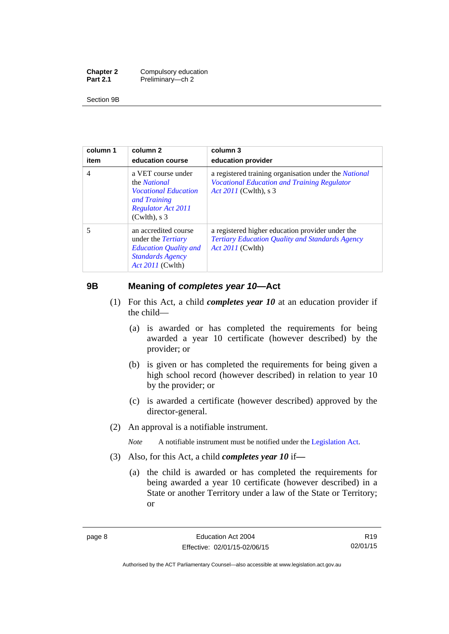| <b>Chapter 2</b> | Compulsory education |
|------------------|----------------------|
| <b>Part 2.1</b>  | Preliminary-ch 2     |

Section 9B

| column 1<br>item | column 2<br>education course                                                                                                             | column 3<br>education provider                                                                                                       |
|------------------|------------------------------------------------------------------------------------------------------------------------------------------|--------------------------------------------------------------------------------------------------------------------------------------|
| $\overline{4}$   | a VET course under<br>the <i>National</i><br><i>Vocational Education</i><br>and Training<br><b>Regulator Act 2011</b><br>$(Cwlth)$ , s 3 | a registered training organisation under the National<br><b>Vocational Education and Training Regulator</b><br>Act 2011 (Cwlth), s 3 |
| 5                | an accredited course<br>under the <i>Tertiary</i><br><b>Education Quality and</b><br><b>Standards Agency</b><br><i>Act 2011</i> (Cwlth)  | a registered higher education provider under the<br>Tertiary Education Quality and Standards Agency<br><i>Act 2011</i> (Cwlth)       |

### <span id="page-19-0"></span>**9B Meaning of** *completes year 10***—Act**

- (1) For this Act, a child *completes year 10* at an education provider if the child—
	- (a) is awarded or has completed the requirements for being awarded a year 10 certificate (however described) by the provider; or
	- (b) is given or has completed the requirements for being given a high school record (however described) in relation to year 10 by the provider; or
	- (c) is awarded a certificate (however described) approved by the director-general.
- (2) An approval is a notifiable instrument.

*Note* A notifiable instrument must be notified under the [Legislation Act](http://www.legislation.act.gov.au/a/2001-14).

- (3) Also, for this Act, a child *completes year 10* if*—*
	- (a) the child is awarded or has completed the requirements for being awarded a year 10 certificate (however described) in a State or another Territory under a law of the State or Territory; or

R19 02/01/15

Authorised by the ACT Parliamentary Counsel—also accessible at www.legislation.act.gov.au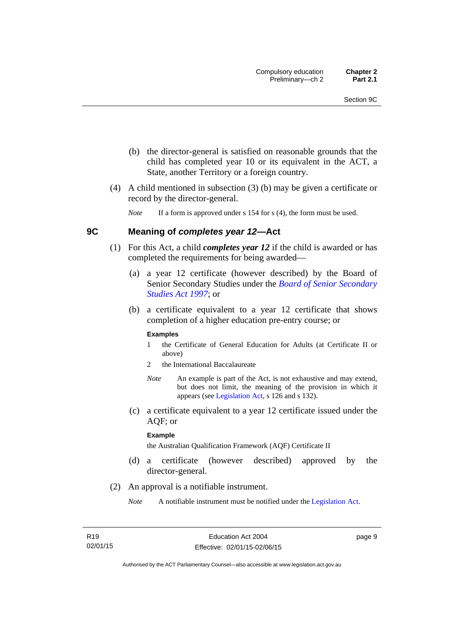- (b) the director-general is satisfied on reasonable grounds that the child has completed year 10 or its equivalent in the ACT, a State, another Territory or a foreign country.
- (4) A child mentioned in subsection (3) (b) may be given a certificate or record by the director-general.

*Note* If a form is approved under s 154 for s (4), the form must be used.

### <span id="page-20-0"></span>**9C Meaning of** *completes year 12***—Act**

- (1) For this Act, a child *completes year 12* if the child is awarded or has completed the requirements for being awarded—
	- (a) a year 12 certificate (however described) by the Board of Senior Secondary Studies under the *[Board of Senior Secondary](http://www.legislation.act.gov.au/a/1997-87)  [Studies Act 1997](http://www.legislation.act.gov.au/a/1997-87)*; or
	- (b) a certificate equivalent to a year 12 certificate that shows completion of a higher education pre-entry course; or

#### **Examples**

- 1 the Certificate of General Education for Adults (at Certificate II or above)
- 2 the International Baccalaureate
- *Note* An example is part of the Act, is not exhaustive and may extend, but does not limit, the meaning of the provision in which it appears (see [Legislation Act,](http://www.legislation.act.gov.au/a/2001-14) s 126 and s 132).
- (c) a certificate equivalent to a year 12 certificate issued under the AQF; or

#### **Example**

the Australian Qualification Framework (AQF) Certificate II

- (d) a certificate (however described) approved by the director-general.
- (2) An approval is a notifiable instrument.
	- *Note* A notifiable instrument must be notified under the [Legislation Act](http://www.legislation.act.gov.au/a/2001-14).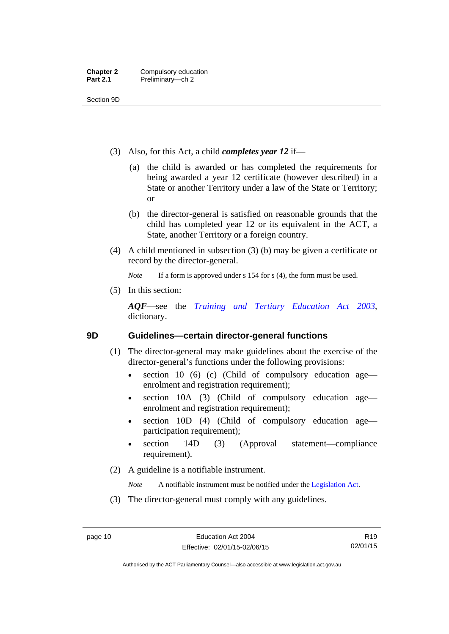Section 9D

- (3) Also, for this Act, a child *completes year 12* if—
	- (a) the child is awarded or has completed the requirements for being awarded a year 12 certificate (however described) in a State or another Territory under a law of the State or Territory; or
	- (b) the director-general is satisfied on reasonable grounds that the child has completed year 12 or its equivalent in the ACT, a State, another Territory or a foreign country.
- (4) A child mentioned in subsection (3) (b) may be given a certificate or record by the director-general.

*Note* If a form is approved under s 154 for s (4), the form must be used.

(5) In this section:

*AQF*—see the *[Training and Tertiary Education Act 2003](http://www.legislation.act.gov.au/a/2003-36)*, dictionary.

### <span id="page-21-0"></span>**9D Guidelines—certain director-general functions**

- (1) The director-general may make guidelines about the exercise of the director-general's functions under the following provisions:
	- $\bullet$  section 10 (6) (c) (Child of compulsory education age enrolment and registration requirement);
	- section 10A (3) (Child of compulsory education age enrolment and registration requirement);
	- section 10D (4) (Child of compulsory education age participation requirement);
	- section 14D (3) (Approval statement—compliance requirement).
- (2) A guideline is a notifiable instrument.

*Note* A notifiable instrument must be notified under the [Legislation Act](http://www.legislation.act.gov.au/a/2001-14).

(3) The director-general must comply with any guidelines.

Authorised by the ACT Parliamentary Counsel—also accessible at www.legislation.act.gov.au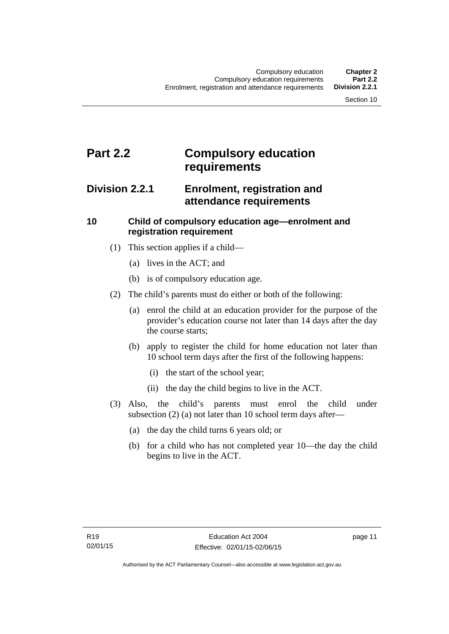# <span id="page-22-0"></span>**Part 2.2 Compulsory education requirements**

### <span id="page-22-1"></span>**Division 2.2.1 Enrolment, registration and attendance requirements**

### <span id="page-22-2"></span>**10 Child of compulsory education age—enrolment and registration requirement**

- (1) This section applies if a child—
	- (a) lives in the ACT; and
	- (b) is of compulsory education age.
- (2) The child's parents must do either or both of the following:
	- (a) enrol the child at an education provider for the purpose of the provider's education course not later than 14 days after the day the course starts;
	- (b) apply to register the child for home education not later than 10 school term days after the first of the following happens:
		- (i) the start of the school year;
		- (ii) the day the child begins to live in the ACT.
- (3) Also, the child's parents must enrol the child under subsection (2) (a) not later than 10 school term days after—
	- (a) the day the child turns 6 years old; or
	- (b) for a child who has not completed year 10—the day the child begins to live in the ACT.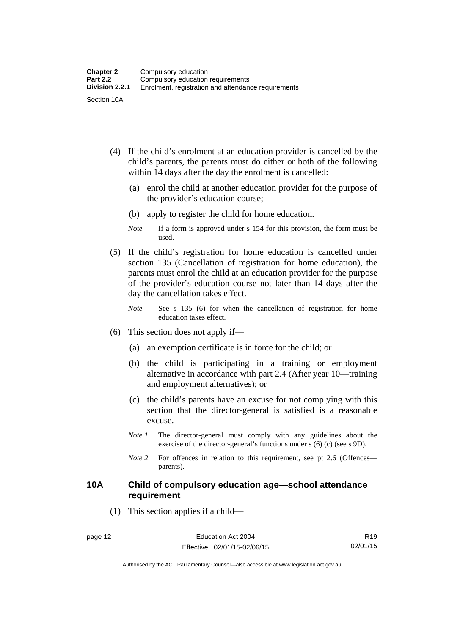- (4) If the child's enrolment at an education provider is cancelled by the child's parents, the parents must do either or both of the following within 14 days after the day the enrolment is cancelled:
	- (a) enrol the child at another education provider for the purpose of the provider's education course;
	- (b) apply to register the child for home education.
	- *Note* If a form is approved under s 154 for this provision, the form must be used.
- (5) If the child's registration for home education is cancelled under section 135 (Cancellation of registration for home education), the parents must enrol the child at an education provider for the purpose of the provider's education course not later than 14 days after the day the cancellation takes effect.
	- *Note* See s 135 (6) for when the cancellation of registration for home education takes effect.
- (6) This section does not apply if—
	- (a) an exemption certificate is in force for the child; or
	- (b) the child is participating in a training or employment alternative in accordance with part 2.4 (After year 10—training and employment alternatives); or
	- (c) the child's parents have an excuse for not complying with this section that the director-general is satisfied is a reasonable excuse.
	- *Note 1* The director-general must comply with any guidelines about the exercise of the director-general's functions under s (6) (c) (see s 9D).
	- *Note* 2 For offences in relation to this requirement, see pt 2.6 (Offences parents).

### <span id="page-23-0"></span>**10A Child of compulsory education age—school attendance requirement**

(1) This section applies if a child—

R19 02/01/15

Authorised by the ACT Parliamentary Counsel—also accessible at www.legislation.act.gov.au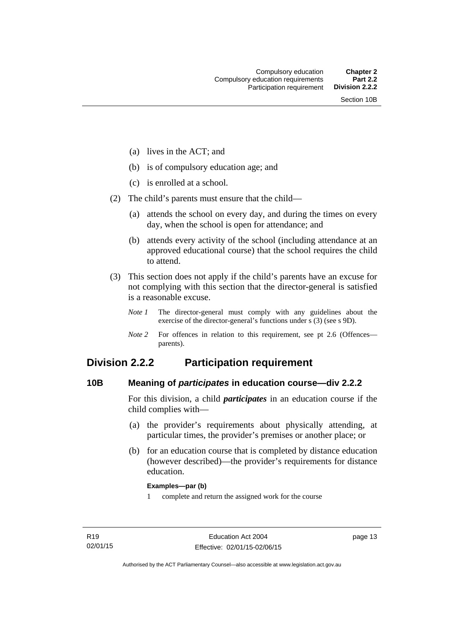- (a) lives in the ACT; and
- (b) is of compulsory education age; and
- (c) is enrolled at a school.
- (2) The child's parents must ensure that the child—
	- (a) attends the school on every day, and during the times on every day, when the school is open for attendance; and
	- (b) attends every activity of the school (including attendance at an approved educational course) that the school requires the child to attend.
- (3) This section does not apply if the child's parents have an excuse for not complying with this section that the director-general is satisfied is a reasonable excuse.
	- *Note 1* The director-general must comply with any guidelines about the exercise of the director-general's functions under s (3) (see s 9D).
	- *Note 2* For offences in relation to this requirement, see pt 2.6 (Offences parents).

### <span id="page-24-0"></span>**Division 2.2.2 Participation requirement**

### <span id="page-24-1"></span>**10B Meaning of** *participates* **in education course—div 2.2.2**

For this division, a child *participates* in an education course if the child complies with—

- (a) the provider's requirements about physically attending, at particular times, the provider's premises or another place; or
- (b) for an education course that is completed by distance education (however described)—the provider's requirements for distance education.

#### **Examples—par (b)**

1 complete and return the assigned work for the course

page 13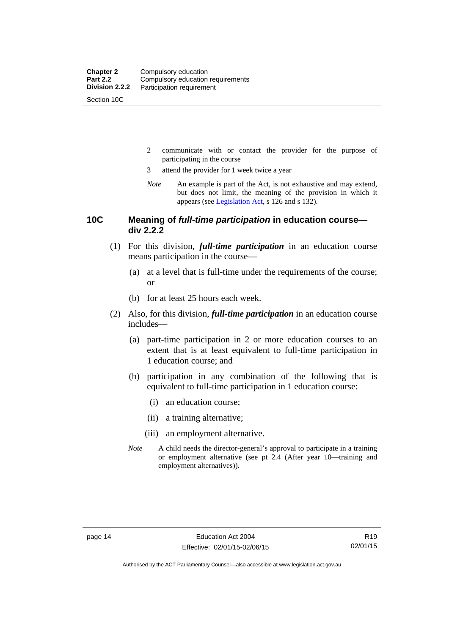Section 10C

- 2 communicate with or contact the provider for the purpose of participating in the course
- 3 attend the provider for 1 week twice a year
- *Note* An example is part of the Act, is not exhaustive and may extend, but does not limit, the meaning of the provision in which it appears (see [Legislation Act,](http://www.legislation.act.gov.au/a/2001-14) s 126 and s 132).

### <span id="page-25-0"></span>**10C Meaning of** *full-time participation* **in education course div 2.2.2**

- (1) For this division, *full-time participation* in an education course means participation in the course—
	- (a) at a level that is full-time under the requirements of the course; or
	- (b) for at least 25 hours each week.
- (2) Also, for this division, *full-time participation* in an education course includes—
	- (a) part-time participation in 2 or more education courses to an extent that is at least equivalent to full-time participation in 1 education course; and
	- (b) participation in any combination of the following that is equivalent to full-time participation in 1 education course:
		- (i) an education course;
		- (ii) a training alternative;
		- (iii) an employment alternative.
	- *Note* A child needs the director-general's approval to participate in a training or employment alternative (see pt 2.4 (After year 10—training and employment alternatives)).

R19 02/01/15

Authorised by the ACT Parliamentary Counsel—also accessible at www.legislation.act.gov.au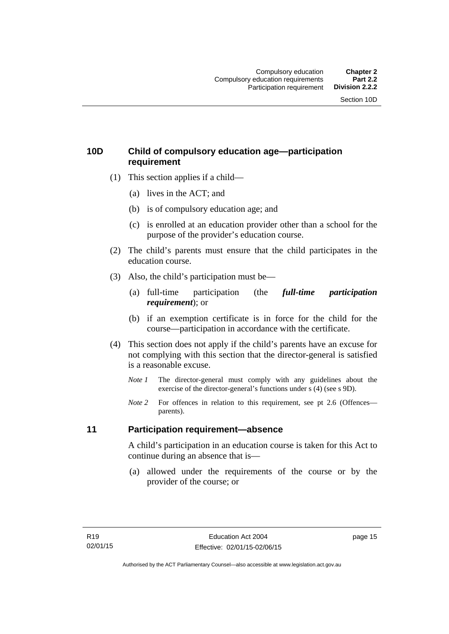### <span id="page-26-0"></span>**10D Child of compulsory education age—participation requirement**

- (1) This section applies if a child—
	- (a) lives in the ACT; and
	- (b) is of compulsory education age; and
	- (c) is enrolled at an education provider other than a school for the purpose of the provider's education course.
- (2) The child's parents must ensure that the child participates in the education course.
- (3) Also, the child's participation must be—
	- (a) full-time participation (the *full-time participation requirement*); or
	- (b) if an exemption certificate is in force for the child for the course—participation in accordance with the certificate.
- (4) This section does not apply if the child's parents have an excuse for not complying with this section that the director-general is satisfied is a reasonable excuse.
	- *Note 1* The director-general must comply with any guidelines about the exercise of the director-general's functions under s (4) (see s 9D).
	- *Note* 2 For offences in relation to this requirement, see pt 2.6 (Offences parents).

### <span id="page-26-1"></span>**11 Participation requirement—absence**

A child's participation in an education course is taken for this Act to continue during an absence that is—

 (a) allowed under the requirements of the course or by the provider of the course; or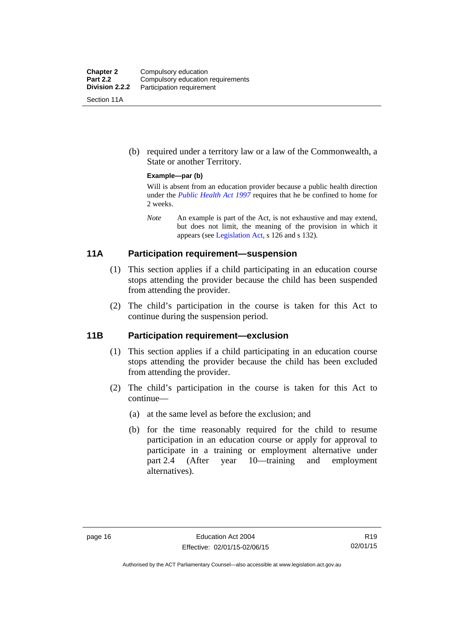| <b>Chapter 2</b><br><b>Part 2.2</b> | Compulsory education<br>Compulsory education requirements |
|-------------------------------------|-----------------------------------------------------------|
| Division 2.2.2                      | Participation requirement                                 |
| Section 11A                         |                                                           |

 (b) required under a territory law or a law of the Commonwealth, a State or another Territory.

#### **Example—par (b)**

Will is absent from an education provider because a public health direction under the *[Public Health Act 1997](http://www.legislation.act.gov.au/a/1997-69)* requires that he be confined to home for 2 weeks.

*Note* An example is part of the Act, is not exhaustive and may extend, but does not limit, the meaning of the provision in which it appears (see [Legislation Act,](http://www.legislation.act.gov.au/a/2001-14) s 126 and s 132).

### <span id="page-27-0"></span>**11A Participation requirement—suspension**

- (1) This section applies if a child participating in an education course stops attending the provider because the child has been suspended from attending the provider.
- (2) The child's participation in the course is taken for this Act to continue during the suspension period.

### <span id="page-27-1"></span>**11B Participation requirement—exclusion**

- (1) This section applies if a child participating in an education course stops attending the provider because the child has been excluded from attending the provider.
- (2) The child's participation in the course is taken for this Act to continue—
	- (a) at the same level as before the exclusion; and
	- (b) for the time reasonably required for the child to resume participation in an education course or apply for approval to participate in a training or employment alternative under part 2.4 (After year 10—training and employment alternatives).

Authorised by the ACT Parliamentary Counsel—also accessible at www.legislation.act.gov.au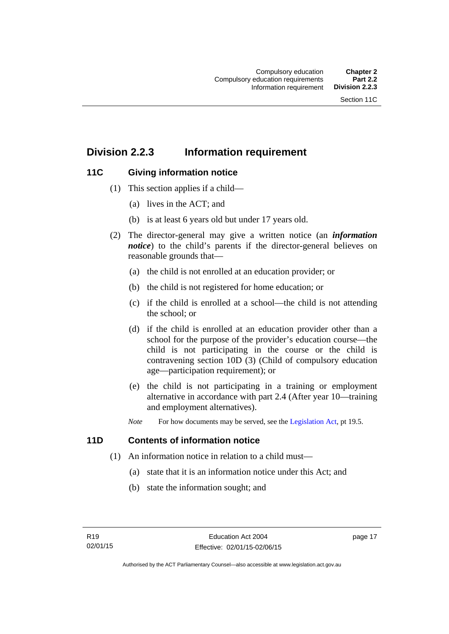## <span id="page-28-0"></span>**Division 2.2.3 Information requirement**

### <span id="page-28-1"></span>**11C Giving information notice**

- (1) This section applies if a child—
	- (a) lives in the ACT; and
	- (b) is at least 6 years old but under 17 years old.
- (2) The director-general may give a written notice (an *information notice*) to the child's parents if the director-general believes on reasonable grounds that—
	- (a) the child is not enrolled at an education provider; or
	- (b) the child is not registered for home education; or
	- (c) if the child is enrolled at a school—the child is not attending the school; or
	- (d) if the child is enrolled at an education provider other than a school for the purpose of the provider's education course—the child is not participating in the course or the child is contravening section 10D (3) (Child of compulsory education age—participation requirement); or
	- (e) the child is not participating in a training or employment alternative in accordance with part 2.4 (After year 10—training and employment alternatives).
	- *Note* For how documents may be served, see the [Legislation Act,](http://www.legislation.act.gov.au/a/2001-14) pt 19.5.

### <span id="page-28-2"></span>**11D Contents of information notice**

- (1) An information notice in relation to a child must—
	- (a) state that it is an information notice under this Act; and
	- (b) state the information sought; and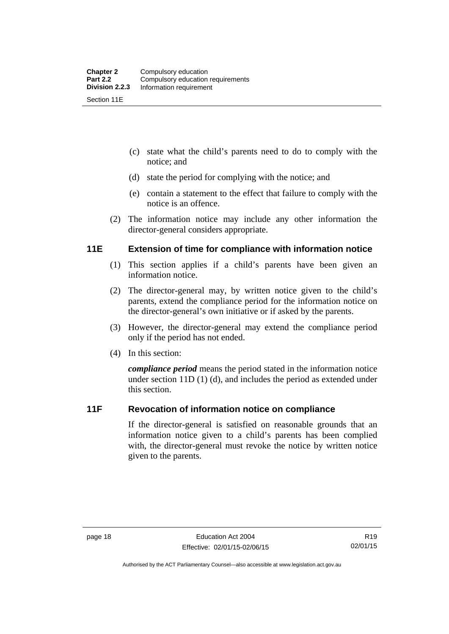- (c) state what the child's parents need to do to comply with the notice; and
- (d) state the period for complying with the notice; and
- (e) contain a statement to the effect that failure to comply with the notice is an offence.
- (2) The information notice may include any other information the director-general considers appropriate.

### <span id="page-29-0"></span>**11E Extension of time for compliance with information notice**

- (1) This section applies if a child's parents have been given an information notice.
- (2) The director-general may, by written notice given to the child's parents, extend the compliance period for the information notice on the director-general's own initiative or if asked by the parents.
- (3) However, the director-general may extend the compliance period only if the period has not ended.
- (4) In this section:

*compliance period* means the period stated in the information notice under section 11D (1) (d), and includes the period as extended under this section.

### <span id="page-29-1"></span>**11F Revocation of information notice on compliance**

If the director-general is satisfied on reasonable grounds that an information notice given to a child's parents has been complied with, the director-general must revoke the notice by written notice given to the parents.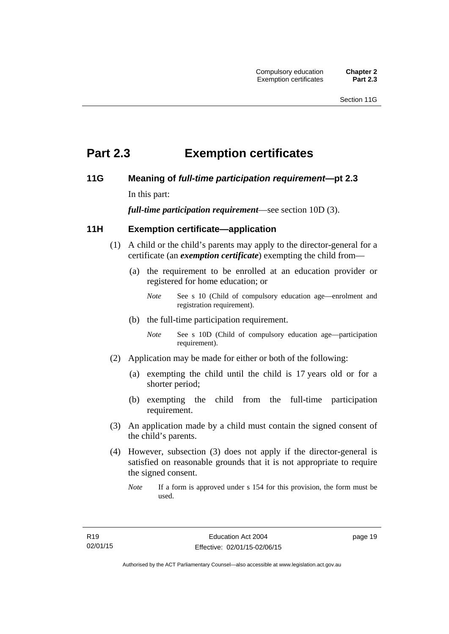# <span id="page-30-0"></span>**Part 2.3 Exemption certificates**

### <span id="page-30-1"></span>**11G Meaning of** *full-time participation requirement***—pt 2.3**

In this part:

*full-time participation requirement*—see section 10D (3).

### <span id="page-30-2"></span>**11H Exemption certificate—application**

- (1) A child or the child's parents may apply to the director-general for a certificate (an *exemption certificate*) exempting the child from—
	- (a) the requirement to be enrolled at an education provider or registered for home education; or
		- *Note* See s 10 (Child of compulsory education age—enrolment and registration requirement).
	- (b) the full-time participation requirement.
		- *Note* See s 10D (Child of compulsory education age—participation requirement).
- (2) Application may be made for either or both of the following:
	- (a) exempting the child until the child is 17 years old or for a shorter period;
	- (b) exempting the child from the full-time participation requirement.
- (3) An application made by a child must contain the signed consent of the child's parents.
- (4) However, subsection (3) does not apply if the director-general is satisfied on reasonable grounds that it is not appropriate to require the signed consent.
	- *Note* If a form is approved under s 154 for this provision, the form must be used.

page 19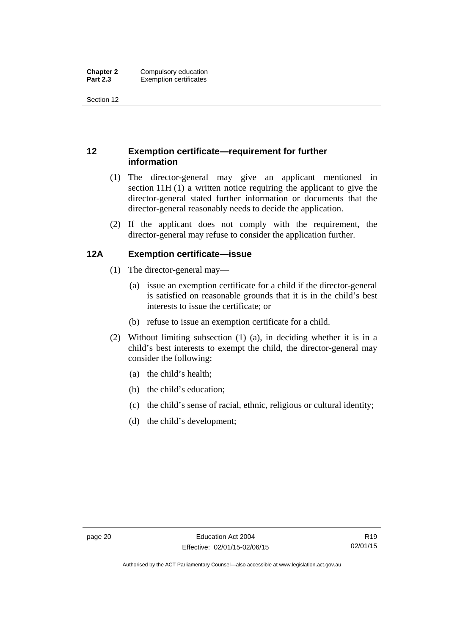Section 12

### <span id="page-31-0"></span>**12 Exemption certificate—requirement for further information**

- (1) The director-general may give an applicant mentioned in section 11H (1) a written notice requiring the applicant to give the director-general stated further information or documents that the director-general reasonably needs to decide the application.
- (2) If the applicant does not comply with the requirement, the director-general may refuse to consider the application further.

### <span id="page-31-1"></span>**12A Exemption certificate—issue**

- (1) The director-general may—
	- (a) issue an exemption certificate for a child if the director-general is satisfied on reasonable grounds that it is in the child's best interests to issue the certificate; or
	- (b) refuse to issue an exemption certificate for a child.
- (2) Without limiting subsection (1) (a), in deciding whether it is in a child's best interests to exempt the child, the director-general may consider the following:
	- (a) the child's health;
	- (b) the child's education;
	- (c) the child's sense of racial, ethnic, religious or cultural identity;
	- (d) the child's development;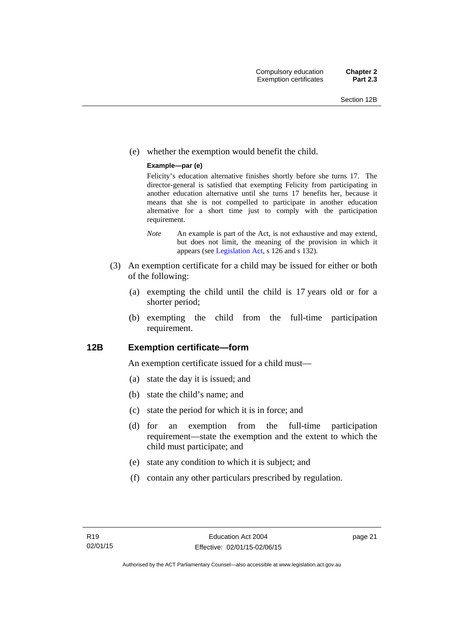(e) whether the exemption would benefit the child.

#### **Example—par (e)**

Felicity's education alternative finishes shortly before she turns 17. The director-general is satisfied that exempting Felicity from participating in another education alternative until she turns 17 benefits her, because it means that she is not compelled to participate in another education alternative for a short time just to comply with the participation requirement.

- *Note* An example is part of the Act, is not exhaustive and may extend, but does not limit, the meaning of the provision in which it appears (see [Legislation Act,](http://www.legislation.act.gov.au/a/2001-14) s 126 and s 132).
- (3) An exemption certificate for a child may be issued for either or both of the following:
	- (a) exempting the child until the child is 17 years old or for a shorter period;
	- (b) exempting the child from the full-time participation requirement.

### <span id="page-32-0"></span>**12B Exemption certificate—form**

An exemption certificate issued for a child must—

- (a) state the day it is issued; and
- (b) state the child's name; and
- (c) state the period for which it is in force; and
- (d) for an exemption from the full-time participation requirement—state the exemption and the extent to which the child must participate; and
- (e) state any condition to which it is subject; and
- (f) contain any other particulars prescribed by regulation.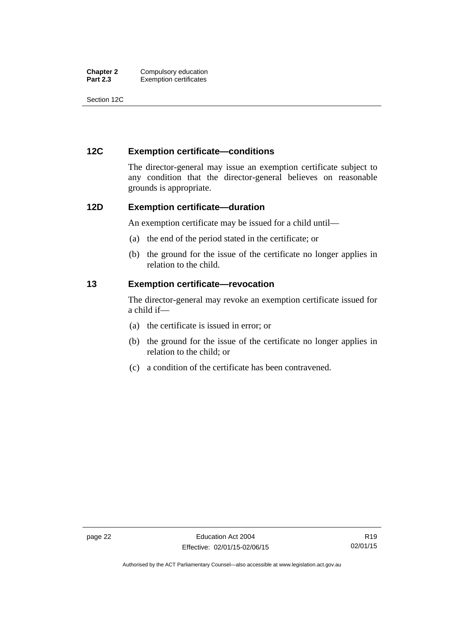| <b>Chapter 2</b> | Compulsory education          |
|------------------|-------------------------------|
| <b>Part 2.3</b>  | <b>Exemption certificates</b> |

Section 12C

### <span id="page-33-0"></span>**12C Exemption certificate—conditions**

The director-general may issue an exemption certificate subject to any condition that the director-general believes on reasonable grounds is appropriate.

### <span id="page-33-1"></span>**12D Exemption certificate—duration**

An exemption certificate may be issued for a child until—

- (a) the end of the period stated in the certificate; or
- (b) the ground for the issue of the certificate no longer applies in relation to the child.

### <span id="page-33-2"></span>**13 Exemption certificate—revocation**

The director-general may revoke an exemption certificate issued for a child if—

- (a) the certificate is issued in error; or
- (b) the ground for the issue of the certificate no longer applies in relation to the child; or
- (c) a condition of the certificate has been contravened.

Authorised by the ACT Parliamentary Counsel—also accessible at www.legislation.act.gov.au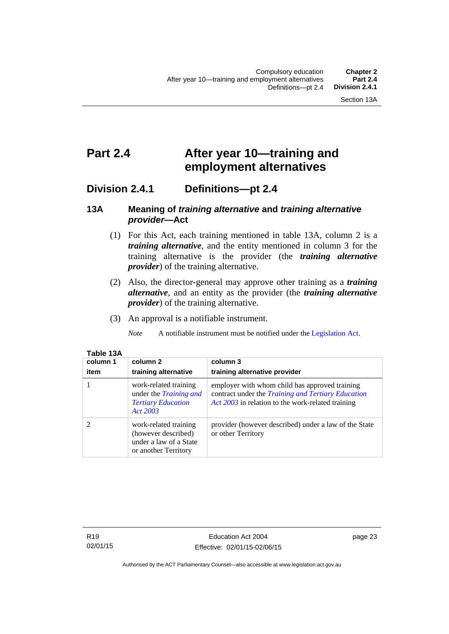# <span id="page-34-0"></span>**Part 2.4 After year 10—training and employment alternatives**

### <span id="page-34-1"></span>**Division 2.4.1 Definitions—pt 2.4**

### <span id="page-34-2"></span>**13A Meaning of** *training alternative* **and** *training alternative provider***—Act**

- (1) For this Act, each training mentioned in table 13A, column 2 is a *training alternative*, and the entity mentioned in column 3 for the training alternative is the provider (the *training alternative provider*) of the training alternative.
- (2) Also, the director-general may approve other training as a *training alternative*, and an entity as the provider (the *training alternative provider*) of the training alternative.
- (3) An approval is a notifiable instrument.

*Note* A notifiable instrument must be notified under the [Legislation Act](http://www.legislation.act.gov.au/a/2001-14).

| Table 13A |      |
|-----------|------|
| column 1  | colu |

| column 1<br>item | column 2<br>training alternative                                                                | column 3<br>training alternative provider                                                                                                                        |
|------------------|-------------------------------------------------------------------------------------------------|------------------------------------------------------------------------------------------------------------------------------------------------------------------|
|                  | work-related training<br>under the <i>Training and</i><br><b>Tertiary Education</b><br>Act 2003 | employer with whom child has approved training<br>contract under the <i>Training and Tertiary Education</i><br>Act 2003 in relation to the work-related training |
|                  | work-related training<br>(however described)<br>under a law of a State<br>or another Territory  | provider (however described) under a law of the State<br>or other Territory                                                                                      |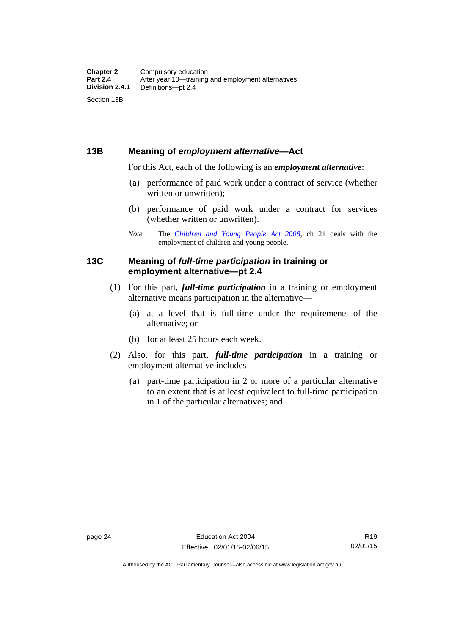### <span id="page-35-0"></span>**13B Meaning of** *employment alternative***—Act**

For this Act, each of the following is an *employment alternative*:

- (a) performance of paid work under a contract of service (whether written or unwritten);
- (b) performance of paid work under a contract for services (whether written or unwritten).
- *Note* The *[Children and Young People Act 2008](http://www.legislation.act.gov.au/a/2008-19)*, ch 21 deals with the employment of children and young people.

### <span id="page-35-1"></span>**13C Meaning of** *full-time participation* **in training or employment alternative—pt 2.4**

- (1) For this part, *full-time participation* in a training or employment alternative means participation in the alternative—
	- (a) at a level that is full-time under the requirements of the alternative; or
	- (b) for at least 25 hours each week.
- (2) Also, for this part, *full-time participation* in a training or employment alternative includes—
	- (a) part-time participation in 2 or more of a particular alternative to an extent that is at least equivalent to full-time participation in 1 of the particular alternatives; and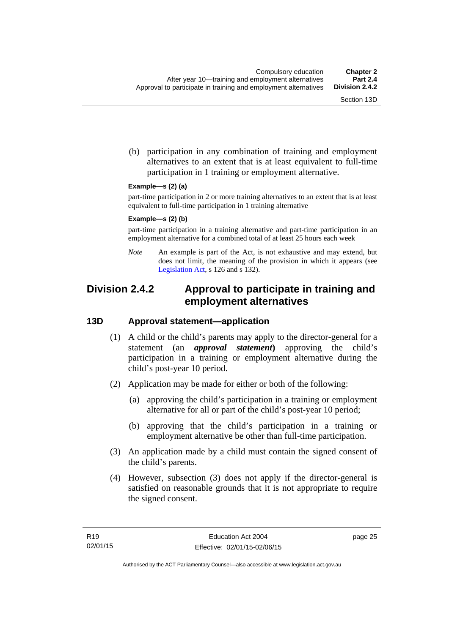(b) participation in any combination of training and employment alternatives to an extent that is at least equivalent to full-time participation in 1 training or employment alternative.

#### **Example—s (2) (a)**

part-time participation in 2 or more training alternatives to an extent that is at least equivalent to full-time participation in 1 training alternative

#### **Example—s (2) (b)**

part-time participation in a training alternative and part-time participation in an employment alternative for a combined total of at least 25 hours each week

*Note* An example is part of the Act, is not exhaustive and may extend, but does not limit, the meaning of the provision in which it appears (see [Legislation Act,](http://www.legislation.act.gov.au/a/2001-14) s 126 and s 132).

## **Division 2.4.2 Approval to participate in training and employment alternatives**

#### **13D Approval statement—application**

- (1) A child or the child's parents may apply to the director-general for a statement (an *approval statement***)** approving the child's participation in a training or employment alternative during the child's post-year 10 period.
- (2) Application may be made for either or both of the following:
	- (a) approving the child's participation in a training or employment alternative for all or part of the child's post-year 10 period;
	- (b) approving that the child's participation in a training or employment alternative be other than full-time participation.
- (3) An application made by a child must contain the signed consent of the child's parents.
- (4) However, subsection (3) does not apply if the director-general is satisfied on reasonable grounds that it is not appropriate to require the signed consent.

page 25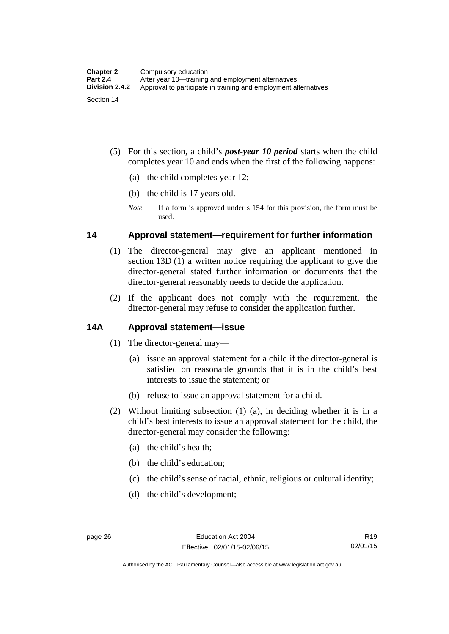- (5) For this section, a child's *post-year 10 period* starts when the child completes year 10 and ends when the first of the following happens:
	- (a) the child completes year 12;
	- (b) the child is 17 years old.
	- *Note* If a form is approved under s 154 for this provision, the form must be used.

#### **14 Approval statement—requirement for further information**

- (1) The director-general may give an applicant mentioned in section 13D (1) a written notice requiring the applicant to give the director-general stated further information or documents that the director-general reasonably needs to decide the application.
- (2) If the applicant does not comply with the requirement, the director-general may refuse to consider the application further.

#### **14A Approval statement—issue**

- (1) The director-general may—
	- (a) issue an approval statement for a child if the director-general is satisfied on reasonable grounds that it is in the child's best interests to issue the statement; or
	- (b) refuse to issue an approval statement for a child.
- (2) Without limiting subsection (1) (a), in deciding whether it is in a child's best interests to issue an approval statement for the child, the director-general may consider the following:
	- (a) the child's health;
	- (b) the child's education;
	- (c) the child's sense of racial, ethnic, religious or cultural identity;
	- (d) the child's development;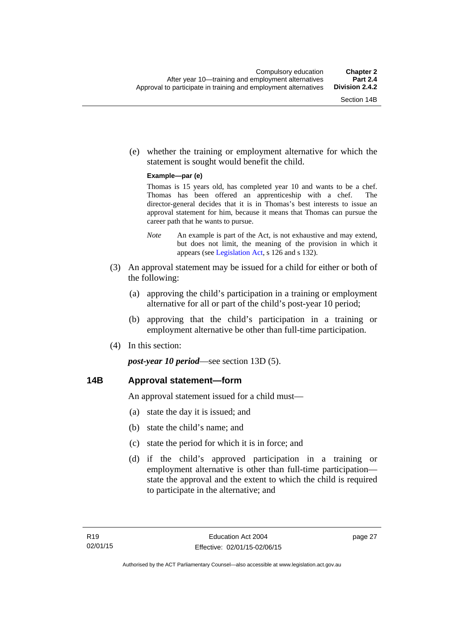(e) whether the training or employment alternative for which the statement is sought would benefit the child.

#### **Example—par (e)**

Thomas is 15 years old, has completed year 10 and wants to be a chef. Thomas has been offered an apprenticeship with a chef. The director-general decides that it is in Thomas's best interests to issue an approval statement for him, because it means that Thomas can pursue the career path that he wants to pursue.

- *Note* An example is part of the Act, is not exhaustive and may extend, but does not limit, the meaning of the provision in which it appears (see [Legislation Act,](http://www.legislation.act.gov.au/a/2001-14) s 126 and s 132).
- (3) An approval statement may be issued for a child for either or both of the following:
	- (a) approving the child's participation in a training or employment alternative for all or part of the child's post-year 10 period;
	- (b) approving that the child's participation in a training or employment alternative be other than full-time participation.
- (4) In this section:

*post-year 10 period*—see section 13D (5).

#### **14B Approval statement—form**

An approval statement issued for a child must—

- (a) state the day it is issued; and
- (b) state the child's name; and
- (c) state the period for which it is in force; and
- (d) if the child's approved participation in a training or employment alternative is other than full-time participation state the approval and the extent to which the child is required to participate in the alternative; and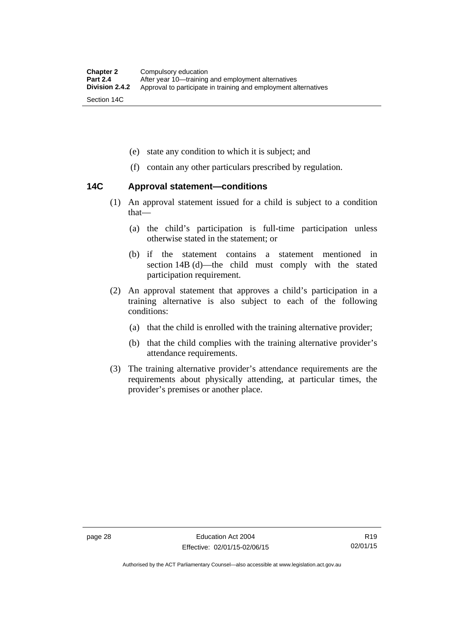- (e) state any condition to which it is subject; and
- (f) contain any other particulars prescribed by regulation.

#### **14C Approval statement—conditions**

- (1) An approval statement issued for a child is subject to a condition that—
	- (a) the child's participation is full-time participation unless otherwise stated in the statement; or
	- (b) if the statement contains a statement mentioned in section 14B (d)—the child must comply with the stated participation requirement.
- (2) An approval statement that approves a child's participation in a training alternative is also subject to each of the following conditions:
	- (a) that the child is enrolled with the training alternative provider;
	- (b) that the child complies with the training alternative provider's attendance requirements.
- (3) The training alternative provider's attendance requirements are the requirements about physically attending, at particular times, the provider's premises or another place.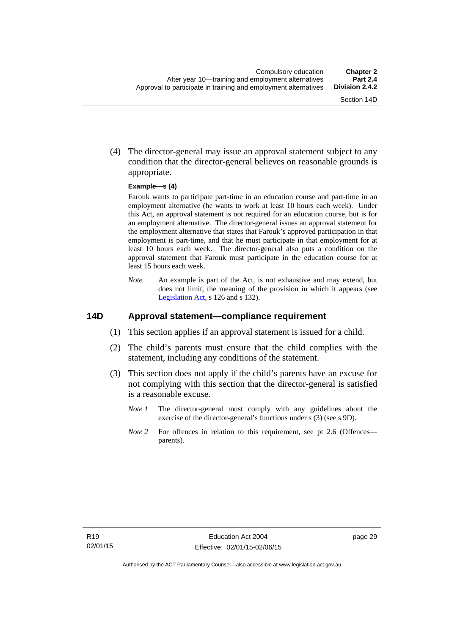(4) The director-general may issue an approval statement subject to any condition that the director-general believes on reasonable grounds is appropriate.

#### **Example—s (4)**

Farouk wants to participate part-time in an education course and part-time in an employment alternative (he wants to work at least 10 hours each week). Under this Act, an approval statement is not required for an education course, but is for an employment alternative. The director-general issues an approval statement for the employment alternative that states that Farouk's approved participation in that employment is part-time, and that he must participate in that employment for at least 10 hours each week. The director-general also puts a condition on the approval statement that Farouk must participate in the education course for at least 15 hours each week.

*Note* An example is part of the Act, is not exhaustive and may extend, but does not limit, the meaning of the provision in which it appears (see [Legislation Act,](http://www.legislation.act.gov.au/a/2001-14) s 126 and s 132).

#### **14D Approval statement—compliance requirement**

- (1) This section applies if an approval statement is issued for a child.
- (2) The child's parents must ensure that the child complies with the statement, including any conditions of the statement.
- (3) This section does not apply if the child's parents have an excuse for not complying with this section that the director-general is satisfied is a reasonable excuse.
	- *Note 1* The director-general must comply with any guidelines about the exercise of the director-general's functions under s (3) (see s 9D).
	- *Note 2* For offences in relation to this requirement, see pt 2.6 (Offences parents).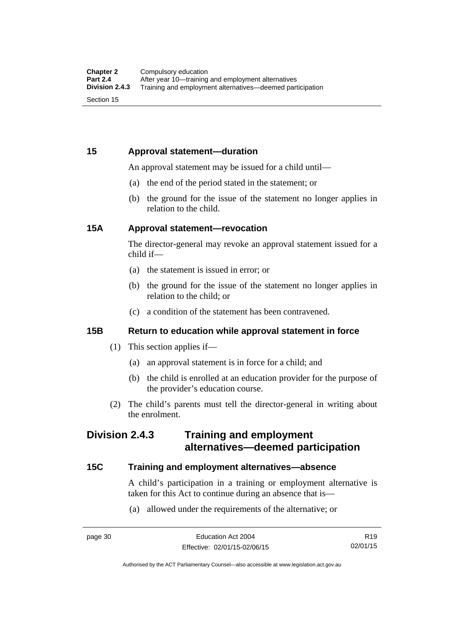## **15 Approval statement—duration**

An approval statement may be issued for a child until—

- (a) the end of the period stated in the statement; or
- (b) the ground for the issue of the statement no longer applies in relation to the child.

#### **15A Approval statement—revocation**

The director-general may revoke an approval statement issued for a child if—

- (a) the statement is issued in error; or
- (b) the ground for the issue of the statement no longer applies in relation to the child; or
- (c) a condition of the statement has been contravened.

#### **15B Return to education while approval statement in force**

- (1) This section applies if—
	- (a) an approval statement is in force for a child; and
	- (b) the child is enrolled at an education provider for the purpose of the provider's education course.
- (2) The child's parents must tell the director-general in writing about the enrolment.

## **Division 2.4.3 Training and employment alternatives—deemed participation**

#### **15C Training and employment alternatives—absence**

A child's participation in a training or employment alternative is taken for this Act to continue during an absence that is—

(a) allowed under the requirements of the alternative; or

R19 02/01/15

Authorised by the ACT Parliamentary Counsel—also accessible at www.legislation.act.gov.au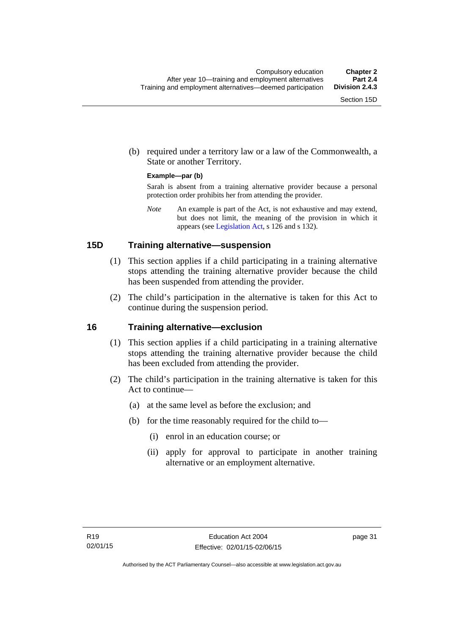(b) required under a territory law or a law of the Commonwealth, a State or another Territory.

#### **Example—par (b)**

Sarah is absent from a training alternative provider because a personal protection order prohibits her from attending the provider.

*Note* An example is part of the Act, is not exhaustive and may extend, but does not limit, the meaning of the provision in which it appears (see [Legislation Act,](http://www.legislation.act.gov.au/a/2001-14) s 126 and s 132).

#### **15D Training alternative—suspension**

- (1) This section applies if a child participating in a training alternative stops attending the training alternative provider because the child has been suspended from attending the provider.
- (2) The child's participation in the alternative is taken for this Act to continue during the suspension period.

#### **16 Training alternative—exclusion**

- (1) This section applies if a child participating in a training alternative stops attending the training alternative provider because the child has been excluded from attending the provider.
- (2) The child's participation in the training alternative is taken for this Act to continue—
	- (a) at the same level as before the exclusion; and
	- (b) for the time reasonably required for the child to—
		- (i) enrol in an education course; or
		- (ii) apply for approval to participate in another training alternative or an employment alternative.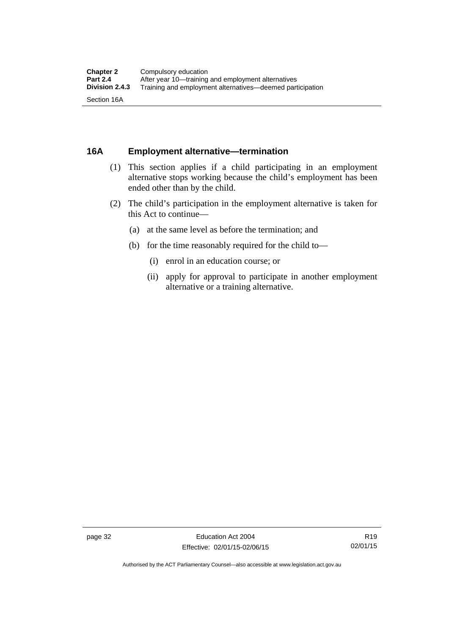### **16A Employment alternative—termination**

- (1) This section applies if a child participating in an employment alternative stops working because the child's employment has been ended other than by the child.
- (2) The child's participation in the employment alternative is taken for this Act to continue—
	- (a) at the same level as before the termination; and
	- (b) for the time reasonably required for the child to—
		- (i) enrol in an education course; or
		- (ii) apply for approval to participate in another employment alternative or a training alternative.

Authorised by the ACT Parliamentary Counsel—also accessible at www.legislation.act.gov.au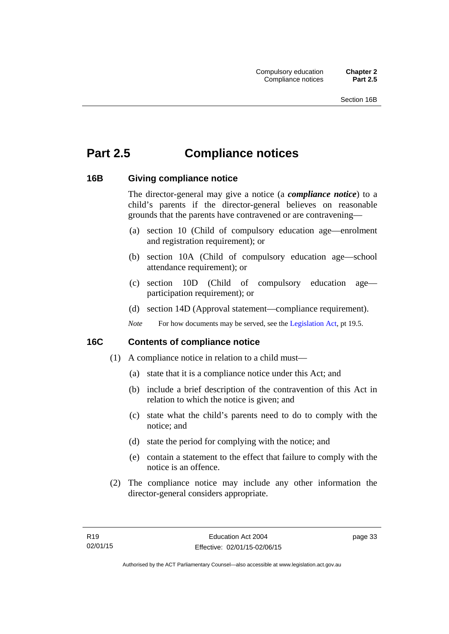# **Part 2.5 Compliance notices**

### **16B Giving compliance notice**

The director-general may give a notice (a *compliance notice*) to a child's parents if the director-general believes on reasonable grounds that the parents have contravened or are contravening—

- (a) section 10 (Child of compulsory education age—enrolment and registration requirement); or
- (b) section 10A (Child of compulsory education age—school attendance requirement); or
- (c) section 10D (Child of compulsory education age participation requirement); or
- (d) section 14D (Approval statement—compliance requirement).
- *Note* For how documents may be served, see the [Legislation Act,](http://www.legislation.act.gov.au/a/2001-14) pt 19.5.

## **16C Contents of compliance notice**

- (1) A compliance notice in relation to a child must—
	- (a) state that it is a compliance notice under this Act; and
	- (b) include a brief description of the contravention of this Act in relation to which the notice is given; and
	- (c) state what the child's parents need to do to comply with the notice; and
	- (d) state the period for complying with the notice; and
	- (e) contain a statement to the effect that failure to comply with the notice is an offence.
- (2) The compliance notice may include any other information the director-general considers appropriate.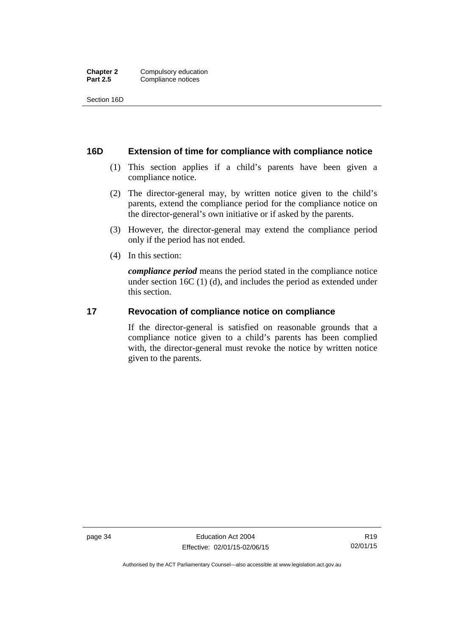Section 16D

#### **16D Extension of time for compliance with compliance notice**

- (1) This section applies if a child's parents have been given a compliance notice.
- (2) The director-general may, by written notice given to the child's parents, extend the compliance period for the compliance notice on the director-general's own initiative or if asked by the parents.
- (3) However, the director-general may extend the compliance period only if the period has not ended.
- (4) In this section:

*compliance period* means the period stated in the compliance notice under section 16C (1) (d), and includes the period as extended under this section.

#### **17 Revocation of compliance notice on compliance**

If the director-general is satisfied on reasonable grounds that a compliance notice given to a child's parents has been complied with, the director-general must revoke the notice by written notice given to the parents.

Authorised by the ACT Parliamentary Counsel—also accessible at www.legislation.act.gov.au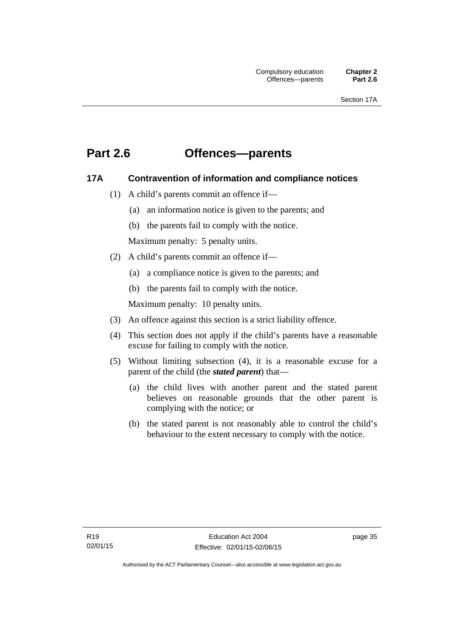## **Part 2.6 Offences—parents**

### **17A Contravention of information and compliance notices**

- (1) A child's parents commit an offence if—
	- (a) an information notice is given to the parents; and
	- (b) the parents fail to comply with the notice.

Maximum penalty: 5 penalty units.

- (2) A child's parents commit an offence if—
	- (a) a compliance notice is given to the parents; and
	- (b) the parents fail to comply with the notice.

Maximum penalty: 10 penalty units.

- (3) An offence against this section is a strict liability offence.
- (4) This section does not apply if the child's parents have a reasonable excuse for failing to comply with the notice.
- (5) Without limiting subsection (4), it is a reasonable excuse for a parent of the child (the *stated parent*) that—
	- (a) the child lives with another parent and the stated parent believes on reasonable grounds that the other parent is complying with the notice; or
	- (b) the stated parent is not reasonably able to control the child's behaviour to the extent necessary to comply with the notice.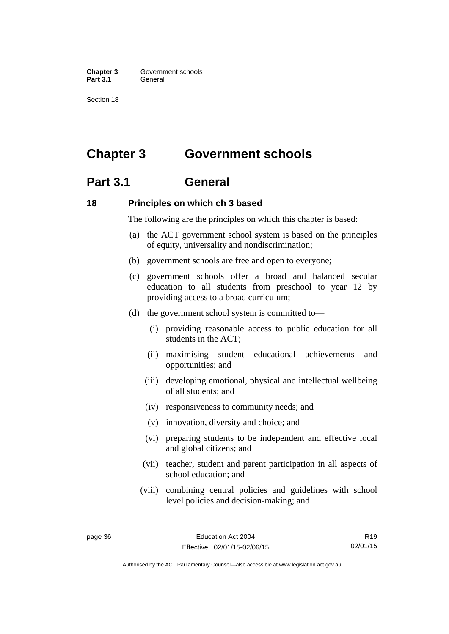**Chapter 3 Government schools** Part 3.1 **General** 

Section 18

## **Chapter 3 Government schools**

## **Part 3.1 General**

#### **18 Principles on which ch 3 based**

The following are the principles on which this chapter is based:

- (a) the ACT government school system is based on the principles of equity, universality and nondiscrimination;
- (b) government schools are free and open to everyone;
- (c) government schools offer a broad and balanced secular education to all students from preschool to year 12 by providing access to a broad curriculum;
- (d) the government school system is committed to—
	- (i) providing reasonable access to public education for all students in the ACT;
	- (ii) maximising student educational achievements and opportunities; and
	- (iii) developing emotional, physical and intellectual wellbeing of all students; and
	- (iv) responsiveness to community needs; and
	- (v) innovation, diversity and choice; and
	- (vi) preparing students to be independent and effective local and global citizens; and
	- (vii) teacher, student and parent participation in all aspects of school education; and
	- (viii) combining central policies and guidelines with school level policies and decision-making; and

R19 02/01/15

Authorised by the ACT Parliamentary Counsel—also accessible at www.legislation.act.gov.au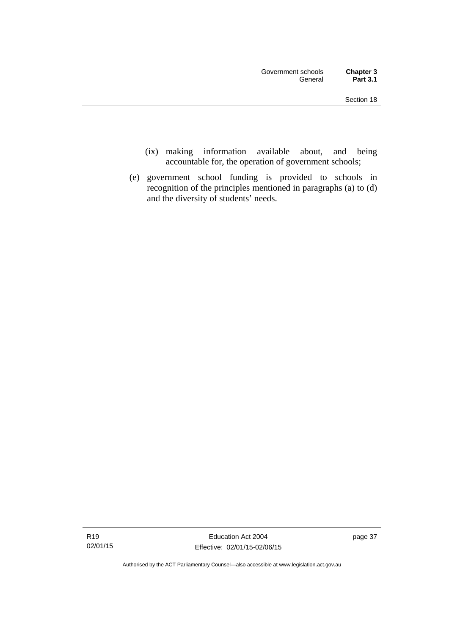- (ix) making information available about, and being accountable for, the operation of government schools;
- (e) government school funding is provided to schools in recognition of the principles mentioned in paragraphs (a) to (d) and the diversity of students' needs.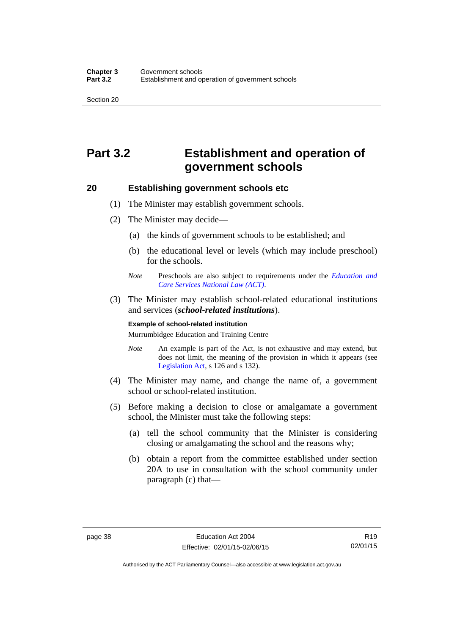Section 20

# **Part 3.2 Establishment and operation of government schools**

#### **20 Establishing government schools etc**

- (1) The Minister may establish government schools.
- (2) The Minister may decide—
	- (a) the kinds of government schools to be established; and
	- (b) the educational level or levels (which may include preschool) for the schools.
	- *Note* Preschools are also subject to requirements under the *[Education and](http://www.legislation.act.gov.au/a/2011-42/default.asp)  [Care Services National Law \(ACT\)](http://www.legislation.act.gov.au/a/2011-42/default.asp)*.
- (3) The Minister may establish school-related educational institutions and services (*school-related institutions*).

#### **Example of school-related institution**

Murrumbidgee Education and Training Centre

- *Note* An example is part of the Act, is not exhaustive and may extend, but does not limit, the meaning of the provision in which it appears (see [Legislation Act,](http://www.legislation.act.gov.au/a/2001-14) s 126 and s 132).
- (4) The Minister may name, and change the name of, a government school or school-related institution.
- (5) Before making a decision to close or amalgamate a government school, the Minister must take the following steps:
	- (a) tell the school community that the Minister is considering closing or amalgamating the school and the reasons why;
	- (b) obtain a report from the committee established under section 20A to use in consultation with the school community under paragraph (c) that—

R19 02/01/15

Authorised by the ACT Parliamentary Counsel—also accessible at www.legislation.act.gov.au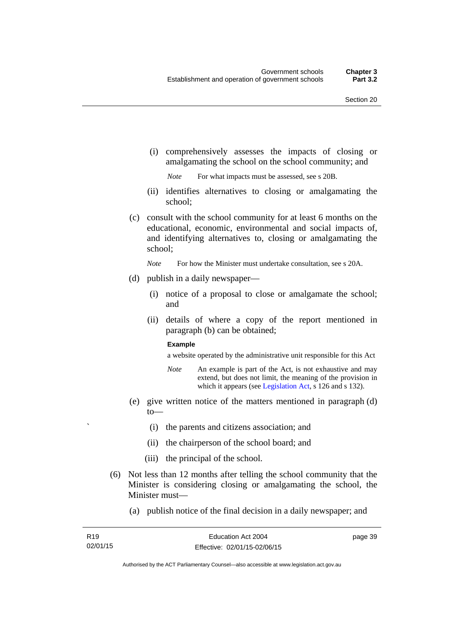(i) comprehensively assesses the impacts of closing or amalgamating the school on the school community; and

*Note* For what impacts must be assessed, see s 20B.

- (ii) identifies alternatives to closing or amalgamating the school;
- (c) consult with the school community for at least 6 months on the educational, economic, environmental and social impacts of, and identifying alternatives to, closing or amalgamating the school;

*Note* For how the Minister must undertake consultation, see s 20A.

- (d) publish in a daily newspaper—
	- (i) notice of a proposal to close or amalgamate the school; and
	- (ii) details of where a copy of the report mentioned in paragraph (b) can be obtained;

#### **Example**

a website operated by the administrative unit responsible for this Act

- *Note* An example is part of the Act, is not exhaustive and may extend, but does not limit, the meaning of the provision in which it appears (see [Legislation Act,](http://www.legislation.act.gov.au/a/2001-14) s 126 and s 132).
- (e) give written notice of the matters mentioned in paragraph (d) to—
	- ` (i) the parents and citizens association; and
	- (ii) the chairperson of the school board; and
	- (iii) the principal of the school.
- (6) Not less than 12 months after telling the school community that the Minister is considering closing or amalgamating the school, the Minister must—
	- (a) publish notice of the final decision in a daily newspaper; and

page 39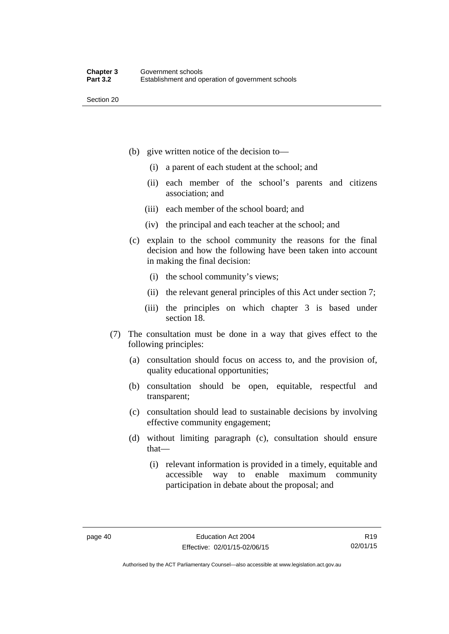Section 20

- (b) give written notice of the decision to—
	- (i) a parent of each student at the school; and
	- (ii) each member of the school's parents and citizens association; and
	- (iii) each member of the school board; and
	- (iv) the principal and each teacher at the school; and
- (c) explain to the school community the reasons for the final decision and how the following have been taken into account in making the final decision:
	- (i) the school community's views;
	- (ii) the relevant general principles of this Act under section 7;
	- (iii) the principles on which chapter 3 is based under section 18.
- (7) The consultation must be done in a way that gives effect to the following principles:
	- (a) consultation should focus on access to, and the provision of, quality educational opportunities;
	- (b) consultation should be open, equitable, respectful and transparent;
	- (c) consultation should lead to sustainable decisions by involving effective community engagement;
	- (d) without limiting paragraph (c), consultation should ensure that—
		- (i) relevant information is provided in a timely, equitable and accessible way to enable maximum community participation in debate about the proposal; and

R19 02/01/15

Authorised by the ACT Parliamentary Counsel—also accessible at www.legislation.act.gov.au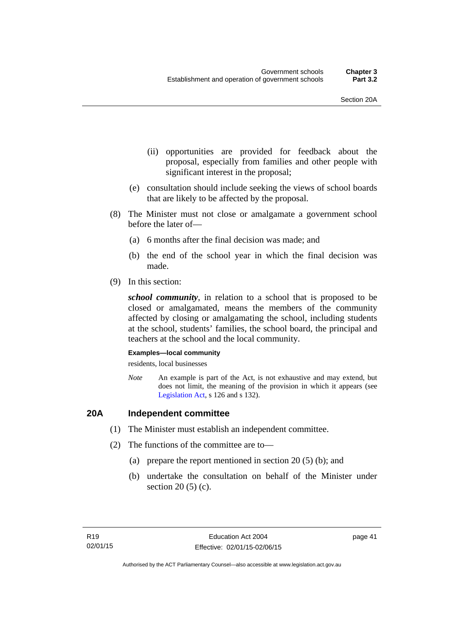- (ii) opportunities are provided for feedback about the proposal, especially from families and other people with significant interest in the proposal;
- (e) consultation should include seeking the views of school boards that are likely to be affected by the proposal.
- (8) The Minister must not close or amalgamate a government school before the later of—
	- (a) 6 months after the final decision was made; and
	- (b) the end of the school year in which the final decision was made.
- (9) In this section:

*school community*, in relation to a school that is proposed to be closed or amalgamated, means the members of the community affected by closing or amalgamating the school, including students at the school, students' families, the school board, the principal and teachers at the school and the local community.

#### **Examples—local community**

residents, local businesses

*Note* An example is part of the Act, is not exhaustive and may extend, but does not limit, the meaning of the provision in which it appears (see [Legislation Act,](http://www.legislation.act.gov.au/a/2001-14) s 126 and s 132).

## **20A Independent committee**

- (1) The Minister must establish an independent committee.
- (2) The functions of the committee are to—
	- (a) prepare the report mentioned in section 20 (5) (b); and
	- (b) undertake the consultation on behalf of the Minister under section 20 (5) (c).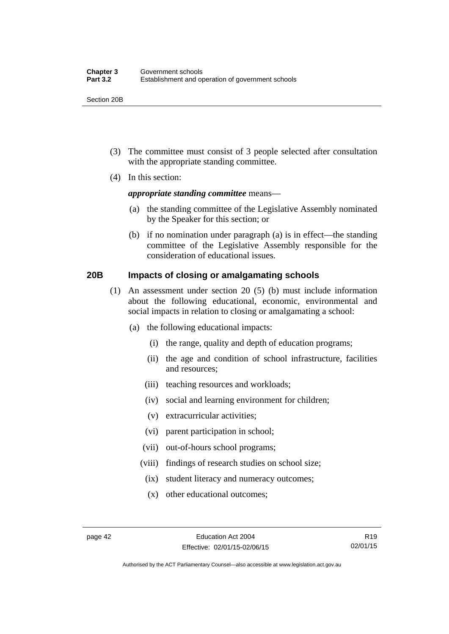Section 20B

- (3) The committee must consist of 3 people selected after consultation with the appropriate standing committee.
- (4) In this section:

#### *appropriate standing committee* means—

- (a) the standing committee of the Legislative Assembly nominated by the Speaker for this section; or
- (b) if no nomination under paragraph (a) is in effect—the standing committee of the Legislative Assembly responsible for the consideration of educational issues.

### **20B Impacts of closing or amalgamating schools**

- (1) An assessment under section 20 (5) (b) must include information about the following educational, economic, environmental and social impacts in relation to closing or amalgamating a school:
	- (a) the following educational impacts:
		- (i) the range, quality and depth of education programs;
		- (ii) the age and condition of school infrastructure, facilities and resources;
		- (iii) teaching resources and workloads;
		- (iv) social and learning environment for children;
		- (v) extracurricular activities;
		- (vi) parent participation in school;
		- (vii) out-of-hours school programs;
		- (viii) findings of research studies on school size;
			- (ix) student literacy and numeracy outcomes;
			- (x) other educational outcomes;

Authorised by the ACT Parliamentary Counsel—also accessible at www.legislation.act.gov.au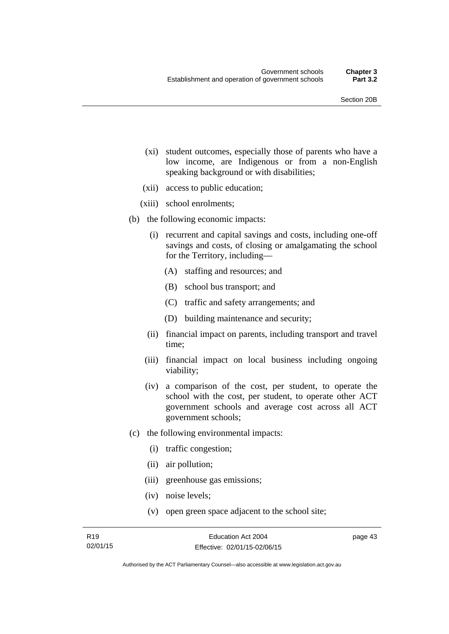- (xi) student outcomes, especially those of parents who have a low income, are Indigenous or from a non-English speaking background or with disabilities;
- (xii) access to public education;
- (xiii) school enrolments;
- (b) the following economic impacts:
	- (i) recurrent and capital savings and costs, including one-off savings and costs, of closing or amalgamating the school for the Territory, including—
		- (A) staffing and resources; and
		- (B) school bus transport; and
		- (C) traffic and safety arrangements; and
		- (D) building maintenance and security;
	- (ii) financial impact on parents, including transport and travel time;
	- (iii) financial impact on local business including ongoing viability;
	- (iv) a comparison of the cost, per student, to operate the school with the cost, per student, to operate other ACT government schools and average cost across all ACT government schools;
- (c) the following environmental impacts:
	- (i) traffic congestion;
	- (ii) air pollution;
	- (iii) greenhouse gas emissions;
	- (iv) noise levels;
	- (v) open green space adjacent to the school site;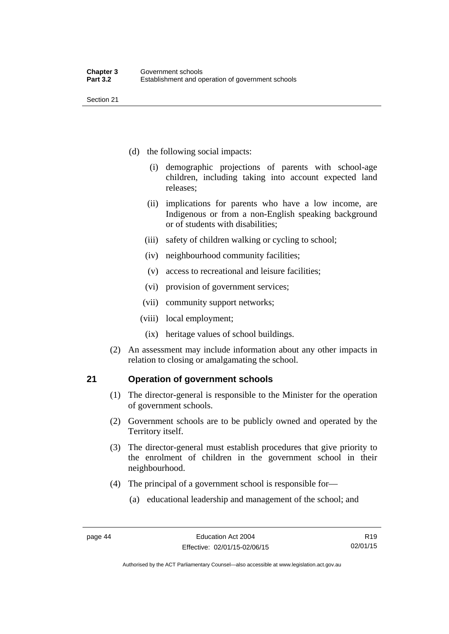Section 21

- (d) the following social impacts:
	- (i) demographic projections of parents with school-age children, including taking into account expected land releases;
	- (ii) implications for parents who have a low income, are Indigenous or from a non-English speaking background or of students with disabilities;
	- (iii) safety of children walking or cycling to school;
	- (iv) neighbourhood community facilities;
	- (v) access to recreational and leisure facilities;
	- (vi) provision of government services;
	- (vii) community support networks;
	- (viii) local employment;
		- (ix) heritage values of school buildings.
- (2) An assessment may include information about any other impacts in relation to closing or amalgamating the school.

## **21 Operation of government schools**

- (1) The director-general is responsible to the Minister for the operation of government schools.
- (2) Government schools are to be publicly owned and operated by the Territory itself.
- (3) The director-general must establish procedures that give priority to the enrolment of children in the government school in their neighbourhood.
- (4) The principal of a government school is responsible for—
	- (a) educational leadership and management of the school; and

Authorised by the ACT Parliamentary Counsel—also accessible at www.legislation.act.gov.au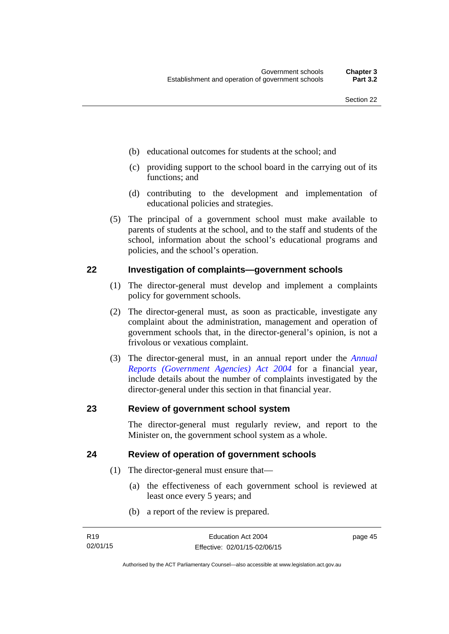- (b) educational outcomes for students at the school; and
- (c) providing support to the school board in the carrying out of its functions; and
- (d) contributing to the development and implementation of educational policies and strategies.
- (5) The principal of a government school must make available to parents of students at the school, and to the staff and students of the school, information about the school's educational programs and policies, and the school's operation.

#### **22 Investigation of complaints—government schools**

- (1) The director-general must develop and implement a complaints policy for government schools.
- (2) The director-general must, as soon as practicable, investigate any complaint about the administration, management and operation of government schools that, in the director-general's opinion, is not a frivolous or vexatious complaint.
- (3) The director-general must, in an annual report under the *[Annual](http://www.legislation.act.gov.au/a/2004-8)  [Reports \(Government Agencies\) Act 2004](http://www.legislation.act.gov.au/a/2004-8)* for a financial year, include details about the number of complaints investigated by the director-general under this section in that financial year.

#### **23 Review of government school system**

The director-general must regularly review, and report to the Minister on, the government school system as a whole.

#### **24 Review of operation of government schools**

- (1) The director-general must ensure that—
	- (a) the effectiveness of each government school is reviewed at least once every 5 years; and
	- (b) a report of the review is prepared.

page 45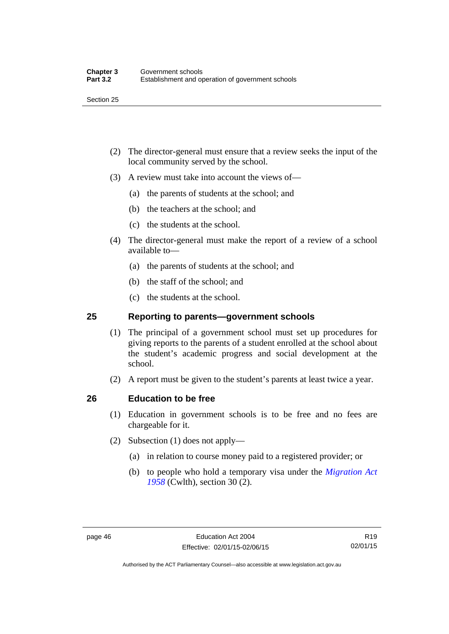- (2) The director-general must ensure that a review seeks the input of the local community served by the school.
- (3) A review must take into account the views of—
	- (a) the parents of students at the school; and
	- (b) the teachers at the school; and
	- (c) the students at the school.
- (4) The director-general must make the report of a review of a school available to—
	- (a) the parents of students at the school; and
	- (b) the staff of the school; and
	- (c) the students at the school.

#### **25 Reporting to parents—government schools**

- (1) The principal of a government school must set up procedures for giving reports to the parents of a student enrolled at the school about the student's academic progress and social development at the school.
- (2) A report must be given to the student's parents at least twice a year.

#### **26 Education to be free**

- (1) Education in government schools is to be free and no fees are chargeable for it.
- (2) Subsection (1) does not apply—
	- (a) in relation to course money paid to a registered provider; or
	- (b) to people who hold a temporary visa under the *[Migration Act](http://www.comlaw.gov.au/Series/C1958A00062)  [1958](http://www.comlaw.gov.au/Series/C1958A00062)* (Cwlth), section 30 (2).

R19 02/01/15

Authorised by the ACT Parliamentary Counsel—also accessible at www.legislation.act.gov.au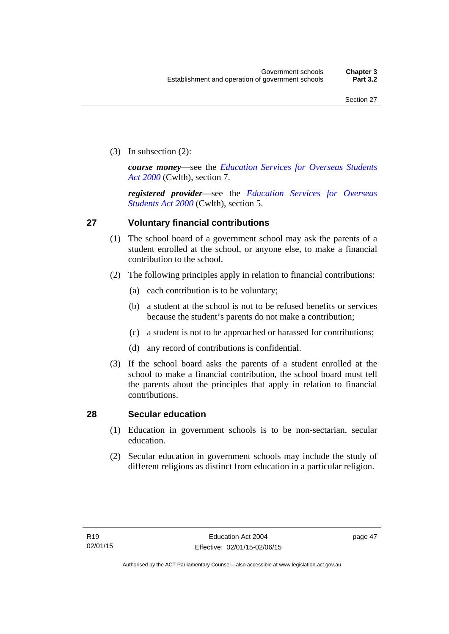(3) In subsection (2):

*course money*—see the *[Education Services for Overseas Students](http://www.comlaw.gov.au/Series/C2004A00757)  [Act 2000](http://www.comlaw.gov.au/Series/C2004A00757)* (Cwlth), section 7.

*registered provider*—see the *[Education Services for Overseas](http://www.comlaw.gov.au/Series/C2004A00757)  [Students Act 2000](http://www.comlaw.gov.au/Series/C2004A00757)* (Cwlth), section 5.

### **27 Voluntary financial contributions**

- (1) The school board of a government school may ask the parents of a student enrolled at the school, or anyone else, to make a financial contribution to the school.
- (2) The following principles apply in relation to financial contributions:
	- (a) each contribution is to be voluntary;
	- (b) a student at the school is not to be refused benefits or services because the student's parents do not make a contribution;
	- (c) a student is not to be approached or harassed for contributions;
	- (d) any record of contributions is confidential.
- (3) If the school board asks the parents of a student enrolled at the school to make a financial contribution, the school board must tell the parents about the principles that apply in relation to financial contributions.

#### **28 Secular education**

- (1) Education in government schools is to be non-sectarian, secular education.
- (2) Secular education in government schools may include the study of different religions as distinct from education in a particular religion.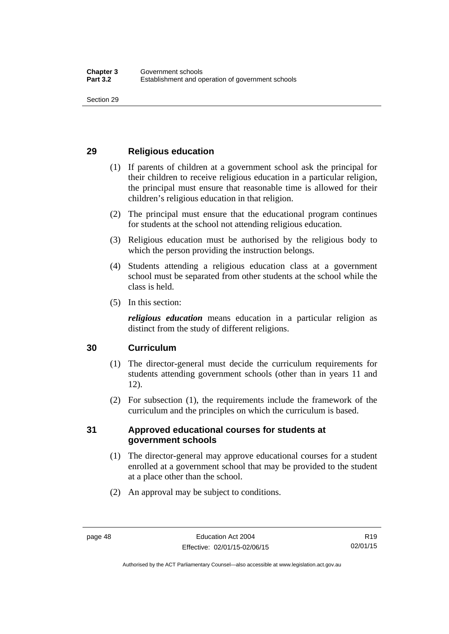## **29 Religious education**

- (1) If parents of children at a government school ask the principal for their children to receive religious education in a particular religion, the principal must ensure that reasonable time is allowed for their children's religious education in that religion.
- (2) The principal must ensure that the educational program continues for students at the school not attending religious education.
- (3) Religious education must be authorised by the religious body to which the person providing the instruction belongs.
- (4) Students attending a religious education class at a government school must be separated from other students at the school while the class is held.
- (5) In this section:

*religious education* means education in a particular religion as distinct from the study of different religions.

## **30 Curriculum**

- (1) The director-general must decide the curriculum requirements for students attending government schools (other than in years 11 and 12).
- (2) For subsection (1), the requirements include the framework of the curriculum and the principles on which the curriculum is based.

### **31 Approved educational courses for students at government schools**

- (1) The director-general may approve educational courses for a student enrolled at a government school that may be provided to the student at a place other than the school.
- (2) An approval may be subject to conditions.

Authorised by the ACT Parliamentary Counsel—also accessible at www.legislation.act.gov.au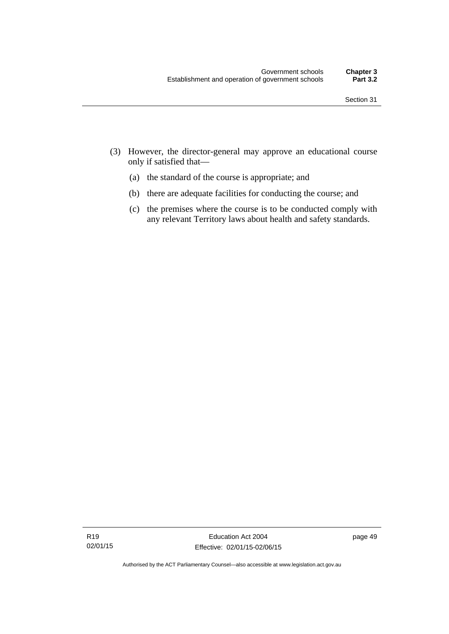- (3) However, the director-general may approve an educational course only if satisfied that—
	- (a) the standard of the course is appropriate; and
	- (b) there are adequate facilities for conducting the course; and
	- (c) the premises where the course is to be conducted comply with any relevant Territory laws about health and safety standards.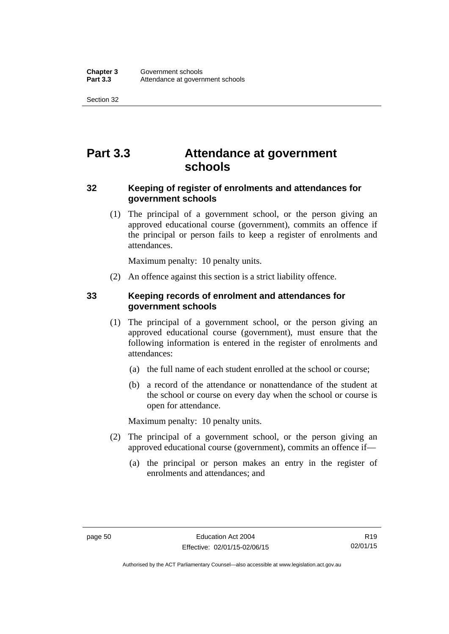Section 32

# **Part 3.3 Attendance at government schools**

### **32 Keeping of register of enrolments and attendances for government schools**

 (1) The principal of a government school, or the person giving an approved educational course (government), commits an offence if the principal or person fails to keep a register of enrolments and attendances.

Maximum penalty: 10 penalty units.

(2) An offence against this section is a strict liability offence.

### **33 Keeping records of enrolment and attendances for government schools**

- (1) The principal of a government school, or the person giving an approved educational course (government), must ensure that the following information is entered in the register of enrolments and attendances:
	- (a) the full name of each student enrolled at the school or course;
	- (b) a record of the attendance or nonattendance of the student at the school or course on every day when the school or course is open for attendance.

Maximum penalty: 10 penalty units.

- (2) The principal of a government school, or the person giving an approved educational course (government), commits an offence if—
	- (a) the principal or person makes an entry in the register of enrolments and attendances; and

Authorised by the ACT Parliamentary Counsel—also accessible at www.legislation.act.gov.au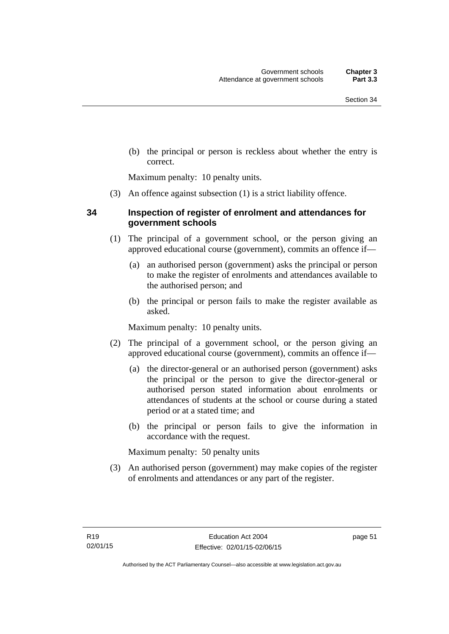(b) the principal or person is reckless about whether the entry is correct.

Maximum penalty: 10 penalty units.

(3) An offence against subsection (1) is a strict liability offence.

### **34 Inspection of register of enrolment and attendances for government schools**

- (1) The principal of a government school, or the person giving an approved educational course (government), commits an offence if—
	- (a) an authorised person (government) asks the principal or person to make the register of enrolments and attendances available to the authorised person; and
	- (b) the principal or person fails to make the register available as asked.

Maximum penalty: 10 penalty units.

- (2) The principal of a government school, or the person giving an approved educational course (government), commits an offence if—
	- (a) the director-general or an authorised person (government) asks the principal or the person to give the director-general or authorised person stated information about enrolments or attendances of students at the school or course during a stated period or at a stated time; and
	- (b) the principal or person fails to give the information in accordance with the request.

Maximum penalty: 50 penalty units

 (3) An authorised person (government) may make copies of the register of enrolments and attendances or any part of the register.

page 51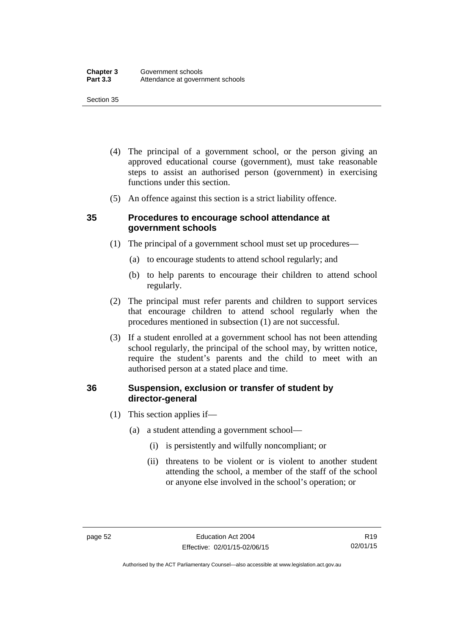#### Section 35

- (4) The principal of a government school, or the person giving an approved educational course (government), must take reasonable steps to assist an authorised person (government) in exercising functions under this section.
- (5) An offence against this section is a strict liability offence.

#### **35 Procedures to encourage school attendance at government schools**

- (1) The principal of a government school must set up procedures—
	- (a) to encourage students to attend school regularly; and
	- (b) to help parents to encourage their children to attend school regularly.
- (2) The principal must refer parents and children to support services that encourage children to attend school regularly when the procedures mentioned in subsection (1) are not successful.
- (3) If a student enrolled at a government school has not been attending school regularly, the principal of the school may, by written notice, require the student's parents and the child to meet with an authorised person at a stated place and time.

#### **36 Suspension, exclusion or transfer of student by director-general**

- (1) This section applies if—
	- (a) a student attending a government school—
		- (i) is persistently and wilfully noncompliant; or
		- (ii) threatens to be violent or is violent to another student attending the school, a member of the staff of the school or anyone else involved in the school's operation; or

Authorised by the ACT Parliamentary Counsel—also accessible at www.legislation.act.gov.au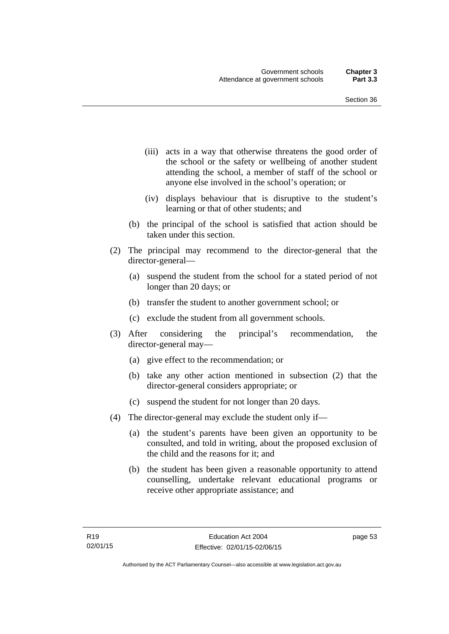- (iii) acts in a way that otherwise threatens the good order of the school or the safety or wellbeing of another student attending the school, a member of staff of the school or anyone else involved in the school's operation; or
- (iv) displays behaviour that is disruptive to the student's learning or that of other students; and
- (b) the principal of the school is satisfied that action should be taken under this section.
- (2) The principal may recommend to the director-general that the director-general—
	- (a) suspend the student from the school for a stated period of not longer than 20 days; or
	- (b) transfer the student to another government school; or
	- (c) exclude the student from all government schools.
- (3) After considering the principal's recommendation, the director-general may—
	- (a) give effect to the recommendation; or
	- (b) take any other action mentioned in subsection (2) that the director-general considers appropriate; or
	- (c) suspend the student for not longer than 20 days.
- (4) The director-general may exclude the student only if—
	- (a) the student's parents have been given an opportunity to be consulted, and told in writing, about the proposed exclusion of the child and the reasons for it; and
	- (b) the student has been given a reasonable opportunity to attend counselling, undertake relevant educational programs or receive other appropriate assistance; and

page 53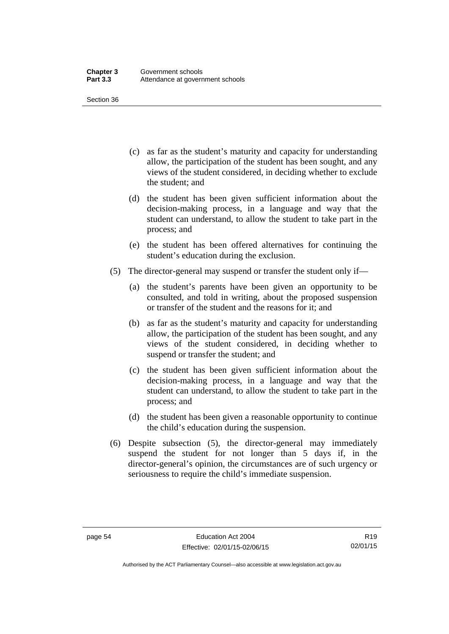Section 36

- (c) as far as the student's maturity and capacity for understanding allow, the participation of the student has been sought, and any views of the student considered, in deciding whether to exclude the student; and
- (d) the student has been given sufficient information about the decision-making process, in a language and way that the student can understand, to allow the student to take part in the process; and
- (e) the student has been offered alternatives for continuing the student's education during the exclusion.
- (5) The director-general may suspend or transfer the student only if—
	- (a) the student's parents have been given an opportunity to be consulted, and told in writing, about the proposed suspension or transfer of the student and the reasons for it; and
	- (b) as far as the student's maturity and capacity for understanding allow, the participation of the student has been sought, and any views of the student considered, in deciding whether to suspend or transfer the student; and
	- (c) the student has been given sufficient information about the decision-making process, in a language and way that the student can understand, to allow the student to take part in the process; and
	- (d) the student has been given a reasonable opportunity to continue the child's education during the suspension.
- (6) Despite subsection (5), the director-general may immediately suspend the student for not longer than 5 days if, in the director-general's opinion, the circumstances are of such urgency or seriousness to require the child's immediate suspension.

Authorised by the ACT Parliamentary Counsel—also accessible at www.legislation.act.gov.au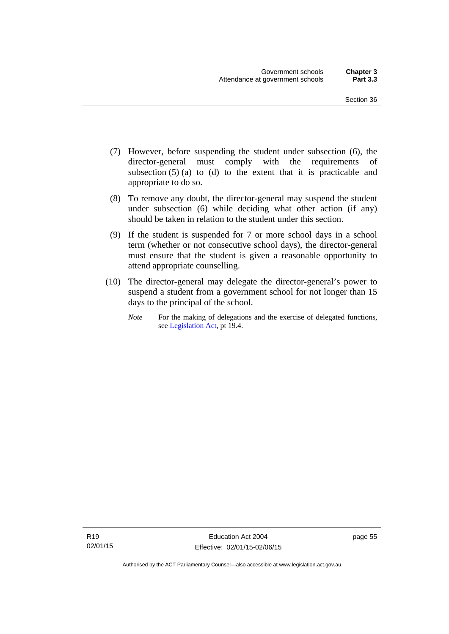- (7) However, before suspending the student under subsection (6), the director-general must comply with the requirements of subsection  $(5)$  (a) to (d) to the extent that it is practicable and appropriate to do so.
- (8) To remove any doubt, the director-general may suspend the student under subsection (6) while deciding what other action (if any) should be taken in relation to the student under this section.
- (9) If the student is suspended for 7 or more school days in a school term (whether or not consecutive school days), the director-general must ensure that the student is given a reasonable opportunity to attend appropriate counselling.
- (10) The director-general may delegate the director-general's power to suspend a student from a government school for not longer than 15 days to the principal of the school.
	- *Note* For the making of delegations and the exercise of delegated functions, see [Legislation Act](http://www.legislation.act.gov.au/a/2001-14), pt 19.4.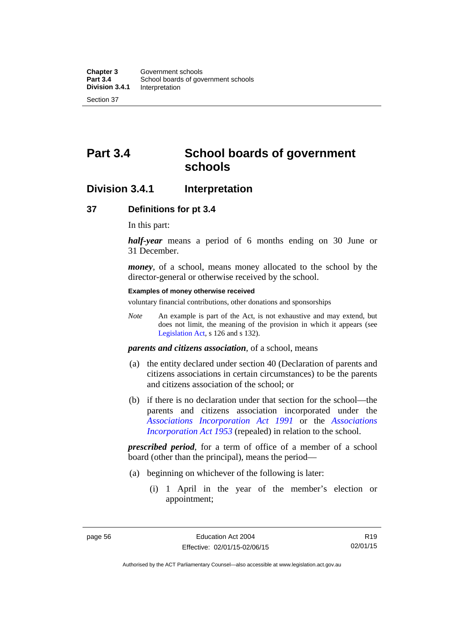# **Part 3.4 School boards of government schools**

## **Division 3.4.1 Interpretation**

#### **37 Definitions for pt 3.4**

In this part:

*half-year* means a period of 6 months ending on 30 June or 31 December.

*money*, of a school, means money allocated to the school by the director-general or otherwise received by the school.

#### **Examples of money otherwise received**

voluntary financial contributions, other donations and sponsorships

*Note* An example is part of the Act, is not exhaustive and may extend, but does not limit, the meaning of the provision in which it appears (see [Legislation Act,](http://www.legislation.act.gov.au/a/2001-14) s 126 and s 132).

*parents and citizens association*, of a school, means

- (a) the entity declared under section 40 (Declaration of parents and citizens associations in certain circumstances) to be the parents and citizens association of the school; or
- (b) if there is no declaration under that section for the school—the parents and citizens association incorporated under the *[Associations Incorporation Act 1991](http://www.legislation.act.gov.au/a/1991-46)* or the *[Associations](http://www.legislation.act.gov.au/a/1953-15)  [Incorporation Act 1953](http://www.legislation.act.gov.au/a/1953-15)* (repealed) in relation to the school.

*prescribed period*, for a term of office of a member of a school board (other than the principal), means the period—

- (a) beginning on whichever of the following is later:
	- (i) 1 April in the year of the member's election or appointment;

R19 02/01/15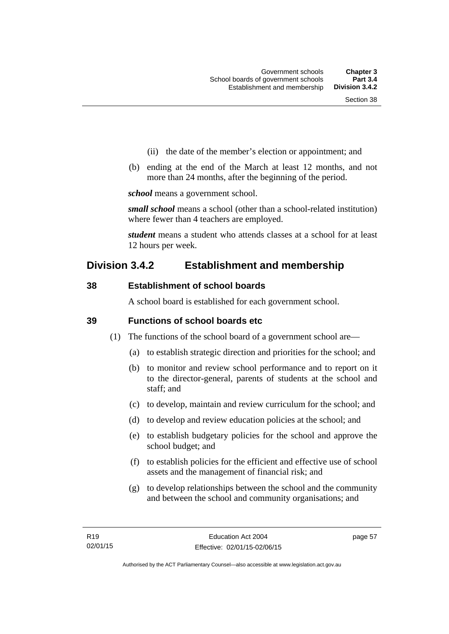- (ii) the date of the member's election or appointment; and
- (b) ending at the end of the March at least 12 months, and not more than 24 months, after the beginning of the period.

*school* means a government school.

*small school* means a school (other than a school-related institution) where fewer than 4 teachers are employed.

*student* means a student who attends classes at a school for at least 12 hours per week.

## **Division 3.4.2 Establishment and membership**

### **38 Establishment of school boards**

A school board is established for each government school.

#### **39 Functions of school boards etc**

- (1) The functions of the school board of a government school are—
	- (a) to establish strategic direction and priorities for the school; and
	- (b) to monitor and review school performance and to report on it to the director-general, parents of students at the school and staff; and
	- (c) to develop, maintain and review curriculum for the school; and
	- (d) to develop and review education policies at the school; and
	- (e) to establish budgetary policies for the school and approve the school budget; and
	- (f) to establish policies for the efficient and effective use of school assets and the management of financial risk; and
	- (g) to develop relationships between the school and the community and between the school and community organisations; and

page 57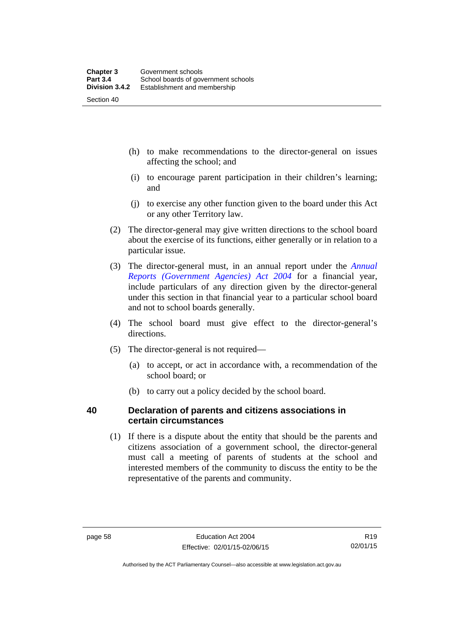- (h) to make recommendations to the director-general on issues affecting the school; and
- (i) to encourage parent participation in their children's learning; and
- (j) to exercise any other function given to the board under this Act or any other Territory law.
- (2) The director-general may give written directions to the school board about the exercise of its functions, either generally or in relation to a particular issue.
- (3) The director-general must, in an annual report under the *[Annual](http://www.legislation.act.gov.au/a/2004-8)  [Reports \(Government Agencies\) Act 2004](http://www.legislation.act.gov.au/a/2004-8)* for a financial year, include particulars of any direction given by the director-general under this section in that financial year to a particular school board and not to school boards generally.
- (4) The school board must give effect to the director-general's directions.
- (5) The director-general is not required—
	- (a) to accept, or act in accordance with, a recommendation of the school board; or
	- (b) to carry out a policy decided by the school board.

## **40 Declaration of parents and citizens associations in certain circumstances**

 (1) If there is a dispute about the entity that should be the parents and citizens association of a government school, the director-general must call a meeting of parents of students at the school and interested members of the community to discuss the entity to be the representative of the parents and community.

Authorised by the ACT Parliamentary Counsel—also accessible at www.legislation.act.gov.au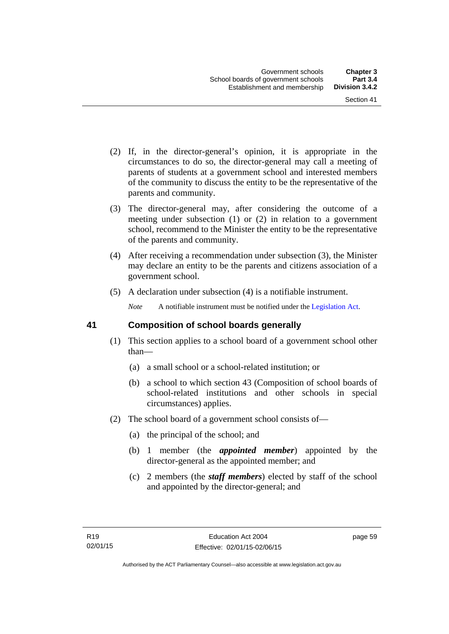- (2) If, in the director-general's opinion, it is appropriate in the circumstances to do so, the director-general may call a meeting of parents of students at a government school and interested members of the community to discuss the entity to be the representative of the parents and community.
- (3) The director-general may, after considering the outcome of a meeting under subsection (1) or (2) in relation to a government school, recommend to the Minister the entity to be the representative of the parents and community.
- (4) After receiving a recommendation under subsection (3), the Minister may declare an entity to be the parents and citizens association of a government school.
- (5) A declaration under subsection (4) is a notifiable instrument.

*Note* A notifiable instrument must be notified under the [Legislation Act](http://www.legislation.act.gov.au/a/2001-14).

#### **41 Composition of school boards generally**

- (1) This section applies to a school board of a government school other than—
	- (a) a small school or a school-related institution; or
	- (b) a school to which section 43 (Composition of school boards of school-related institutions and other schools in special circumstances) applies.
- (2) The school board of a government school consists of—
	- (a) the principal of the school; and
	- (b) 1 member (the *appointed member*) appointed by the director-general as the appointed member; and
	- (c) 2 members (the *staff members*) elected by staff of the school and appointed by the director-general; and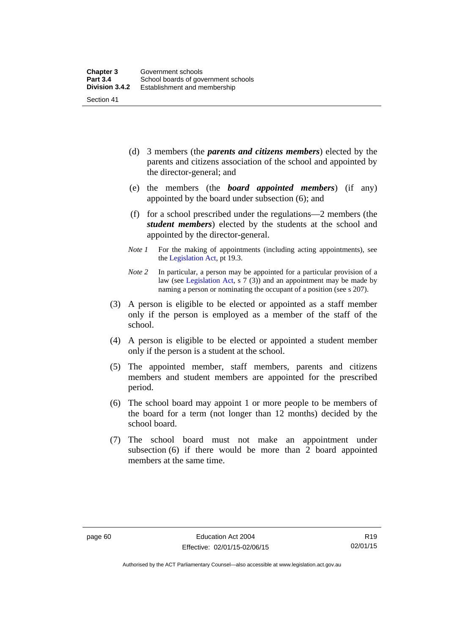- (d) 3 members (the *parents and citizens members*) elected by the parents and citizens association of the school and appointed by the director-general; and
- (e) the members (the *board appointed members*) (if any) appointed by the board under subsection (6); and
- (f) for a school prescribed under the regulations—2 members (the *student members*) elected by the students at the school and appointed by the director-general.
- *Note 1* For the making of appointments (including acting appointments), see the [Legislation Act,](http://www.legislation.act.gov.au/a/2001-14) pt 19.3.
- *Note 2* In particular, a person may be appointed for a particular provision of a law (see [Legislation Act,](http://www.legislation.act.gov.au/a/2001-14) s 7 (3)) and an appointment may be made by naming a person or nominating the occupant of a position (see s 207).
- (3) A person is eligible to be elected or appointed as a staff member only if the person is employed as a member of the staff of the school.
- (4) A person is eligible to be elected or appointed a student member only if the person is a student at the school.
- (5) The appointed member, staff members, parents and citizens members and student members are appointed for the prescribed period.
- (6) The school board may appoint 1 or more people to be members of the board for a term (not longer than 12 months) decided by the school board.
- (7) The school board must not make an appointment under subsection (6) if there would be more than 2 board appointed members at the same time.

Authorised by the ACT Parliamentary Counsel—also accessible at www.legislation.act.gov.au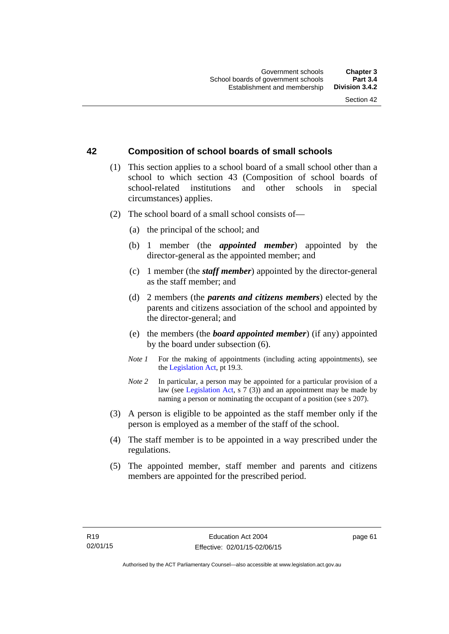## **42 Composition of school boards of small schools**

- (1) This section applies to a school board of a small school other than a school to which section 43 (Composition of school boards of school-related institutions and other schools in special circumstances) applies.
- (2) The school board of a small school consists of—
	- (a) the principal of the school; and
	- (b) 1 member (the *appointed member*) appointed by the director-general as the appointed member; and
	- (c) 1 member (the *staff member*) appointed by the director-general as the staff member; and
	- (d) 2 members (the *parents and citizens members*) elected by the parents and citizens association of the school and appointed by the director-general; and
	- (e) the members (the *board appointed member*) (if any) appointed by the board under subsection (6).
	- *Note 1* For the making of appointments (including acting appointments), see the [Legislation Act,](http://www.legislation.act.gov.au/a/2001-14) pt 19.3.
	- *Note* 2 In particular, a person may be appointed for a particular provision of a law (see [Legislation Act,](http://www.legislation.act.gov.au/a/2001-14) s 7 (3)) and an appointment may be made by naming a person or nominating the occupant of a position (see s 207).
- (3) A person is eligible to be appointed as the staff member only if the person is employed as a member of the staff of the school.
- (4) The staff member is to be appointed in a way prescribed under the regulations.
- (5) The appointed member, staff member and parents and citizens members are appointed for the prescribed period.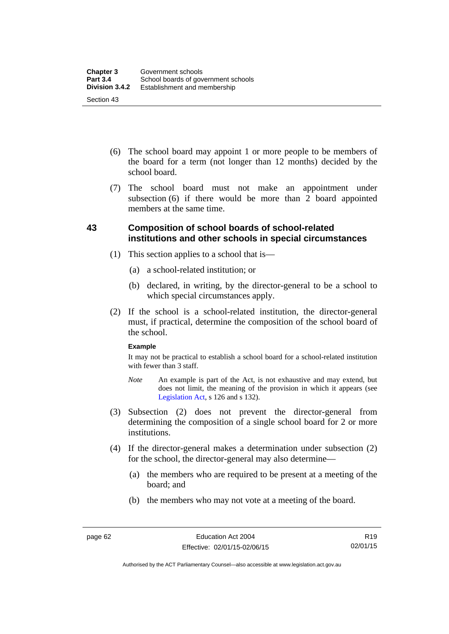- (6) The school board may appoint 1 or more people to be members of the board for a term (not longer than 12 months) decided by the school board.
- (7) The school board must not make an appointment under subsection  $(6)$  if there would be more than  $2$  board appointed members at the same time.

## **43 Composition of school boards of school-related institutions and other schools in special circumstances**

- (1) This section applies to a school that is—
	- (a) a school-related institution; or
	- (b) declared, in writing, by the director-general to be a school to which special circumstances apply.
- (2) If the school is a school-related institution, the director-general must, if practical, determine the composition of the school board of the school.

#### **Example**

It may not be practical to establish a school board for a school-related institution with fewer than 3 staff.

- *Note* An example is part of the Act, is not exhaustive and may extend, but does not limit, the meaning of the provision in which it appears (see [Legislation Act,](http://www.legislation.act.gov.au/a/2001-14) s 126 and s 132).
- (3) Subsection (2) does not prevent the director-general from determining the composition of a single school board for 2 or more institutions.
- (4) If the director-general makes a determination under subsection (2) for the school, the director-general may also determine—
	- (a) the members who are required to be present at a meeting of the board; and
	- (b) the members who may not vote at a meeting of the board.

Authorised by the ACT Parliamentary Counsel—also accessible at www.legislation.act.gov.au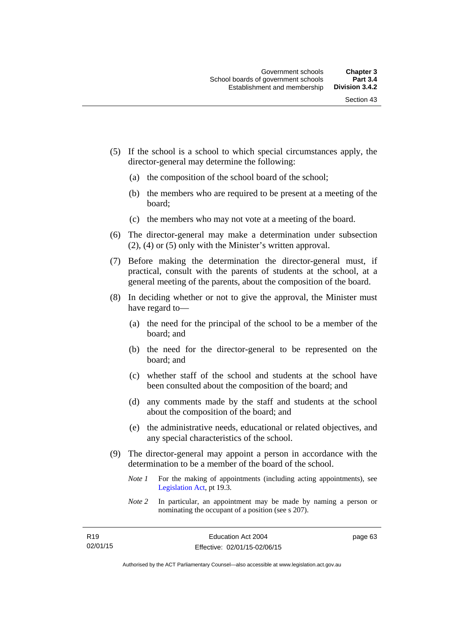- (5) If the school is a school to which special circumstances apply, the director-general may determine the following:
	- (a) the composition of the school board of the school;
	- (b) the members who are required to be present at a meeting of the board;
	- (c) the members who may not vote at a meeting of the board.
- (6) The director-general may make a determination under subsection (2), (4) or (5) only with the Minister's written approval.
- (7) Before making the determination the director-general must, if practical, consult with the parents of students at the school, at a general meeting of the parents, about the composition of the board.
- (8) In deciding whether or not to give the approval, the Minister must have regard to—
	- (a) the need for the principal of the school to be a member of the board; and
	- (b) the need for the director-general to be represented on the board; and
	- (c) whether staff of the school and students at the school have been consulted about the composition of the board; and
	- (d) any comments made by the staff and students at the school about the composition of the board; and
	- (e) the administrative needs, educational or related objectives, and any special characteristics of the school.
- (9) The director-general may appoint a person in accordance with the determination to be a member of the board of the school.
	- *Note 1* For the making of appointments (including acting appointments), see [Legislation Act,](http://www.legislation.act.gov.au/a/2001-14) pt 19.3.
	- *Note 2* In particular, an appointment may be made by naming a person or nominating the occupant of a position (see s 207).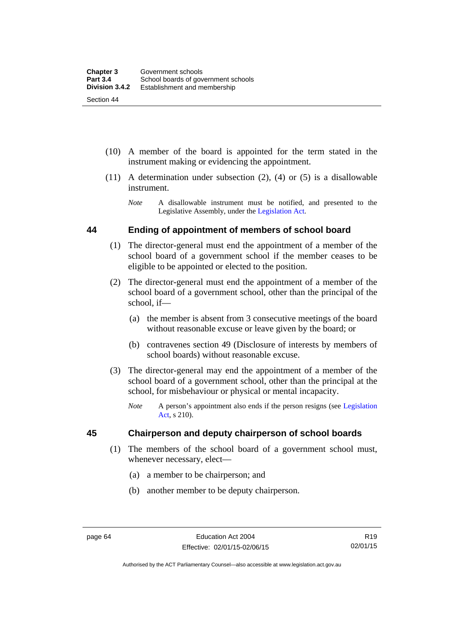(10) A member of the board is appointed for the term stated in the

instrument making or evidencing the appointment.

- (11) A determination under subsection (2), (4) or (5) is a disallowable instrument.
	- *Note* A disallowable instrument must be notified, and presented to the Legislative Assembly, under the [Legislation Act.](http://www.legislation.act.gov.au/a/2001-14)

## **44 Ending of appointment of members of school board**

- (1) The director-general must end the appointment of a member of the school board of a government school if the member ceases to be eligible to be appointed or elected to the position.
- (2) The director-general must end the appointment of a member of the school board of a government school, other than the principal of the school, if—
	- (a) the member is absent from 3 consecutive meetings of the board without reasonable excuse or leave given by the board; or
	- (b) contravenes section 49 (Disclosure of interests by members of school boards) without reasonable excuse.
- (3) The director-general may end the appointment of a member of the school board of a government school, other than the principal at the school, for misbehaviour or physical or mental incapacity.
	- *Note* A person's appointment also ends if the person resigns (see [Legislation](http://www.legislation.act.gov.au/a/2001-14)  [Act](http://www.legislation.act.gov.au/a/2001-14), s 210).

## **45 Chairperson and deputy chairperson of school boards**

- (1) The members of the school board of a government school must, whenever necessary, elect—
	- (a) a member to be chairperson; and
	- (b) another member to be deputy chairperson.

Authorised by the ACT Parliamentary Counsel—also accessible at www.legislation.act.gov.au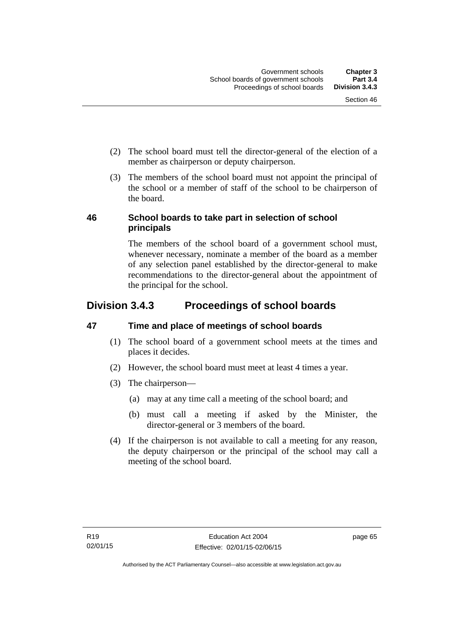- (2) The school board must tell the director-general of the election of a member as chairperson or deputy chairperson.
- (3) The members of the school board must not appoint the principal of the school or a member of staff of the school to be chairperson of the board.

## **46 School boards to take part in selection of school principals**

The members of the school board of a government school must, whenever necessary, nominate a member of the board as a member of any selection panel established by the director-general to make recommendations to the director-general about the appointment of the principal for the school.

## **Division 3.4.3 Proceedings of school boards**

## **47 Time and place of meetings of school boards**

- (1) The school board of a government school meets at the times and places it decides.
- (2) However, the school board must meet at least 4 times a year.
- (3) The chairperson—
	- (a) may at any time call a meeting of the school board; and
	- (b) must call a meeting if asked by the Minister, the director-general or 3 members of the board.
- (4) If the chairperson is not available to call a meeting for any reason, the deputy chairperson or the principal of the school may call a meeting of the school board.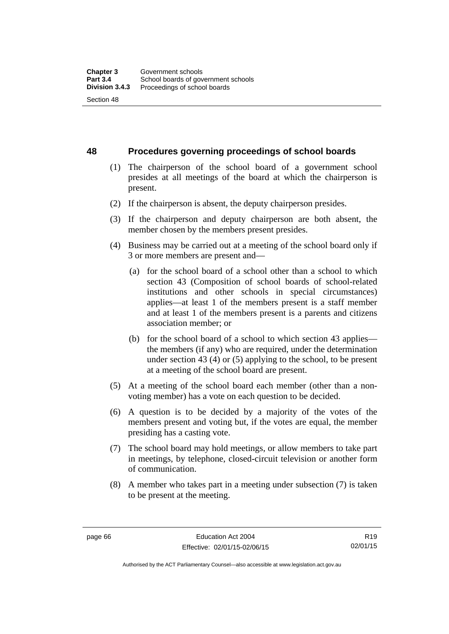**48 Procedures governing proceedings of school boards** 

- (1) The chairperson of the school board of a government school presides at all meetings of the board at which the chairperson is present.
- (2) If the chairperson is absent, the deputy chairperson presides.
- (3) If the chairperson and deputy chairperson are both absent, the member chosen by the members present presides.
- (4) Business may be carried out at a meeting of the school board only if 3 or more members are present and—
	- (a) for the school board of a school other than a school to which section 43 (Composition of school boards of school-related institutions and other schools in special circumstances) applies—at least 1 of the members present is a staff member and at least 1 of the members present is a parents and citizens association member; or
	- (b) for the school board of a school to which section 43 applies the members (if any) who are required, under the determination under section 43 (4) or (5) applying to the school, to be present at a meeting of the school board are present.
- (5) At a meeting of the school board each member (other than a nonvoting member) has a vote on each question to be decided.
- (6) A question is to be decided by a majority of the votes of the members present and voting but, if the votes are equal, the member presiding has a casting vote.
- (7) The school board may hold meetings, or allow members to take part in meetings, by telephone, closed-circuit television or another form of communication.
- (8) A member who takes part in a meeting under subsection (7) is taken to be present at the meeting.

R19 02/01/15

Authorised by the ACT Parliamentary Counsel—also accessible at www.legislation.act.gov.au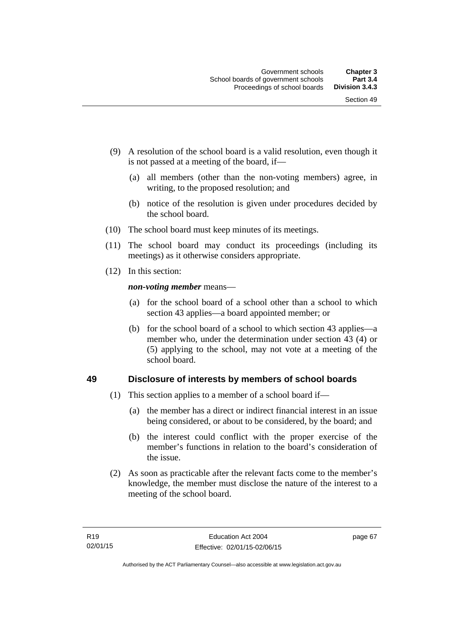- (9) A resolution of the school board is a valid resolution, even though it is not passed at a meeting of the board, if—
	- (a) all members (other than the non-voting members) agree, in writing, to the proposed resolution; and
	- (b) notice of the resolution is given under procedures decided by the school board.
- (10) The school board must keep minutes of its meetings.
- (11) The school board may conduct its proceedings (including its meetings) as it otherwise considers appropriate.
- (12) In this section:

*non-voting member* means—

- (a) for the school board of a school other than a school to which section 43 applies—a board appointed member; or
- (b) for the school board of a school to which section 43 applies—a member who, under the determination under section 43 (4) or (5) applying to the school, may not vote at a meeting of the school board.

## **49 Disclosure of interests by members of school boards**

- (1) This section applies to a member of a school board if—
	- (a) the member has a direct or indirect financial interest in an issue being considered, or about to be considered, by the board; and
	- (b) the interest could conflict with the proper exercise of the member's functions in relation to the board's consideration of the issue.
- (2) As soon as practicable after the relevant facts come to the member's knowledge, the member must disclose the nature of the interest to a meeting of the school board.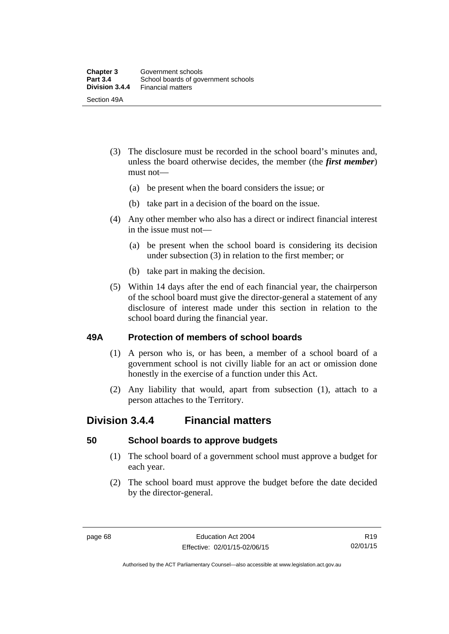- (3) The disclosure must be recorded in the school board's minutes and, unless the board otherwise decides, the member (the *first member*) must not—
	- (a) be present when the board considers the issue; or
	- (b) take part in a decision of the board on the issue.
- (4) Any other member who also has a direct or indirect financial interest in the issue must not—
	- (a) be present when the school board is considering its decision under subsection (3) in relation to the first member; or
	- (b) take part in making the decision.
- (5) Within 14 days after the end of each financial year, the chairperson of the school board must give the director-general a statement of any disclosure of interest made under this section in relation to the school board during the financial year.

### **49A Protection of members of school boards**

- (1) A person who is, or has been, a member of a school board of a government school is not civilly liable for an act or omission done honestly in the exercise of a function under this Act.
- (2) Any liability that would, apart from subsection (1), attach to a person attaches to the Territory.

## **Division 3.4.4 Financial matters**

### **50 School boards to approve budgets**

- (1) The school board of a government school must approve a budget for each year.
- (2) The school board must approve the budget before the date decided by the director-general.

Authorised by the ACT Parliamentary Counsel—also accessible at www.legislation.act.gov.au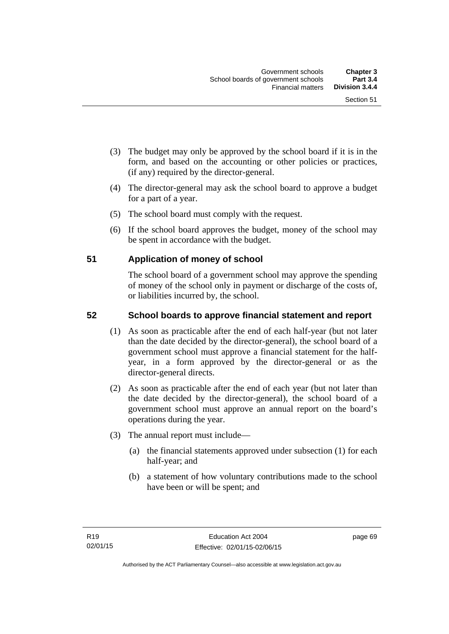- (3) The budget may only be approved by the school board if it is in the form, and based on the accounting or other policies or practices, (if any) required by the director-general.
- (4) The director-general may ask the school board to approve a budget for a part of a year.
- (5) The school board must comply with the request.
- (6) If the school board approves the budget, money of the school may be spent in accordance with the budget.

## **51 Application of money of school**

The school board of a government school may approve the spending of money of the school only in payment or discharge of the costs of, or liabilities incurred by, the school.

## **52 School boards to approve financial statement and report**

- (1) As soon as practicable after the end of each half-year (but not later than the date decided by the director-general), the school board of a government school must approve a financial statement for the halfyear, in a form approved by the director-general or as the director-general directs.
- (2) As soon as practicable after the end of each year (but not later than the date decided by the director-general), the school board of a government school must approve an annual report on the board's operations during the year.
- (3) The annual report must include—
	- (a) the financial statements approved under subsection (1) for each half-year; and
	- (b) a statement of how voluntary contributions made to the school have been or will be spent; and

page 69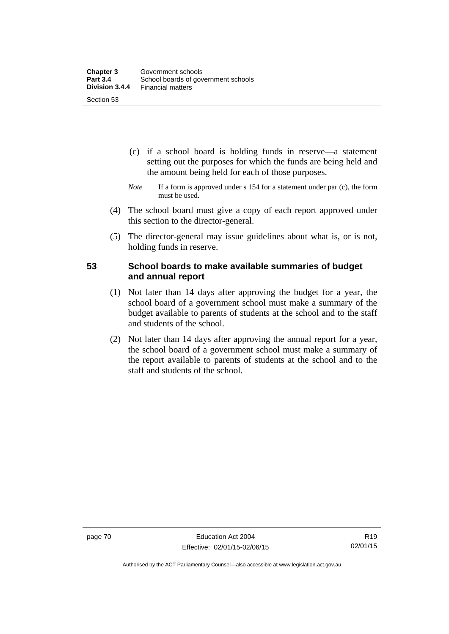- (c) if a school board is holding funds in reserve—a statement setting out the purposes for which the funds are being held and the amount being held for each of those purposes.
- *Note* If a form is approved under s 154 for a statement under par (c), the form must be used.
- (4) The school board must give a copy of each report approved under this section to the director-general.
- (5) The director-general may issue guidelines about what is, or is not, holding funds in reserve.

## **53 School boards to make available summaries of budget and annual report**

- (1) Not later than 14 days after approving the budget for a year, the school board of a government school must make a summary of the budget available to parents of students at the school and to the staff and students of the school.
- (2) Not later than 14 days after approving the annual report for a year, the school board of a government school must make a summary of the report available to parents of students at the school and to the staff and students of the school.

Authorised by the ACT Parliamentary Counsel—also accessible at www.legislation.act.gov.au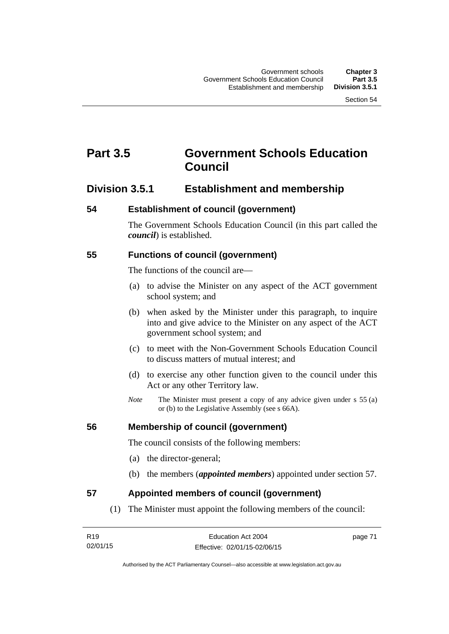# **Part 3.5 Government Schools Education Council**

## **Division 3.5.1 Establishment and membership**

#### **54 Establishment of council (government)**

The Government Schools Education Council (in this part called the *council*) is established.

### **55 Functions of council (government)**

The functions of the council are—

- (a) to advise the Minister on any aspect of the ACT government school system; and
- (b) when asked by the Minister under this paragraph, to inquire into and give advice to the Minister on any aspect of the ACT government school system; and
- (c) to meet with the Non-Government Schools Education Council to discuss matters of mutual interest; and
- (d) to exercise any other function given to the council under this Act or any other Territory law.
- *Note* The Minister must present a copy of any advice given under s 55 (a) or (b) to the Legislative Assembly (see s 66A).

### **56 Membership of council (government)**

The council consists of the following members:

- (a) the director-general;
- (b) the members (*appointed members*) appointed under section 57.

### **57 Appointed members of council (government)**

(1) The Minister must appoint the following members of the council:

| R <sub>19</sub> | Education Act 2004           | page 71 |
|-----------------|------------------------------|---------|
| 02/01/15        | Effective: 02/01/15-02/06/15 |         |

Authorised by the ACT Parliamentary Counsel—also accessible at www.legislation.act.gov.au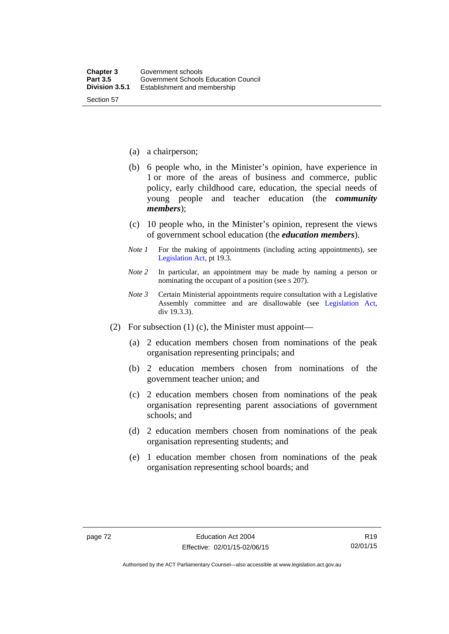- (a) a chairperson;
- (b) 6 people who, in the Minister's opinion, have experience in 1 or more of the areas of business and commerce, public policy, early childhood care, education, the special needs of young people and teacher education (the *community members*);
- (c) 10 people who, in the Minister's opinion, represent the views of government school education (the *education members*).
- *Note 1* For the making of appointments (including acting appointments), see [Legislation Act,](http://www.legislation.act.gov.au/a/2001-14) pt 19.3.
- *Note 2* In particular, an appointment may be made by naming a person or nominating the occupant of a position (see s 207).
- *Note 3* Certain Ministerial appointments require consultation with a Legislative Assembly committee and are disallowable (see [Legislation Act,](http://www.legislation.act.gov.au/a/2001-14) div 19.3.3).
- (2) For subsection (1) (c), the Minister must appoint—
	- (a) 2 education members chosen from nominations of the peak organisation representing principals; and
	- (b) 2 education members chosen from nominations of the government teacher union; and
	- (c) 2 education members chosen from nominations of the peak organisation representing parent associations of government schools; and
	- (d) 2 education members chosen from nominations of the peak organisation representing students; and
	- (e) 1 education member chosen from nominations of the peak organisation representing school boards; and

Authorised by the ACT Parliamentary Counsel—also accessible at www.legislation.act.gov.au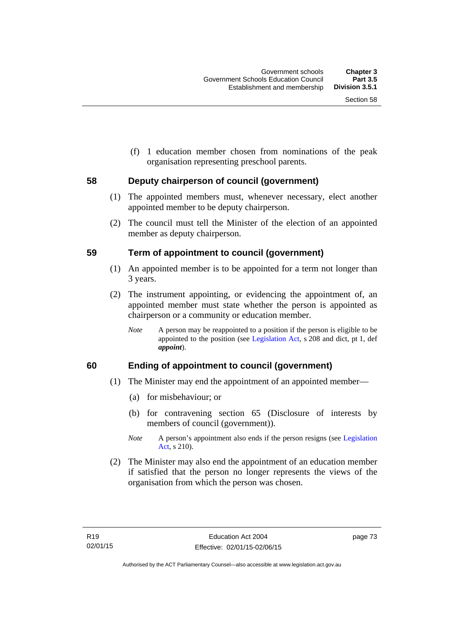(f) 1 education member chosen from nominations of the peak organisation representing preschool parents.

## **58 Deputy chairperson of council (government)**

- (1) The appointed members must, whenever necessary, elect another appointed member to be deputy chairperson.
- (2) The council must tell the Minister of the election of an appointed member as deputy chairperson.

## **59 Term of appointment to council (government)**

- (1) An appointed member is to be appointed for a term not longer than 3 years.
- (2) The instrument appointing, or evidencing the appointment of, an appointed member must state whether the person is appointed as chairperson or a community or education member.
	- *Note* A person may be reappointed to a position if the person is eligible to be appointed to the position (see [Legislation Act](http://www.legislation.act.gov.au/a/2001-14), s 208 and dict, pt 1, def *appoint*).

## **60 Ending of appointment to council (government)**

- (1) The Minister may end the appointment of an appointed member—
	- (a) for misbehaviour; or
	- (b) for contravening section 65 (Disclosure of interests by members of council (government)).
	- *Note* A person's appointment also ends if the person resigns (see Legislation [Act](http://www.legislation.act.gov.au/a/2001-14), s 210).
- (2) The Minister may also end the appointment of an education member if satisfied that the person no longer represents the views of the organisation from which the person was chosen.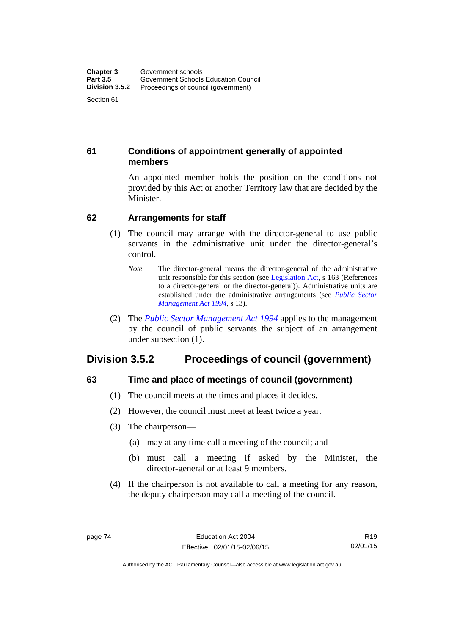## **61 Conditions of appointment generally of appointed members**

An appointed member holds the position on the conditions not provided by this Act or another Territory law that are decided by the Minister.

## **62 Arrangements for staff**

- (1) The council may arrange with the director-general to use public servants in the administrative unit under the director-general's control.
	- *Note* The director-general means the director-general of the administrative unit responsible for this section (see [Legislation Act](http://www.legislation.act.gov.au/a/2001-14), s 163 (References to a director-general or the director-general)). Administrative units are established under the administrative arrangements (see *[Public Sector](http://www.legislation.act.gov.au/a/1994-37)  [Management Act 1994](http://www.legislation.act.gov.au/a/1994-37)*, s 13).
- (2) The *[Public Sector Management Act 1994](http://www.legislation.act.gov.au/a/1994-37)* applies to the management by the council of public servants the subject of an arrangement under subsection (1).

## **Division 3.5.2 Proceedings of council (government)**

## **63 Time and place of meetings of council (government)**

- (1) The council meets at the times and places it decides.
- (2) However, the council must meet at least twice a year.
- (3) The chairperson—
	- (a) may at any time call a meeting of the council; and
	- (b) must call a meeting if asked by the Minister, the director-general or at least 9 members.
- (4) If the chairperson is not available to call a meeting for any reason, the deputy chairperson may call a meeting of the council.

Authorised by the ACT Parliamentary Counsel—also accessible at www.legislation.act.gov.au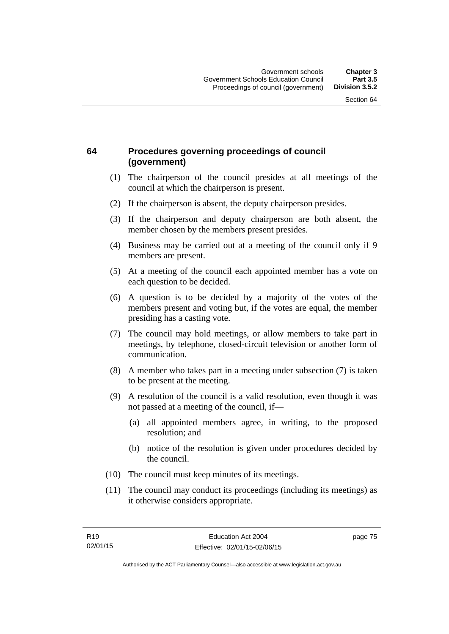## **64 Procedures governing proceedings of council (government)**

- (1) The chairperson of the council presides at all meetings of the council at which the chairperson is present.
- (2) If the chairperson is absent, the deputy chairperson presides.
- (3) If the chairperson and deputy chairperson are both absent, the member chosen by the members present presides.
- (4) Business may be carried out at a meeting of the council only if 9 members are present.
- (5) At a meeting of the council each appointed member has a vote on each question to be decided.
- (6) A question is to be decided by a majority of the votes of the members present and voting but, if the votes are equal, the member presiding has a casting vote.
- (7) The council may hold meetings, or allow members to take part in meetings, by telephone, closed-circuit television or another form of communication.
- (8) A member who takes part in a meeting under subsection (7) is taken to be present at the meeting.
- (9) A resolution of the council is a valid resolution, even though it was not passed at a meeting of the council, if—
	- (a) all appointed members agree, in writing, to the proposed resolution; and
	- (b) notice of the resolution is given under procedures decided by the council.
- (10) The council must keep minutes of its meetings.
- (11) The council may conduct its proceedings (including its meetings) as it otherwise considers appropriate.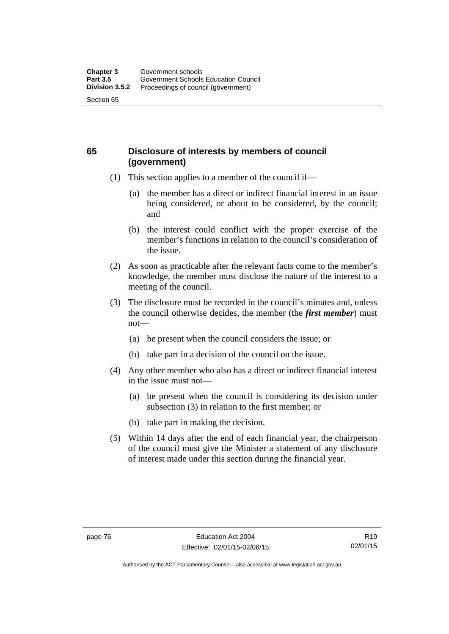## **65 Disclosure of interests by members of council (government)**

- (1) This section applies to a member of the council if—
	- (a) the member has a direct or indirect financial interest in an issue being considered, or about to be considered, by the council; and
	- (b) the interest could conflict with the proper exercise of the member's functions in relation to the council's consideration of the issue.
- (2) As soon as practicable after the relevant facts come to the member's knowledge, the member must disclose the nature of the interest to a meeting of the council.
- (3) The disclosure must be recorded in the council's minutes and, unless the council otherwise decides, the member (the *first member*) must not—
	- (a) be present when the council considers the issue; or
	- (b) take part in a decision of the council on the issue.
- (4) Any other member who also has a direct or indirect financial interest in the issue must not—
	- (a) be present when the council is considering its decision under subsection (3) in relation to the first member; or
	- (b) take part in making the decision.
- (5) Within 14 days after the end of each financial year, the chairperson of the council must give the Minister a statement of any disclosure of interest made under this section during the financial year.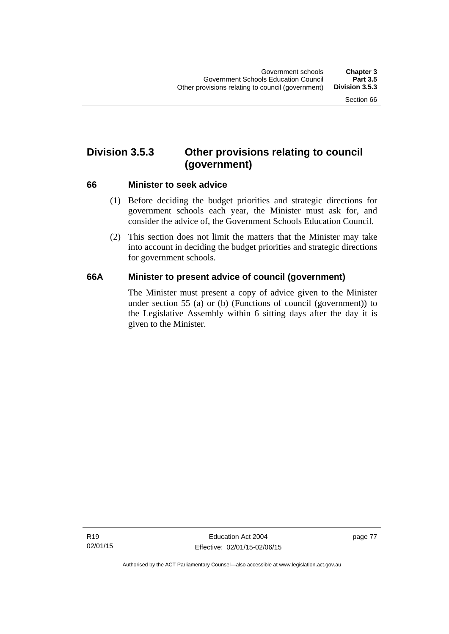# **Division 3.5.3 Other provisions relating to council (government)**

### **66 Minister to seek advice**

- (1) Before deciding the budget priorities and strategic directions for government schools each year, the Minister must ask for, and consider the advice of, the Government Schools Education Council.
- (2) This section does not limit the matters that the Minister may take into account in deciding the budget priorities and strategic directions for government schools.

## **66A Minister to present advice of council (government)**

The Minister must present a copy of advice given to the Minister under section 55 (a) or (b) (Functions of council (government)) to the Legislative Assembly within 6 sitting days after the day it is given to the Minister.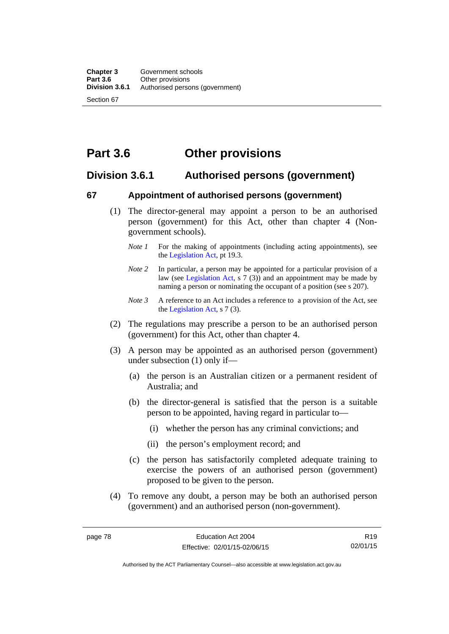# **Part 3.6 Other provisions**

## **Division 3.6.1 Authorised persons (government)**

## **67 Appointment of authorised persons (government)**

- (1) The director-general may appoint a person to be an authorised person (government) for this Act, other than chapter 4 (Nongovernment schools).
	- *Note 1* For the making of appointments (including acting appointments), see the [Legislation Act,](http://www.legislation.act.gov.au/a/2001-14) pt 19.3.
	- *Note 2* In particular, a person may be appointed for a particular provision of a law (see [Legislation Act,](http://www.legislation.act.gov.au/a/2001-14) s 7 (3)) and an appointment may be made by naming a person or nominating the occupant of a position (see s 207).
	- *Note 3* A reference to an Act includes a reference to a provision of the Act, see the [Legislation Act,](http://www.legislation.act.gov.au/a/2001-14) s 7 (3).
- (2) The regulations may prescribe a person to be an authorised person (government) for this Act, other than chapter 4.
- (3) A person may be appointed as an authorised person (government) under subsection (1) only if—
	- (a) the person is an Australian citizen or a permanent resident of Australia; and
	- (b) the director-general is satisfied that the person is a suitable person to be appointed, having regard in particular to—
		- (i) whether the person has any criminal convictions; and
		- (ii) the person's employment record; and
	- (c) the person has satisfactorily completed adequate training to exercise the powers of an authorised person (government) proposed to be given to the person.
- (4) To remove any doubt, a person may be both an authorised person (government) and an authorised person (non-government).

R19 02/01/15

Authorised by the ACT Parliamentary Counsel—also accessible at www.legislation.act.gov.au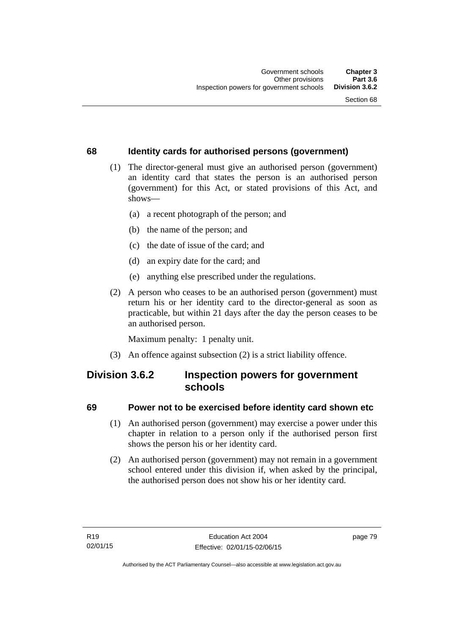## **68 Identity cards for authorised persons (government)**

- (1) The director-general must give an authorised person (government) an identity card that states the person is an authorised person (government) for this Act, or stated provisions of this Act, and shows—
	- (a) a recent photograph of the person; and
	- (b) the name of the person; and
	- (c) the date of issue of the card; and
	- (d) an expiry date for the card; and
	- (e) anything else prescribed under the regulations.
- (2) A person who ceases to be an authorised person (government) must return his or her identity card to the director-general as soon as practicable, but within 21 days after the day the person ceases to be an authorised person.

Maximum penalty: 1 penalty unit.

(3) An offence against subsection (2) is a strict liability offence.

## **Division 3.6.2 Inspection powers for government schools**

## **69 Power not to be exercised before identity card shown etc**

- (1) An authorised person (government) may exercise a power under this chapter in relation to a person only if the authorised person first shows the person his or her identity card.
- (2) An authorised person (government) may not remain in a government school entered under this division if, when asked by the principal, the authorised person does not show his or her identity card.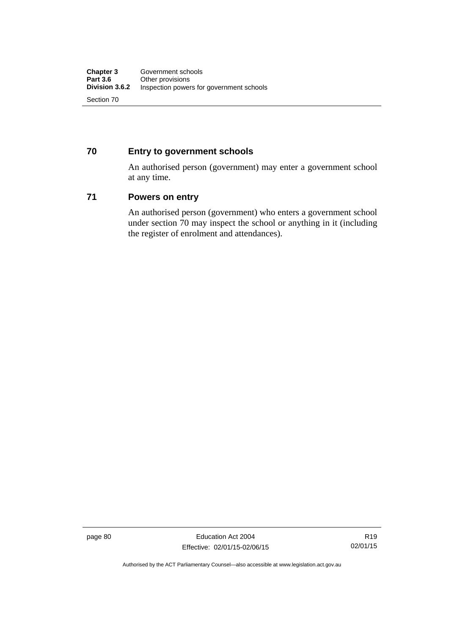## **70 Entry to government schools**

An authorised person (government) may enter a government school at any time.

## **71 Powers on entry**

An authorised person (government) who enters a government school under section 70 may inspect the school or anything in it (including the register of enrolment and attendances).

page 80 Education Act 2004 Effective: 02/01/15-02/06/15

Authorised by the ACT Parliamentary Counsel—also accessible at www.legislation.act.gov.au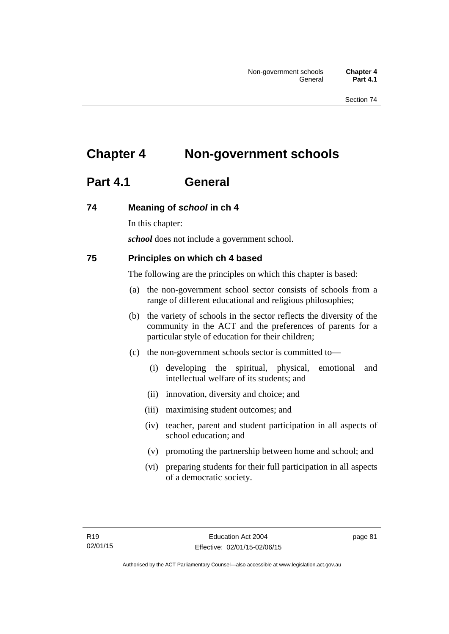# **Chapter 4 Non-government schools**

# **Part 4.1 General**

## **74 Meaning of** *school* **in ch 4**

In this chapter:

*school* does not include a government school.

## **75 Principles on which ch 4 based**

The following are the principles on which this chapter is based:

- (a) the non-government school sector consists of schools from a range of different educational and religious philosophies;
- (b) the variety of schools in the sector reflects the diversity of the community in the ACT and the preferences of parents for a particular style of education for their children;
- (c) the non-government schools sector is committed to—
	- (i) developing the spiritual, physical, emotional and intellectual welfare of its students; and
	- (ii) innovation, diversity and choice; and
	- (iii) maximising student outcomes; and
	- (iv) teacher, parent and student participation in all aspects of school education; and
	- (v) promoting the partnership between home and school; and
	- (vi) preparing students for their full participation in all aspects of a democratic society.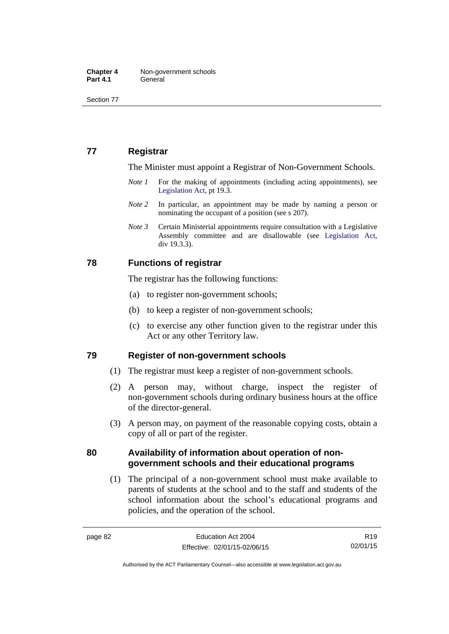Section 77

## **77 Registrar**

The Minister must appoint a Registrar of Non-Government Schools.

- *Note 1* For the making of appointments (including acting appointments), see [Legislation Act,](http://www.legislation.act.gov.au/a/2001-14) pt 19.3.
- *Note* 2 In particular, an appointment may be made by naming a person or nominating the occupant of a position (see s 207).
- *Note 3* Certain Ministerial appointments require consultation with a Legislative Assembly committee and are disallowable (see [Legislation Act,](http://www.legislation.act.gov.au/a/2001-14) div 19.3.3).

## **78 Functions of registrar**

The registrar has the following functions:

- (a) to register non-government schools;
- (b) to keep a register of non-government schools;
- (c) to exercise any other function given to the registrar under this Act or any other Territory law.

### **79 Register of non-government schools**

- (1) The registrar must keep a register of non-government schools.
- (2) A person may, without charge, inspect the register of non-government schools during ordinary business hours at the office of the director-general.
- (3) A person may, on payment of the reasonable copying costs, obtain a copy of all or part of the register.

## **80 Availability of information about operation of nongovernment schools and their educational programs**

(1) The principal of a non-government school must make available to parents of students at the school and to the staff and students of the school information about the school's educational programs and policies, and the operation of the school.

R19 02/01/15

Authorised by the ACT Parliamentary Counsel—also accessible at www.legislation.act.gov.au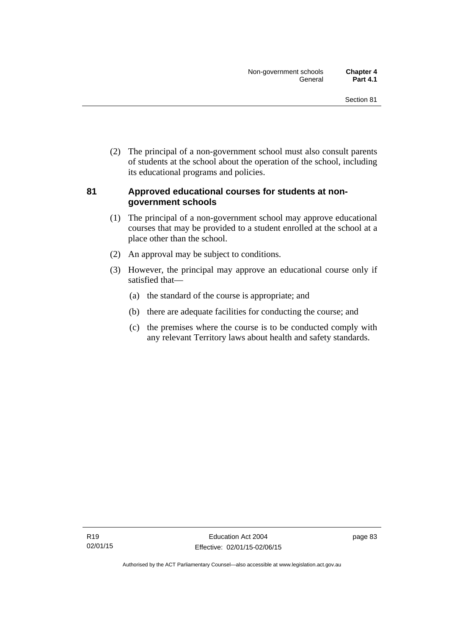(2) The principal of a non-government school must also consult parents of students at the school about the operation of the school, including its educational programs and policies.

## **81 Approved educational courses for students at nongovernment schools**

- (1) The principal of a non-government school may approve educational courses that may be provided to a student enrolled at the school at a place other than the school.
- (2) An approval may be subject to conditions.
- (3) However, the principal may approve an educational course only if satisfied that—
	- (a) the standard of the course is appropriate; and
	- (b) there are adequate facilities for conducting the course; and
	- (c) the premises where the course is to be conducted comply with any relevant Territory laws about health and safety standards.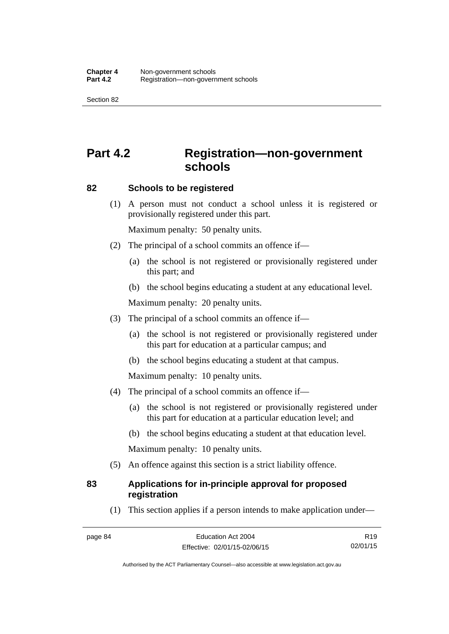Section 82

# **Part 4.2 Registration—non-government schools**

### **82 Schools to be registered**

 (1) A person must not conduct a school unless it is registered or provisionally registered under this part.

Maximum penalty: 50 penalty units.

- (2) The principal of a school commits an offence if—
	- (a) the school is not registered or provisionally registered under this part; and
	- (b) the school begins educating a student at any educational level.

Maximum penalty: 20 penalty units.

- (3) The principal of a school commits an offence if—
	- (a) the school is not registered or provisionally registered under this part for education at a particular campus; and
	- (b) the school begins educating a student at that campus.

Maximum penalty: 10 penalty units.

- (4) The principal of a school commits an offence if—
	- (a) the school is not registered or provisionally registered under this part for education at a particular education level; and
	- (b) the school begins educating a student at that education level.

Maximum penalty: 10 penalty units.

(5) An offence against this section is a strict liability offence.

## **83 Applications for in-principle approval for proposed registration**

(1) This section applies if a person intends to make application under—

R19 02/01/15

Authorised by the ACT Parliamentary Counsel—also accessible at www.legislation.act.gov.au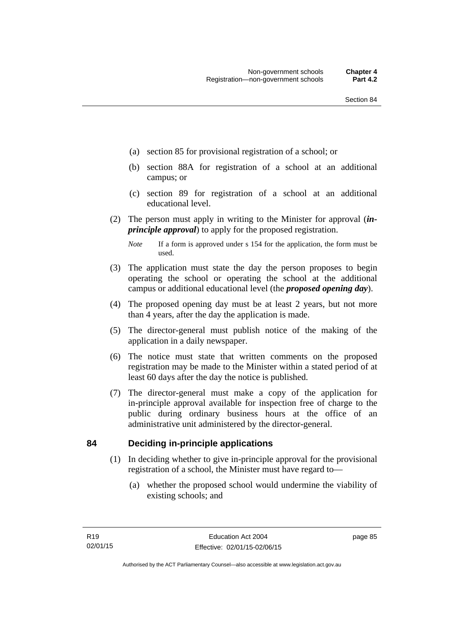- (a) section 85 for provisional registration of a school; or
- (b) section 88A for registration of a school at an additional campus; or
- (c) section 89 for registration of a school at an additional educational level.
- (2) The person must apply in writing to the Minister for approval (*inprinciple approval*) to apply for the proposed registration.
	- *Note* If a form is approved under s 154 for the application, the form must be used.
- (3) The application must state the day the person proposes to begin operating the school or operating the school at the additional campus or additional educational level (the *proposed opening day*).
- (4) The proposed opening day must be at least 2 years, but not more than 4 years, after the day the application is made.
- (5) The director-general must publish notice of the making of the application in a daily newspaper.
- (6) The notice must state that written comments on the proposed registration may be made to the Minister within a stated period of at least 60 days after the day the notice is published.
- (7) The director-general must make a copy of the application for in-principle approval available for inspection free of charge to the public during ordinary business hours at the office of an administrative unit administered by the director-general.

### **84 Deciding in-principle applications**

- (1) In deciding whether to give in-principle approval for the provisional registration of a school, the Minister must have regard to—
	- (a) whether the proposed school would undermine the viability of existing schools; and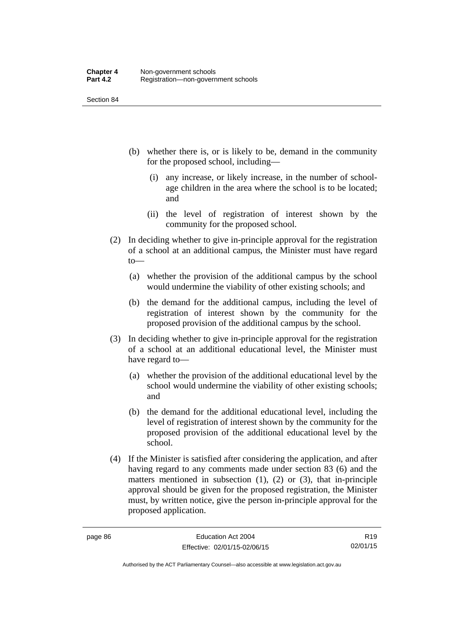Section 84

- (b) whether there is, or is likely to be, demand in the community for the proposed school, including—
	- (i) any increase, or likely increase, in the number of schoolage children in the area where the school is to be located; and
	- (ii) the level of registration of interest shown by the community for the proposed school.
- (2) In deciding whether to give in-principle approval for the registration of a school at an additional campus, the Minister must have regard to—
	- (a) whether the provision of the additional campus by the school would undermine the viability of other existing schools; and
	- (b) the demand for the additional campus, including the level of registration of interest shown by the community for the proposed provision of the additional campus by the school.
- (3) In deciding whether to give in-principle approval for the registration of a school at an additional educational level, the Minister must have regard to—
	- (a) whether the provision of the additional educational level by the school would undermine the viability of other existing schools; and
	- (b) the demand for the additional educational level, including the level of registration of interest shown by the community for the proposed provision of the additional educational level by the school.
- (4) If the Minister is satisfied after considering the application, and after having regard to any comments made under section 83 (6) and the matters mentioned in subsection  $(1)$ ,  $(2)$  or  $(3)$ , that in-principle approval should be given for the proposed registration, the Minister must, by written notice, give the person in-principle approval for the proposed application.

R19 02/01/15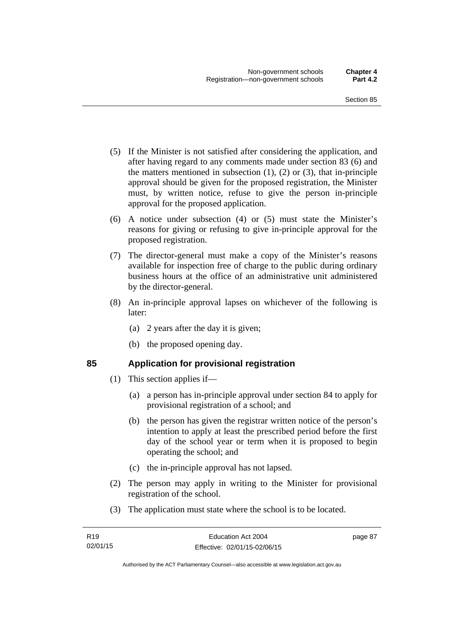- (5) If the Minister is not satisfied after considering the application, and after having regard to any comments made under section 83 (6) and the matters mentioned in subsection  $(1)$ ,  $(2)$  or  $(3)$ , that in-principle approval should be given for the proposed registration, the Minister must, by written notice, refuse to give the person in-principle approval for the proposed application.
- (6) A notice under subsection (4) or (5) must state the Minister's reasons for giving or refusing to give in-principle approval for the proposed registration.
- (7) The director-general must make a copy of the Minister's reasons available for inspection free of charge to the public during ordinary business hours at the office of an administrative unit administered by the director-general.
- (8) An in-principle approval lapses on whichever of the following is later:
	- (a) 2 years after the day it is given;
	- (b) the proposed opening day.

## **85 Application for provisional registration**

- (1) This section applies if—
	- (a) a person has in-principle approval under section 84 to apply for provisional registration of a school; and
	- (b) the person has given the registrar written notice of the person's intention to apply at least the prescribed period before the first day of the school year or term when it is proposed to begin operating the school; and
	- (c) the in-principle approval has not lapsed.
- (2) The person may apply in writing to the Minister for provisional registration of the school.
- (3) The application must state where the school is to be located.

page 87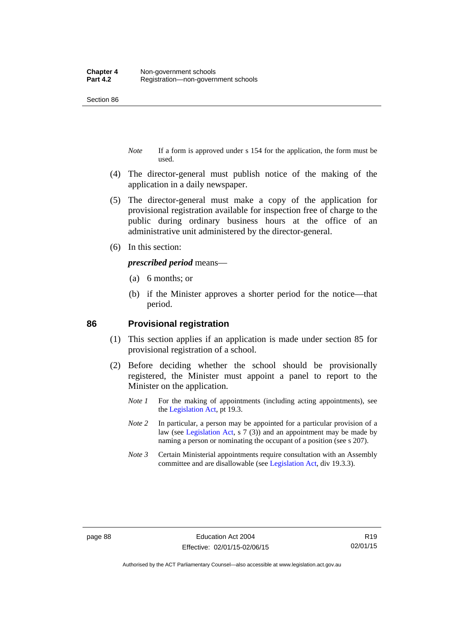Section 86

- *Note* If a form is approved under s 154 for the application, the form must be used.
- (4) The director-general must publish notice of the making of the application in a daily newspaper.
- (5) The director-general must make a copy of the application for provisional registration available for inspection free of charge to the public during ordinary business hours at the office of an administrative unit administered by the director-general.
- (6) In this section:

*prescribed period* means—

- (a) 6 months; or
- (b) if the Minister approves a shorter period for the notice—that period.

#### **86 Provisional registration**

- (1) This section applies if an application is made under section 85 for provisional registration of a school.
- (2) Before deciding whether the school should be provisionally registered, the Minister must appoint a panel to report to the Minister on the application.
	- *Note 1* For the making of appointments (including acting appointments), see the [Legislation Act,](http://www.legislation.act.gov.au/a/2001-14) pt 19.3.
	- *Note 2* In particular, a person may be appointed for a particular provision of a law (see [Legislation Act,](http://www.legislation.act.gov.au/a/2001-14) s 7 (3)) and an appointment may be made by naming a person or nominating the occupant of a position (see s 207).
	- *Note 3* Certain Ministerial appointments require consultation with an Assembly committee and are disallowable (see [Legislation Act](http://www.legislation.act.gov.au/a/2001-14), div 19.3.3).

R19 02/01/15

Authorised by the ACT Parliamentary Counsel—also accessible at www.legislation.act.gov.au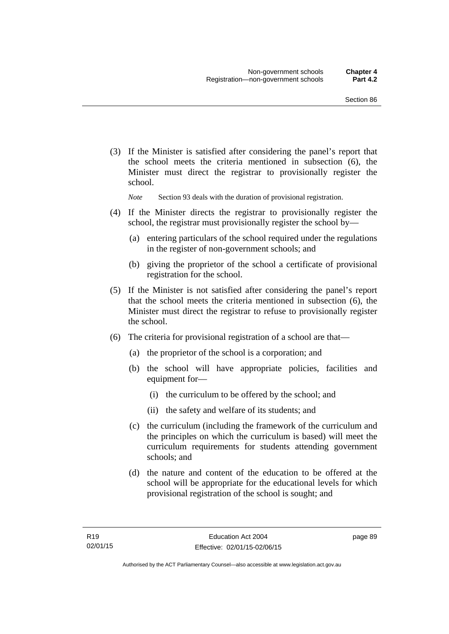(3) If the Minister is satisfied after considering the panel's report that the school meets the criteria mentioned in subsection (6), the Minister must direct the registrar to provisionally register the school.

*Note* Section 93 deals with the duration of provisional registration.

- (4) If the Minister directs the registrar to provisionally register the school, the registrar must provisionally register the school by—
	- (a) entering particulars of the school required under the regulations in the register of non-government schools; and
	- (b) giving the proprietor of the school a certificate of provisional registration for the school.
- (5) If the Minister is not satisfied after considering the panel's report that the school meets the criteria mentioned in subsection (6), the Minister must direct the registrar to refuse to provisionally register the school.
- (6) The criteria for provisional registration of a school are that—
	- (a) the proprietor of the school is a corporation; and
	- (b) the school will have appropriate policies, facilities and equipment for-
		- (i) the curriculum to be offered by the school; and
		- (ii) the safety and welfare of its students; and
	- (c) the curriculum (including the framework of the curriculum and the principles on which the curriculum is based) will meet the curriculum requirements for students attending government schools; and
	- (d) the nature and content of the education to be offered at the school will be appropriate for the educational levels for which provisional registration of the school is sought; and

page 89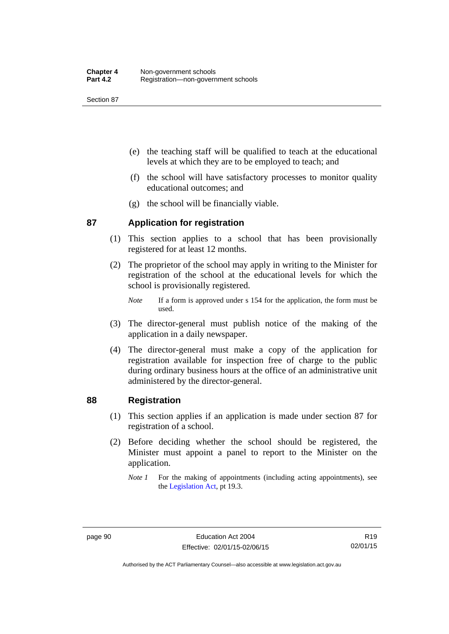Section 87

- (e) the teaching staff will be qualified to teach at the educational levels at which they are to be employed to teach; and
- (f) the school will have satisfactory processes to monitor quality educational outcomes; and
- (g) the school will be financially viable.

## **87 Application for registration**

- (1) This section applies to a school that has been provisionally registered for at least 12 months.
- (2) The proprietor of the school may apply in writing to the Minister for registration of the school at the educational levels for which the school is provisionally registered.
	- *Note* If a form is approved under s 154 for the application, the form must be used.
- (3) The director-general must publish notice of the making of the application in a daily newspaper.
- (4) The director-general must make a copy of the application for registration available for inspection free of charge to the public during ordinary business hours at the office of an administrative unit administered by the director-general.

### **88 Registration**

- (1) This section applies if an application is made under section 87 for registration of a school.
- (2) Before deciding whether the school should be registered, the Minister must appoint a panel to report to the Minister on the application.
	- *Note 1* For the making of appointments (including acting appointments), see the [Legislation Act,](http://www.legislation.act.gov.au/a/2001-14) pt 19.3.

Authorised by the ACT Parliamentary Counsel—also accessible at www.legislation.act.gov.au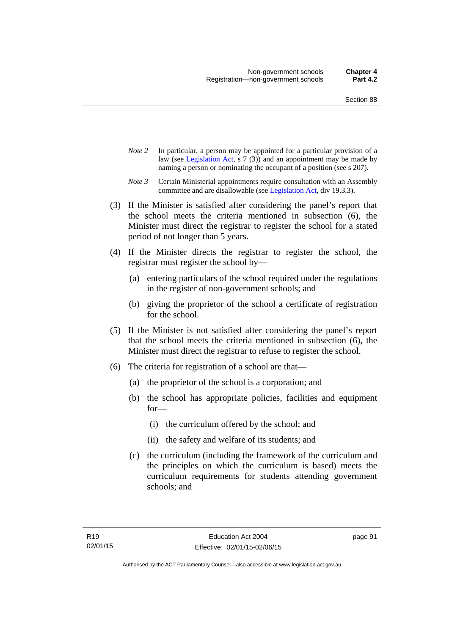- *Note 2* In particular, a person may be appointed for a particular provision of a law (see [Legislation Act,](http://www.legislation.act.gov.au/a/2001-14) s 7 (3)) and an appointment may be made by naming a person or nominating the occupant of a position (see s 207).
- *Note 3* Certain Ministerial appointments require consultation with an Assembly committee and are disallowable (see [Legislation Act](http://www.legislation.act.gov.au/a/2001-14), div 19.3.3).
- (3) If the Minister is satisfied after considering the panel's report that the school meets the criteria mentioned in subsection (6), the Minister must direct the registrar to register the school for a stated period of not longer than 5 years.
- (4) If the Minister directs the registrar to register the school, the registrar must register the school by—
	- (a) entering particulars of the school required under the regulations in the register of non-government schools; and
	- (b) giving the proprietor of the school a certificate of registration for the school.
- (5) If the Minister is not satisfied after considering the panel's report that the school meets the criteria mentioned in subsection (6), the Minister must direct the registrar to refuse to register the school.
- (6) The criteria for registration of a school are that—
	- (a) the proprietor of the school is a corporation; and
	- (b) the school has appropriate policies, facilities and equipment for—
		- (i) the curriculum offered by the school; and
		- (ii) the safety and welfare of its students; and
	- (c) the curriculum (including the framework of the curriculum and the principles on which the curriculum is based) meets the curriculum requirements for students attending government schools; and

page 91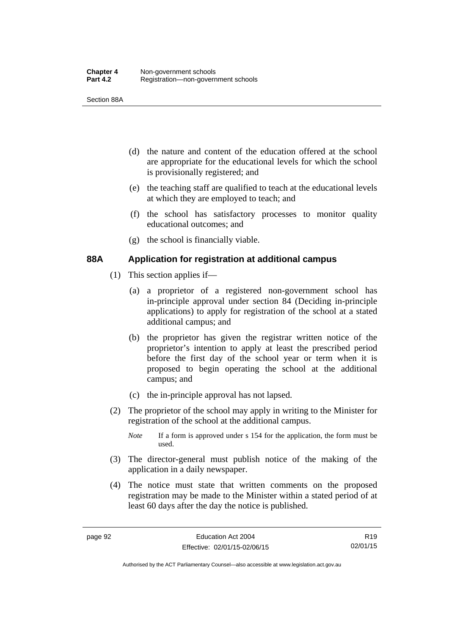Section 88A

- (d) the nature and content of the education offered at the school are appropriate for the educational levels for which the school is provisionally registered; and
- (e) the teaching staff are qualified to teach at the educational levels at which they are employed to teach; and
- (f) the school has satisfactory processes to monitor quality educational outcomes; and
- (g) the school is financially viable.

## **88A Application for registration at additional campus**

- (1) This section applies if—
	- (a) a proprietor of a registered non-government school has in-principle approval under section 84 (Deciding in-principle applications) to apply for registration of the school at a stated additional campus; and
	- (b) the proprietor has given the registrar written notice of the proprietor's intention to apply at least the prescribed period before the first day of the school year or term when it is proposed to begin operating the school at the additional campus; and
	- (c) the in-principle approval has not lapsed.
- (2) The proprietor of the school may apply in writing to the Minister for registration of the school at the additional campus.
	- *Note* If a form is approved under s 154 for the application, the form must be used.
- (3) The director-general must publish notice of the making of the application in a daily newspaper.
- (4) The notice must state that written comments on the proposed registration may be made to the Minister within a stated period of at least 60 days after the day the notice is published.

R19 02/01/15

Authorised by the ACT Parliamentary Counsel—also accessible at www.legislation.act.gov.au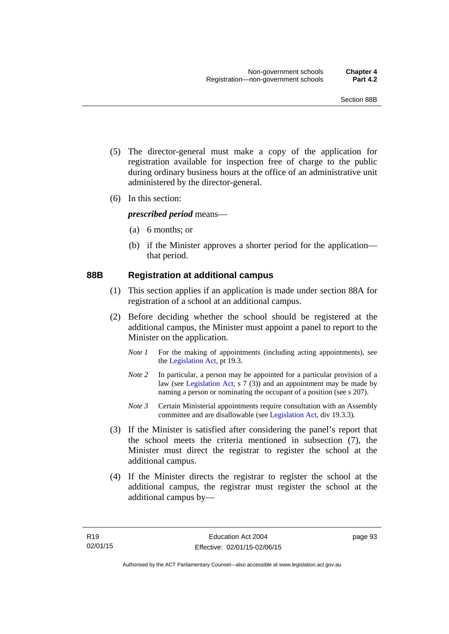- (5) The director-general must make a copy of the application for registration available for inspection free of charge to the public during ordinary business hours at the office of an administrative unit administered by the director-general.
- (6) In this section:

*prescribed period* means—

- (a) 6 months; or
- (b) if the Minister approves a shorter period for the application that period.

#### **88B Registration at additional campus**

- (1) This section applies if an application is made under section 88A for registration of a school at an additional campus.
- (2) Before deciding whether the school should be registered at the additional campus, the Minister must appoint a panel to report to the Minister on the application.
	- *Note 1* For the making of appointments (including acting appointments), see the [Legislation Act,](http://www.legislation.act.gov.au/a/2001-14) pt 19.3.
	- *Note 2* In particular, a person may be appointed for a particular provision of a law (see [Legislation Act,](http://www.legislation.act.gov.au/a/2001-14) s 7 (3)) and an appointment may be made by naming a person or nominating the occupant of a position (see s 207).
	- *Note 3* Certain Ministerial appointments require consultation with an Assembly committee and are disallowable (see [Legislation Act](http://www.legislation.act.gov.au/a/2001-14), div 19.3.3).
- (3) If the Minister is satisfied after considering the panel's report that the school meets the criteria mentioned in subsection (7), the Minister must direct the registrar to register the school at the additional campus.
- (4) If the Minister directs the registrar to register the school at the additional campus, the registrar must register the school at the additional campus by—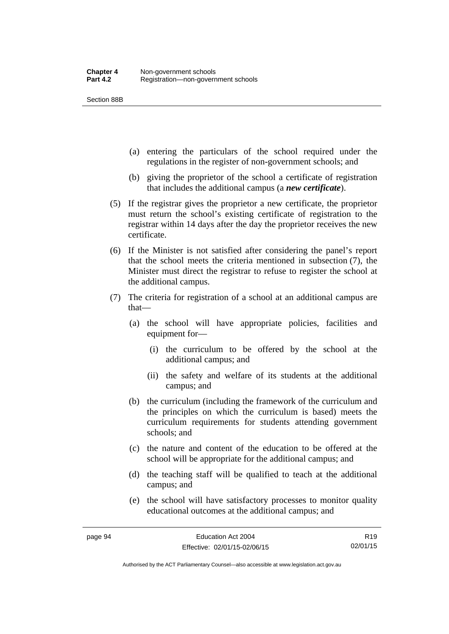Section 88B

- (a) entering the particulars of the school required under the regulations in the register of non-government schools; and
- (b) giving the proprietor of the school a certificate of registration that includes the additional campus (a *new certificate*).
- (5) If the registrar gives the proprietor a new certificate, the proprietor must return the school's existing certificate of registration to the registrar within 14 days after the day the proprietor receives the new certificate.
- (6) If the Minister is not satisfied after considering the panel's report that the school meets the criteria mentioned in subsection (7), the Minister must direct the registrar to refuse to register the school at the additional campus.
- (7) The criteria for registration of a school at an additional campus are that—
	- (a) the school will have appropriate policies, facilities and equipment for—
		- (i) the curriculum to be offered by the school at the additional campus; and
		- (ii) the safety and welfare of its students at the additional campus; and
	- (b) the curriculum (including the framework of the curriculum and the principles on which the curriculum is based) meets the curriculum requirements for students attending government schools; and
	- (c) the nature and content of the education to be offered at the school will be appropriate for the additional campus; and
	- (d) the teaching staff will be qualified to teach at the additional campus; and
	- (e) the school will have satisfactory processes to monitor quality educational outcomes at the additional campus; and

R19 02/01/15

Authorised by the ACT Parliamentary Counsel—also accessible at www.legislation.act.gov.au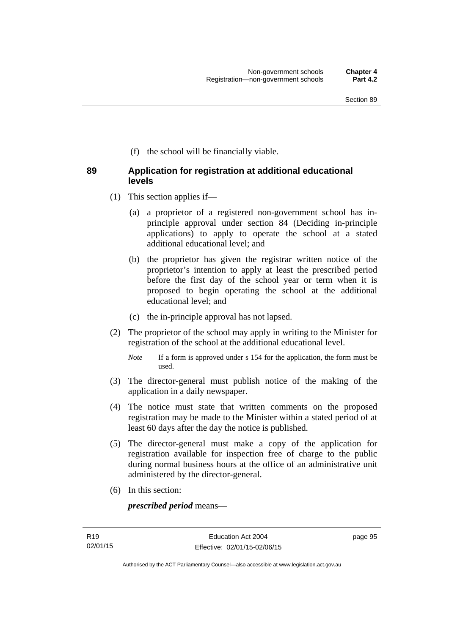(f) the school will be financially viable.

## **89 Application for registration at additional educational levels**

- (1) This section applies if—
	- (a) a proprietor of a registered non-government school has inprinciple approval under section 84 (Deciding in-principle applications) to apply to operate the school at a stated additional educational level; and
	- (b) the proprietor has given the registrar written notice of the proprietor's intention to apply at least the prescribed period before the first day of the school year or term when it is proposed to begin operating the school at the additional educational level; and
	- (c) the in-principle approval has not lapsed.
- (2) The proprietor of the school may apply in writing to the Minister for registration of the school at the additional educational level.
	- *Note* If a form is approved under s 154 for the application, the form must be used.
- (3) The director-general must publish notice of the making of the application in a daily newspaper.
- (4) The notice must state that written comments on the proposed registration may be made to the Minister within a stated period of at least 60 days after the day the notice is published.
- (5) The director-general must make a copy of the application for registration available for inspection free of charge to the public during normal business hours at the office of an administrative unit administered by the director-general.
- (6) In this section:

*prescribed period* means—

page 95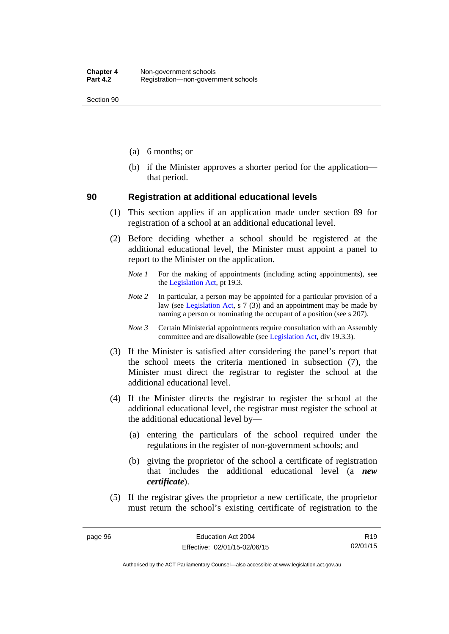Section 90

- (a) 6 months; or
- (b) if the Minister approves a shorter period for the application that period.

#### **90 Registration at additional educational levels**

- (1) This section applies if an application made under section 89 for registration of a school at an additional educational level.
- (2) Before deciding whether a school should be registered at the additional educational level, the Minister must appoint a panel to report to the Minister on the application.
	- *Note 1* For the making of appointments (including acting appointments), see the [Legislation Act,](http://www.legislation.act.gov.au/a/2001-14) pt 19.3.
	- *Note 2* In particular, a person may be appointed for a particular provision of a law (see [Legislation Act,](http://www.legislation.act.gov.au/a/2001-14) s 7 (3)) and an appointment may be made by naming a person or nominating the occupant of a position (see s 207).
	- *Note 3* Certain Ministerial appointments require consultation with an Assembly committee and are disallowable (see [Legislation Act](http://www.legislation.act.gov.au/a/2001-14), div 19.3.3).
- (3) If the Minister is satisfied after considering the panel's report that the school meets the criteria mentioned in subsection (7), the Minister must direct the registrar to register the school at the additional educational level.
- (4) If the Minister directs the registrar to register the school at the additional educational level, the registrar must register the school at the additional educational level by—
	- (a) entering the particulars of the school required under the regulations in the register of non-government schools; and
	- (b) giving the proprietor of the school a certificate of registration that includes the additional educational level (a *new certificate*).
- (5) If the registrar gives the proprietor a new certificate, the proprietor must return the school's existing certificate of registration to the

Authorised by the ACT Parliamentary Counsel—also accessible at www.legislation.act.gov.au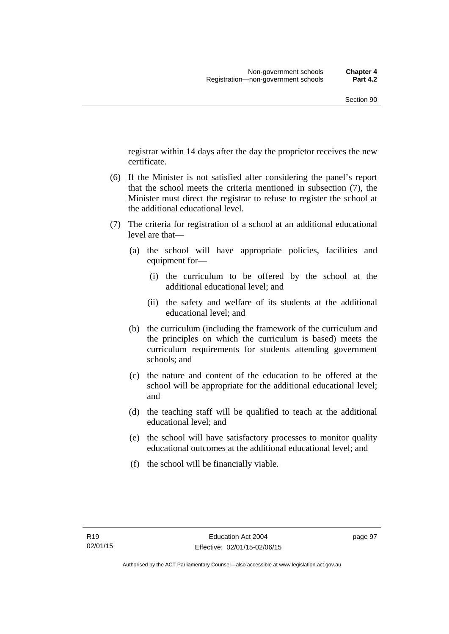registrar within 14 days after the day the proprietor receives the new certificate.

- (6) If the Minister is not satisfied after considering the panel's report that the school meets the criteria mentioned in subsection (7), the Minister must direct the registrar to refuse to register the school at the additional educational level.
- (7) The criteria for registration of a school at an additional educational level are that—
	- (a) the school will have appropriate policies, facilities and equipment for—
		- (i) the curriculum to be offered by the school at the additional educational level; and
		- (ii) the safety and welfare of its students at the additional educational level; and
	- (b) the curriculum (including the framework of the curriculum and the principles on which the curriculum is based) meets the curriculum requirements for students attending government schools; and
	- (c) the nature and content of the education to be offered at the school will be appropriate for the additional educational level; and
	- (d) the teaching staff will be qualified to teach at the additional educational level; and
	- (e) the school will have satisfactory processes to monitor quality educational outcomes at the additional educational level; and
	- (f) the school will be financially viable.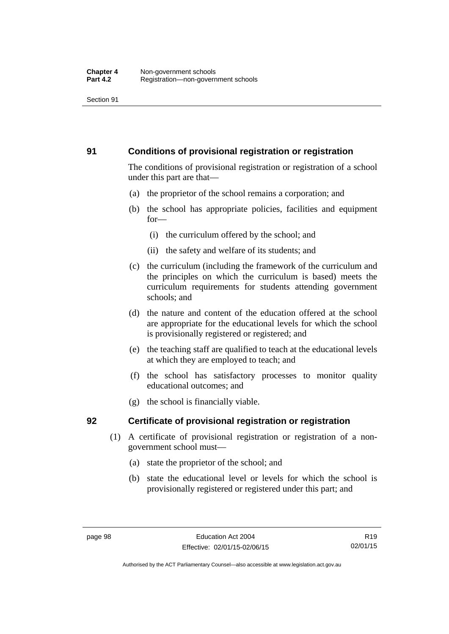### **91 Conditions of provisional registration or registration**

The conditions of provisional registration or registration of a school under this part are that—

- (a) the proprietor of the school remains a corporation; and
- (b) the school has appropriate policies, facilities and equipment for—
	- (i) the curriculum offered by the school; and
	- (ii) the safety and welfare of its students; and
- (c) the curriculum (including the framework of the curriculum and the principles on which the curriculum is based) meets the curriculum requirements for students attending government schools; and
- (d) the nature and content of the education offered at the school are appropriate for the educational levels for which the school is provisionally registered or registered; and
- (e) the teaching staff are qualified to teach at the educational levels at which they are employed to teach; and
- (f) the school has satisfactory processes to monitor quality educational outcomes; and
- (g) the school is financially viable.

# **92 Certificate of provisional registration or registration**

- (1) A certificate of provisional registration or registration of a nongovernment school must—
	- (a) state the proprietor of the school; and
	- (b) state the educational level or levels for which the school is provisionally registered or registered under this part; and

Authorised by the ACT Parliamentary Counsel—also accessible at www.legislation.act.gov.au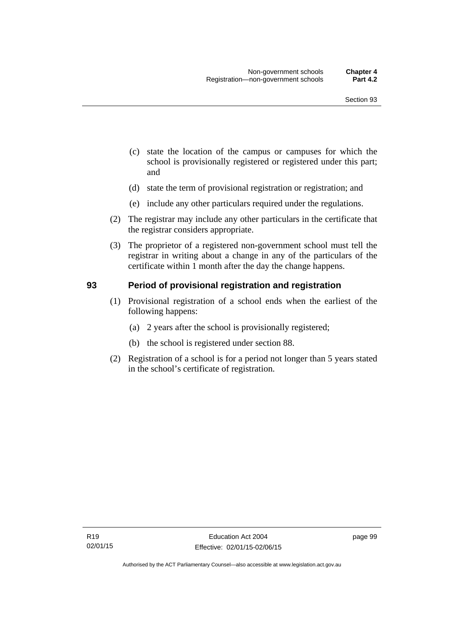- (c) state the location of the campus or campuses for which the school is provisionally registered or registered under this part; and
- (d) state the term of provisional registration or registration; and
- (e) include any other particulars required under the regulations.
- (2) The registrar may include any other particulars in the certificate that the registrar considers appropriate.
- (3) The proprietor of a registered non-government school must tell the registrar in writing about a change in any of the particulars of the certificate within 1 month after the day the change happens.

#### **93 Period of provisional registration and registration**

- (1) Provisional registration of a school ends when the earliest of the following happens:
	- (a) 2 years after the school is provisionally registered;
	- (b) the school is registered under section 88.
- (2) Registration of a school is for a period not longer than 5 years stated in the school's certificate of registration.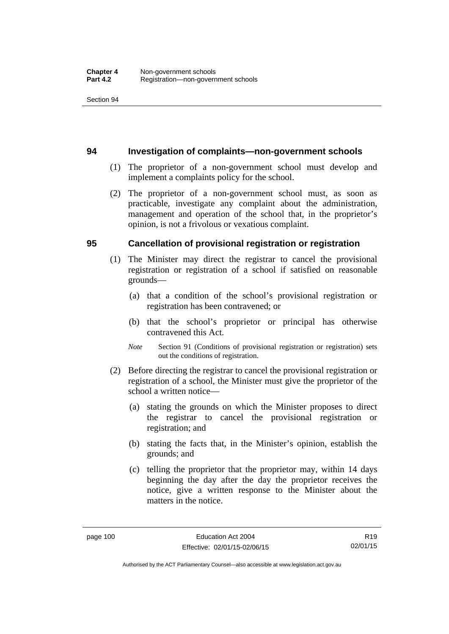#### **94 Investigation of complaints—non-government schools**

- (1) The proprietor of a non-government school must develop and implement a complaints policy for the school.
- (2) The proprietor of a non-government school must, as soon as practicable, investigate any complaint about the administration, management and operation of the school that, in the proprietor's opinion, is not a frivolous or vexatious complaint.

#### **95 Cancellation of provisional registration or registration**

- (1) The Minister may direct the registrar to cancel the provisional registration or registration of a school if satisfied on reasonable grounds—
	- (a) that a condition of the school's provisional registration or registration has been contravened; or
	- (b) that the school's proprietor or principal has otherwise contravened this Act.
	- *Note* Section 91 (Conditions of provisional registration or registration) sets out the conditions of registration.
- (2) Before directing the registrar to cancel the provisional registration or registration of a school, the Minister must give the proprietor of the school a written notice—
	- (a) stating the grounds on which the Minister proposes to direct the registrar to cancel the provisional registration or registration; and
	- (b) stating the facts that, in the Minister's opinion, establish the grounds; and
	- (c) telling the proprietor that the proprietor may, within 14 days beginning the day after the day the proprietor receives the notice, give a written response to the Minister about the matters in the notice.

R19 02/01/15

Authorised by the ACT Parliamentary Counsel—also accessible at www.legislation.act.gov.au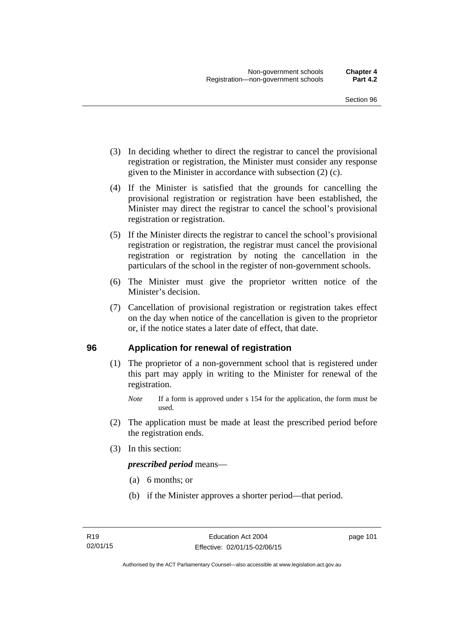- (3) In deciding whether to direct the registrar to cancel the provisional registration or registration, the Minister must consider any response given to the Minister in accordance with subsection (2) (c).
- (4) If the Minister is satisfied that the grounds for cancelling the provisional registration or registration have been established, the Minister may direct the registrar to cancel the school's provisional registration or registration.
- (5) If the Minister directs the registrar to cancel the school's provisional registration or registration, the registrar must cancel the provisional registration or registration by noting the cancellation in the particulars of the school in the register of non-government schools.
- (6) The Minister must give the proprietor written notice of the Minister's decision.
- (7) Cancellation of provisional registration or registration takes effect on the day when notice of the cancellation is given to the proprietor or, if the notice states a later date of effect, that date.

#### **96 Application for renewal of registration**

(1) The proprietor of a non-government school that is registered under this part may apply in writing to the Minister for renewal of the registration.

- (2) The application must be made at least the prescribed period before the registration ends.
- (3) In this section:

*prescribed period* means—

- (a) 6 months; or
- (b) if the Minister approves a shorter period—that period.

page 101

*Note* If a form is approved under s 154 for the application, the form must be used.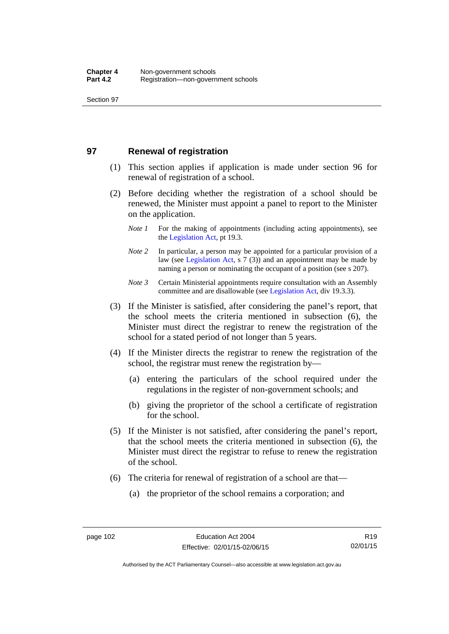#### **97 Renewal of registration**

- (1) This section applies if application is made under section 96 for renewal of registration of a school.
- (2) Before deciding whether the registration of a school should be renewed, the Minister must appoint a panel to report to the Minister on the application.
	- *Note 1* For the making of appointments (including acting appointments), see the [Legislation Act,](http://www.legislation.act.gov.au/a/2001-14) pt 19.3.
	- *Note 2* In particular, a person may be appointed for a particular provision of a law (see [Legislation Act,](http://www.legislation.act.gov.au/a/2001-14) s 7 (3)) and an appointment may be made by naming a person or nominating the occupant of a position (see s 207).
	- *Note 3* Certain Ministerial appointments require consultation with an Assembly committee and are disallowable (see [Legislation Act](http://www.legislation.act.gov.au/a/2001-14), div 19.3.3).
- (3) If the Minister is satisfied, after considering the panel's report, that the school meets the criteria mentioned in subsection (6), the Minister must direct the registrar to renew the registration of the school for a stated period of not longer than 5 years.
- (4) If the Minister directs the registrar to renew the registration of the school, the registrar must renew the registration by—
	- (a) entering the particulars of the school required under the regulations in the register of non-government schools; and
	- (b) giving the proprietor of the school a certificate of registration for the school.
- (5) If the Minister is not satisfied, after considering the panel's report, that the school meets the criteria mentioned in subsection (6), the Minister must direct the registrar to refuse to renew the registration of the school.
- (6) The criteria for renewal of registration of a school are that—
	- (a) the proprietor of the school remains a corporation; and

R19 02/01/15

Authorised by the ACT Parliamentary Counsel—also accessible at www.legislation.act.gov.au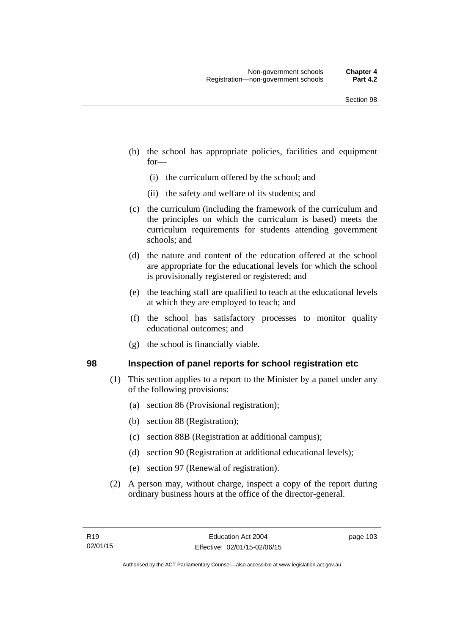- (b) the school has appropriate policies, facilities and equipment for—
	- (i) the curriculum offered by the school; and
	- (ii) the safety and welfare of its students; and
- (c) the curriculum (including the framework of the curriculum and the principles on which the curriculum is based) meets the curriculum requirements for students attending government schools; and
- (d) the nature and content of the education offered at the school are appropriate for the educational levels for which the school is provisionally registered or registered; and
- (e) the teaching staff are qualified to teach at the educational levels at which they are employed to teach; and
- (f) the school has satisfactory processes to monitor quality educational outcomes; and
- (g) the school is financially viable.

#### **98 Inspection of panel reports for school registration etc**

- (1) This section applies to a report to the Minister by a panel under any of the following provisions:
	- (a) section 86 (Provisional registration);
	- (b) section 88 (Registration);
	- (c) section 88B (Registration at additional campus);
	- (d) section 90 (Registration at additional educational levels);
	- (e) section 97 (Renewal of registration).
- (2) A person may, without charge, inspect a copy of the report during ordinary business hours at the office of the director-general.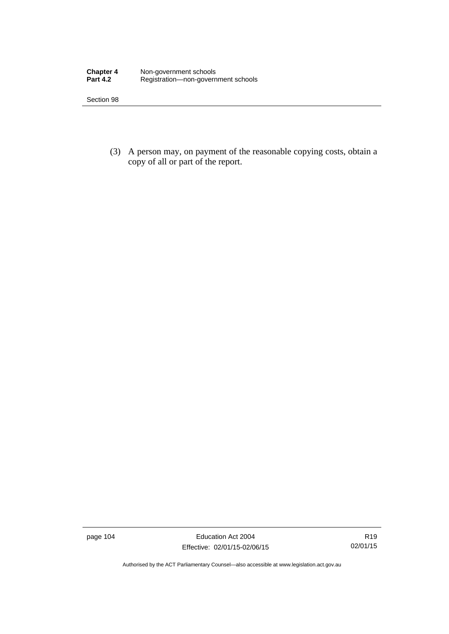| <b>Chapter 4</b> | Non-government schools              |
|------------------|-------------------------------------|
| <b>Part 4.2</b>  | Registration-non-government schools |

 (3) A person may, on payment of the reasonable copying costs, obtain a copy of all or part of the report.

page 104 Education Act 2004 Effective: 02/01/15-02/06/15

Authorised by the ACT Parliamentary Counsel—also accessible at www.legislation.act.gov.au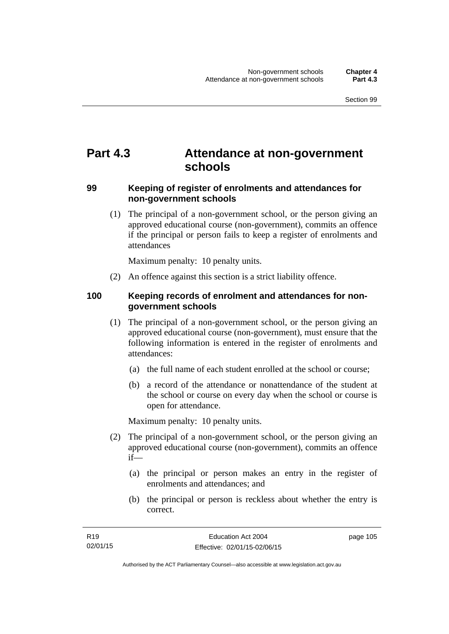# **Part 4.3 Attendance at non-government schools**

#### **99 Keeping of register of enrolments and attendances for non-government schools**

 (1) The principal of a non-government school, or the person giving an approved educational course (non-government), commits an offence if the principal or person fails to keep a register of enrolments and attendances

Maximum penalty: 10 penalty units.

(2) An offence against this section is a strict liability offence.

### **100 Keeping records of enrolment and attendances for nongovernment schools**

- (1) The principal of a non-government school, or the person giving an approved educational course (non-government), must ensure that the following information is entered in the register of enrolments and attendances:
	- (a) the full name of each student enrolled at the school or course;
	- (b) a record of the attendance or nonattendance of the student at the school or course on every day when the school or course is open for attendance.

Maximum penalty: 10 penalty units.

- (2) The principal of a non-government school, or the person giving an approved educational course (non-government), commits an offence if—
	- (a) the principal or person makes an entry in the register of enrolments and attendances; and
	- (b) the principal or person is reckless about whether the entry is correct.

page 105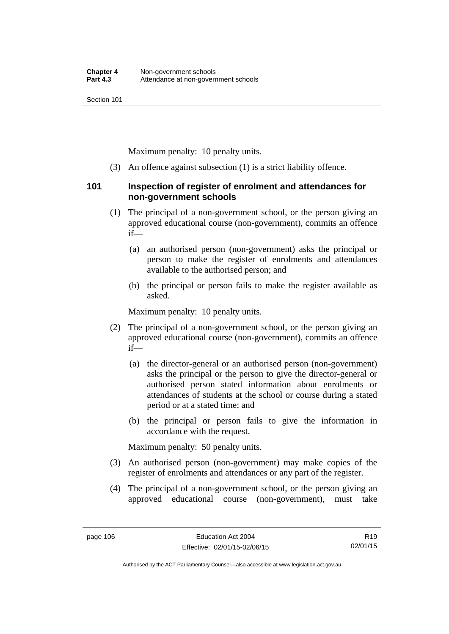Maximum penalty: 10 penalty units.

(3) An offence against subsection (1) is a strict liability offence.

#### **101 Inspection of register of enrolment and attendances for non-government schools**

- (1) The principal of a non-government school, or the person giving an approved educational course (non-government), commits an offence if—
	- (a) an authorised person (non-government) asks the principal or person to make the register of enrolments and attendances available to the authorised person; and
	- (b) the principal or person fails to make the register available as asked.

Maximum penalty: 10 penalty units.

- (2) The principal of a non-government school, or the person giving an approved educational course (non-government), commits an offence if—
	- (a) the director-general or an authorised person (non-government) asks the principal or the person to give the director-general or authorised person stated information about enrolments or attendances of students at the school or course during a stated period or at a stated time; and
	- (b) the principal or person fails to give the information in accordance with the request.

Maximum penalty: 50 penalty units.

- (3) An authorised person (non-government) may make copies of the register of enrolments and attendances or any part of the register.
- (4) The principal of a non-government school, or the person giving an approved educational course (non-government), must take

R19 02/01/15

Authorised by the ACT Parliamentary Counsel—also accessible at www.legislation.act.gov.au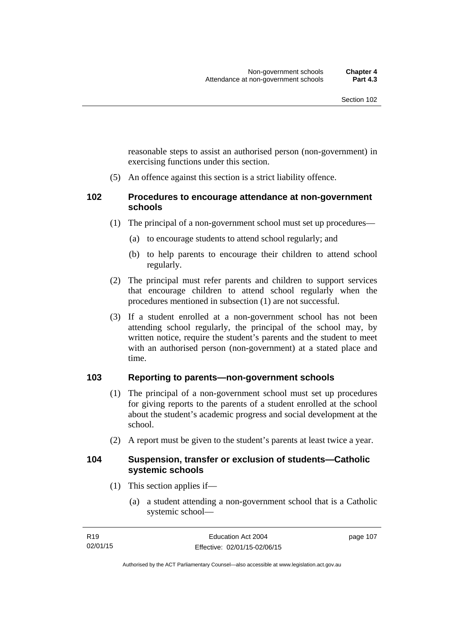reasonable steps to assist an authorised person (non-government) in exercising functions under this section.

(5) An offence against this section is a strict liability offence.

#### **102 Procedures to encourage attendance at non-government schools**

- (1) The principal of a non-government school must set up procedures—
	- (a) to encourage students to attend school regularly; and
	- (b) to help parents to encourage their children to attend school regularly.
- (2) The principal must refer parents and children to support services that encourage children to attend school regularly when the procedures mentioned in subsection (1) are not successful.
- (3) If a student enrolled at a non-government school has not been attending school regularly, the principal of the school may, by written notice, require the student's parents and the student to meet with an authorised person (non-government) at a stated place and time.

### **103 Reporting to parents—non-government schools**

- (1) The principal of a non-government school must set up procedures for giving reports to the parents of a student enrolled at the school about the student's academic progress and social development at the school.
- (2) A report must be given to the student's parents at least twice a year.

#### **104 Suspension, transfer or exclusion of students—Catholic systemic schools**

- (1) This section applies if—
	- (a) a student attending a non-government school that is a Catholic systemic school—

| R <sub>19</sub> | Education Act 2004           | page 107 |
|-----------------|------------------------------|----------|
| 02/01/15        | Effective: 02/01/15-02/06/15 |          |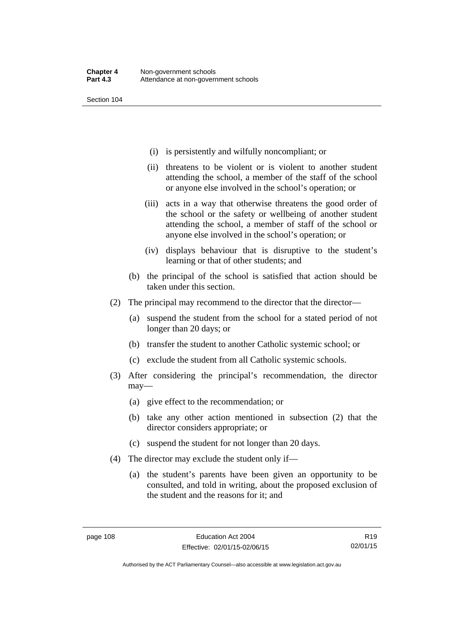- (i) is persistently and wilfully noncompliant; or
- (ii) threatens to be violent or is violent to another student attending the school, a member of the staff of the school or anyone else involved in the school's operation; or
- (iii) acts in a way that otherwise threatens the good order of the school or the safety or wellbeing of another student attending the school, a member of staff of the school or anyone else involved in the school's operation; or
- (iv) displays behaviour that is disruptive to the student's learning or that of other students; and
- (b) the principal of the school is satisfied that action should be taken under this section.
- (2) The principal may recommend to the director that the director—
	- (a) suspend the student from the school for a stated period of not longer than 20 days; or
	- (b) transfer the student to another Catholic systemic school; or
	- (c) exclude the student from all Catholic systemic schools.
- (3) After considering the principal's recommendation, the director may—
	- (a) give effect to the recommendation; or
	- (b) take any other action mentioned in subsection (2) that the director considers appropriate; or
	- (c) suspend the student for not longer than 20 days.
- (4) The director may exclude the student only if—
	- (a) the student's parents have been given an opportunity to be consulted, and told in writing, about the proposed exclusion of the student and the reasons for it; and

R19 02/01/15

Authorised by the ACT Parliamentary Counsel—also accessible at www.legislation.act.gov.au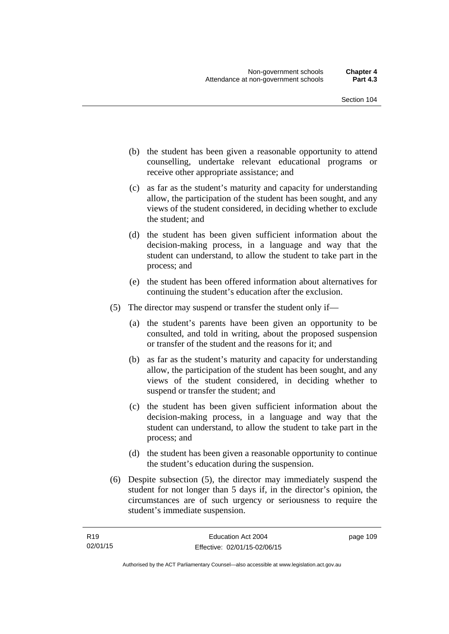- (b) the student has been given a reasonable opportunity to attend counselling, undertake relevant educational programs or receive other appropriate assistance; and
- (c) as far as the student's maturity and capacity for understanding allow, the participation of the student has been sought, and any views of the student considered, in deciding whether to exclude the student; and
- (d) the student has been given sufficient information about the decision-making process, in a language and way that the student can understand, to allow the student to take part in the process; and
- (e) the student has been offered information about alternatives for continuing the student's education after the exclusion.
- (5) The director may suspend or transfer the student only if—
	- (a) the student's parents have been given an opportunity to be consulted, and told in writing, about the proposed suspension or transfer of the student and the reasons for it; and
	- (b) as far as the student's maturity and capacity for understanding allow, the participation of the student has been sought, and any views of the student considered, in deciding whether to suspend or transfer the student; and
	- (c) the student has been given sufficient information about the decision-making process, in a language and way that the student can understand, to allow the student to take part in the process; and
	- (d) the student has been given a reasonable opportunity to continue the student's education during the suspension.
- (6) Despite subsection (5), the director may immediately suspend the student for not longer than 5 days if, in the director's opinion, the circumstances are of such urgency or seriousness to require the student's immediate suspension.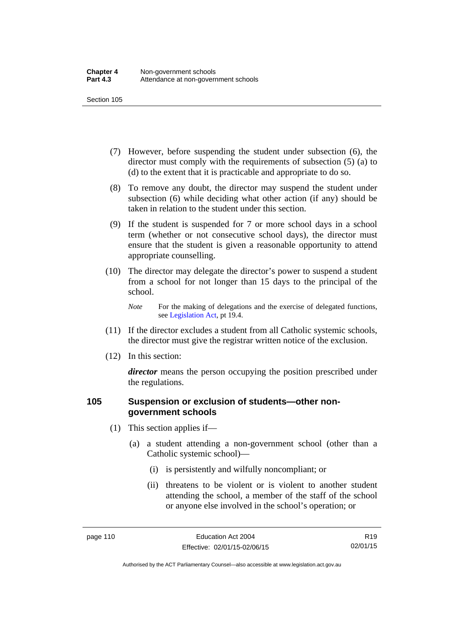- (7) However, before suspending the student under subsection (6), the director must comply with the requirements of subsection (5) (a) to (d) to the extent that it is practicable and appropriate to do so.
- (8) To remove any doubt, the director may suspend the student under subsection (6) while deciding what other action (if any) should be taken in relation to the student under this section.
- (9) If the student is suspended for 7 or more school days in a school term (whether or not consecutive school days), the director must ensure that the student is given a reasonable opportunity to attend appropriate counselling.
- (10) The director may delegate the director's power to suspend a student from a school for not longer than 15 days to the principal of the school.

*Note* For the making of delegations and the exercise of delegated functions, see [Legislation Act](http://www.legislation.act.gov.au/a/2001-14), pt 19.4.

- (11) If the director excludes a student from all Catholic systemic schools, the director must give the registrar written notice of the exclusion.
- (12) In this section:

*director* means the person occupying the position prescribed under the regulations.

#### **105 Suspension or exclusion of students—other nongovernment schools**

- (1) This section applies if—
	- (a) a student attending a non-government school (other than a Catholic systemic school)—
		- (i) is persistently and wilfully noncompliant; or
		- (ii) threatens to be violent or is violent to another student attending the school, a member of the staff of the school or anyone else involved in the school's operation; or

R19 02/01/15

Authorised by the ACT Parliamentary Counsel—also accessible at www.legislation.act.gov.au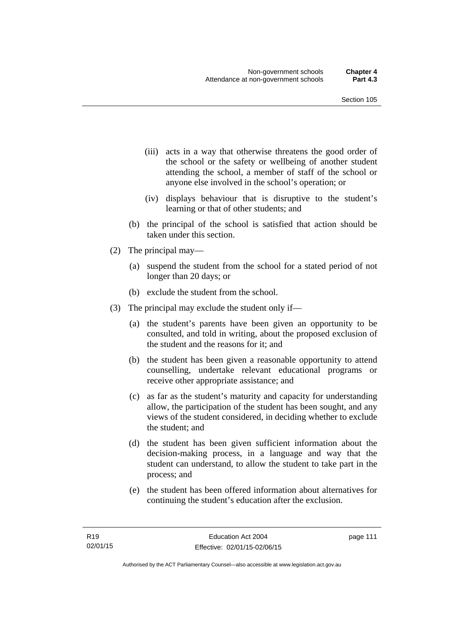- (iii) acts in a way that otherwise threatens the good order of the school or the safety or wellbeing of another student attending the school, a member of staff of the school or anyone else involved in the school's operation; or
- (iv) displays behaviour that is disruptive to the student's learning or that of other students; and
- (b) the principal of the school is satisfied that action should be taken under this section.
- (2) The principal may—
	- (a) suspend the student from the school for a stated period of not longer than 20 days; or
	- (b) exclude the student from the school.
- (3) The principal may exclude the student only if—
	- (a) the student's parents have been given an opportunity to be consulted, and told in writing, about the proposed exclusion of the student and the reasons for it; and
	- (b) the student has been given a reasonable opportunity to attend counselling, undertake relevant educational programs or receive other appropriate assistance; and
	- (c) as far as the student's maturity and capacity for understanding allow, the participation of the student has been sought, and any views of the student considered, in deciding whether to exclude the student; and
	- (d) the student has been given sufficient information about the decision-making process, in a language and way that the student can understand, to allow the student to take part in the process; and
	- (e) the student has been offered information about alternatives for continuing the student's education after the exclusion.

page 111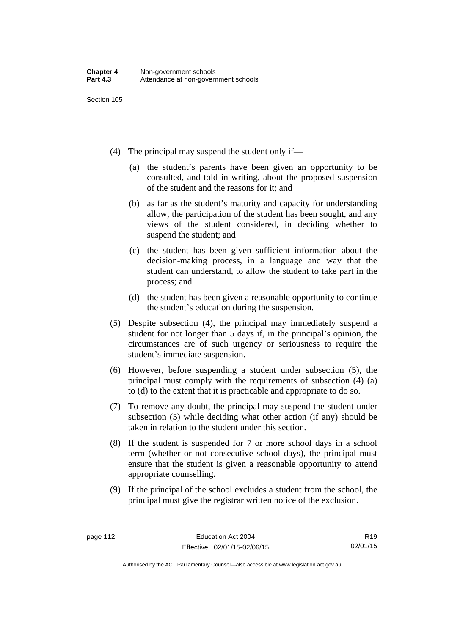- (4) The principal may suspend the student only if—
	- (a) the student's parents have been given an opportunity to be consulted, and told in writing, about the proposed suspension of the student and the reasons for it; and
	- (b) as far as the student's maturity and capacity for understanding allow, the participation of the student has been sought, and any views of the student considered, in deciding whether to suspend the student; and
	- (c) the student has been given sufficient information about the decision-making process, in a language and way that the student can understand, to allow the student to take part in the process; and
	- (d) the student has been given a reasonable opportunity to continue the student's education during the suspension.
- (5) Despite subsection (4), the principal may immediately suspend a student for not longer than 5 days if, in the principal's opinion, the circumstances are of such urgency or seriousness to require the student's immediate suspension.
- (6) However, before suspending a student under subsection (5), the principal must comply with the requirements of subsection (4) (a) to (d) to the extent that it is practicable and appropriate to do so.
- (7) To remove any doubt, the principal may suspend the student under subsection (5) while deciding what other action (if any) should be taken in relation to the student under this section.
- (8) If the student is suspended for 7 or more school days in a school term (whether or not consecutive school days), the principal must ensure that the student is given a reasonable opportunity to attend appropriate counselling.
- (9) If the principal of the school excludes a student from the school, the principal must give the registrar written notice of the exclusion.

R19 02/01/15

Authorised by the ACT Parliamentary Counsel—also accessible at www.legislation.act.gov.au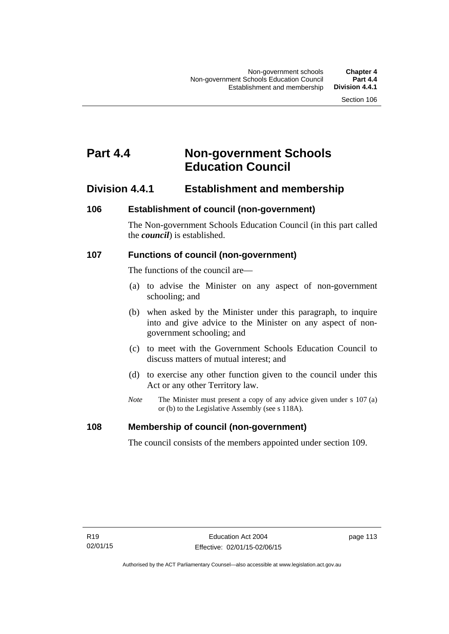# **Part 4.4 Non-government Schools Education Council**

# **Division 4.4.1 Establishment and membership**

#### **106 Establishment of council (non-government)**

The Non-government Schools Education Council (in this part called the *council*) is established.

#### **107 Functions of council (non-government)**

The functions of the council are—

- (a) to advise the Minister on any aspect of non-government schooling; and
- (b) when asked by the Minister under this paragraph, to inquire into and give advice to the Minister on any aspect of nongovernment schooling; and
- (c) to meet with the Government Schools Education Council to discuss matters of mutual interest; and
- (d) to exercise any other function given to the council under this Act or any other Territory law.
- *Note* The Minister must present a copy of any advice given under s 107 (a) or (b) to the Legislative Assembly (see s 118A).

#### **108 Membership of council (non-government)**

The council consists of the members appointed under section 109.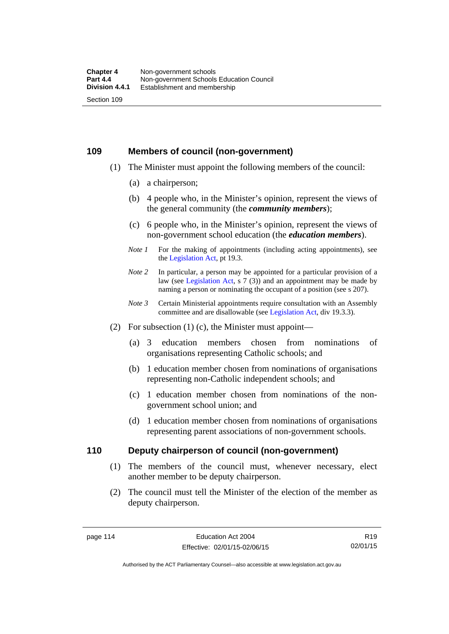#### **109 Members of council (non-government)**

- (1) The Minister must appoint the following members of the council:
	- (a) a chairperson;
	- (b) 4 people who, in the Minister's opinion, represent the views of the general community (the *community members*);
	- (c) 6 people who, in the Minister's opinion, represent the views of non-government school education (the *education members*).
	- *Note 1* For the making of appointments (including acting appointments), see the [Legislation Act,](http://www.legislation.act.gov.au/a/2001-14) pt 19.3.
	- *Note 2* In particular, a person may be appointed for a particular provision of a law (see [Legislation Act,](http://www.legislation.act.gov.au/a/2001-14) s 7 (3)) and an appointment may be made by naming a person or nominating the occupant of a position (see s 207).
	- *Note 3* Certain Ministerial appointments require consultation with an Assembly committee and are disallowable (see [Legislation Act](http://www.legislation.act.gov.au/a/2001-14), div 19.3.3).
- (2) For subsection  $(1)$  (c), the Minister must appoint—
	- (a) 3 education members chosen from nominations of organisations representing Catholic schools; and
	- (b) 1 education member chosen from nominations of organisations representing non-Catholic independent schools; and
	- (c) 1 education member chosen from nominations of the nongovernment school union; and
	- (d) 1 education member chosen from nominations of organisations representing parent associations of non-government schools.

#### **110 Deputy chairperson of council (non-government)**

- (1) The members of the council must, whenever necessary, elect another member to be deputy chairperson.
- (2) The council must tell the Minister of the election of the member as deputy chairperson.

R19 02/01/15

Authorised by the ACT Parliamentary Counsel—also accessible at www.legislation.act.gov.au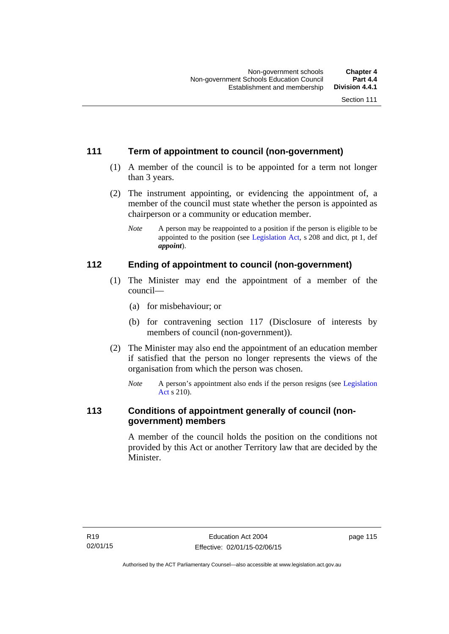# **111 Term of appointment to council (non-government)**

- (1) A member of the council is to be appointed for a term not longer than 3 years.
- (2) The instrument appointing, or evidencing the appointment of, a member of the council must state whether the person is appointed as chairperson or a community or education member.
	- *Note* A person may be reappointed to a position if the person is eligible to be appointed to the position (see [Legislation Act](http://www.legislation.act.gov.au/a/2001-14), s 208 and dict, pt 1, def *appoint*).

# **112 Ending of appointment to council (non-government)**

- (1) The Minister may end the appointment of a member of the council—
	- (a) for misbehaviour; or
	- (b) for contravening section 117 (Disclosure of interests by members of council (non-government)).
- (2) The Minister may also end the appointment of an education member if satisfied that the person no longer represents the views of the organisation from which the person was chosen.
	- *Note* A person's appointment also ends if the person resigns (see [Legislation](http://www.legislation.act.gov.au/a/2001-14)  [Act](http://www.legislation.act.gov.au/a/2001-14) s 210).

# **113 Conditions of appointment generally of council (nongovernment) members**

A member of the council holds the position on the conditions not provided by this Act or another Territory law that are decided by the Minister.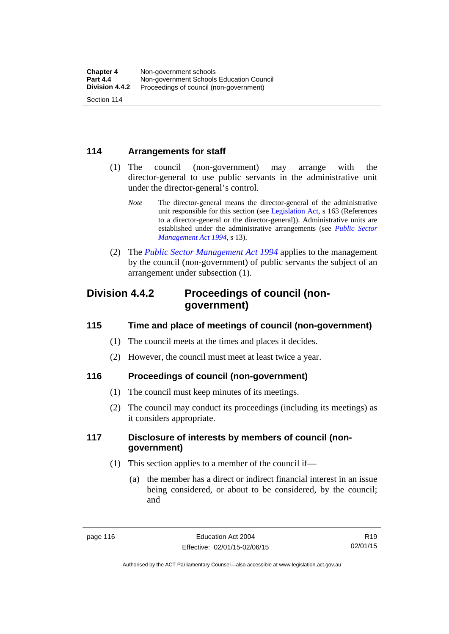### **114 Arrangements for staff**

- (1) The council (non-government) may arrange with the director-general to use public servants in the administrative unit under the director-general's control.
	- *Note* The director-general means the director-general of the administrative unit responsible for this section (see [Legislation Act](http://www.legislation.act.gov.au/a/2001-14), s 163 (References to a director-general or the director-general)). Administrative units are established under the administrative arrangements (see *[Public Sector](http://www.legislation.act.gov.au/a/1994-37)  [Management Act 1994](http://www.legislation.act.gov.au/a/1994-37)*, s 13).
- (2) The *[Public Sector Management Act 1994](http://www.legislation.act.gov.au/a/1994-37)* applies to the management by the council (non-government) of public servants the subject of an arrangement under subsection (1).

# **Division 4.4.2 Proceedings of council (nongovernment)**

# **115 Time and place of meetings of council (non-government)**

- (1) The council meets at the times and places it decides.
- (2) However, the council must meet at least twice a year.

# **116 Proceedings of council (non-government)**

- (1) The council must keep minutes of its meetings.
- (2) The council may conduct its proceedings (including its meetings) as it considers appropriate.

# **117 Disclosure of interests by members of council (nongovernment)**

- (1) This section applies to a member of the council if—
	- (a) the member has a direct or indirect financial interest in an issue being considered, or about to be considered, by the council; and

R19 02/01/15

Authorised by the ACT Parliamentary Counsel—also accessible at www.legislation.act.gov.au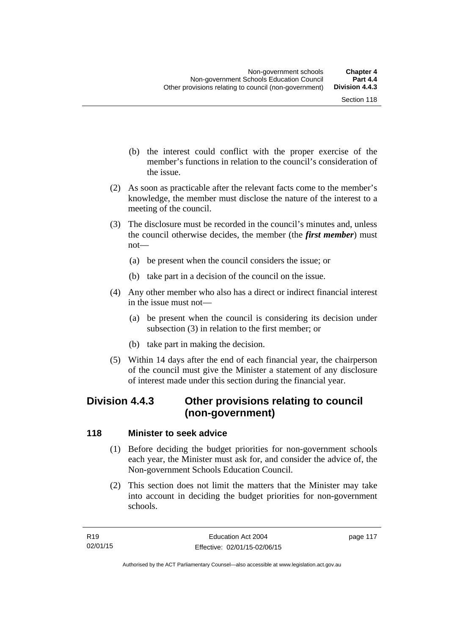- (b) the interest could conflict with the proper exercise of the member's functions in relation to the council's consideration of the issue.
- (2) As soon as practicable after the relevant facts come to the member's knowledge, the member must disclose the nature of the interest to a meeting of the council.
- (3) The disclosure must be recorded in the council's minutes and, unless the council otherwise decides, the member (the *first member*) must not—
	- (a) be present when the council considers the issue; or
	- (b) take part in a decision of the council on the issue.
- (4) Any other member who also has a direct or indirect financial interest in the issue must not—
	- (a) be present when the council is considering its decision under subsection (3) in relation to the first member; or
	- (b) take part in making the decision.
- (5) Within 14 days after the end of each financial year, the chairperson of the council must give the Minister a statement of any disclosure of interest made under this section during the financial year.

# **Division 4.4.3 Other provisions relating to council (non-government)**

#### **118 Minister to seek advice**

- (1) Before deciding the budget priorities for non-government schools each year, the Minister must ask for, and consider the advice of, the Non-government Schools Education Council.
- (2) This section does not limit the matters that the Minister may take into account in deciding the budget priorities for non-government schools.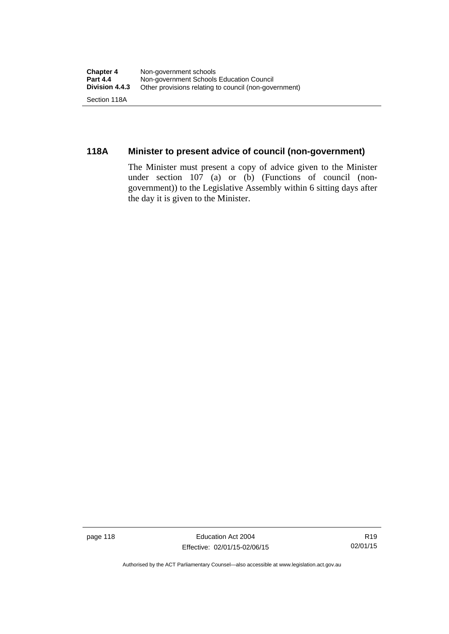# **118A Minister to present advice of council (non-government)**

The Minister must present a copy of advice given to the Minister under section 107 (a) or (b) (Functions of council (nongovernment)) to the Legislative Assembly within 6 sitting days after the day it is given to the Minister.

page 118 Education Act 2004 Effective: 02/01/15-02/06/15

R19 02/01/15

Authorised by the ACT Parliamentary Counsel—also accessible at www.legislation.act.gov.au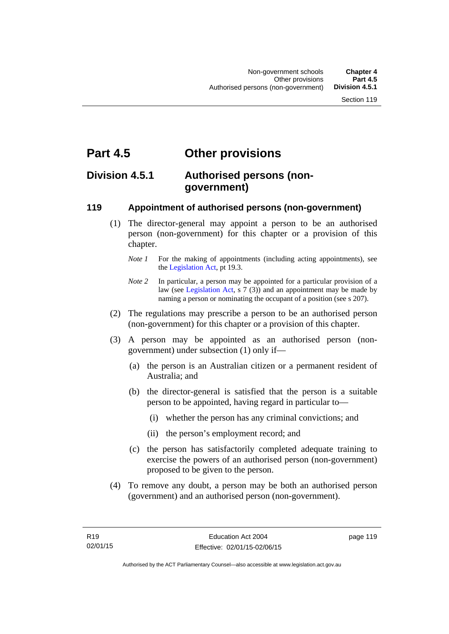# **Part 4.5 Other provisions**

# **Division 4.5.1 Authorised persons (nongovernment)**

#### **119 Appointment of authorised persons (non-government)**

- (1) The director-general may appoint a person to be an authorised person (non-government) for this chapter or a provision of this chapter.
	- *Note 1* For the making of appointments (including acting appointments), see the [Legislation Act,](http://www.legislation.act.gov.au/a/2001-14) pt 19.3.
	- *Note* 2 In particular, a person may be appointed for a particular provision of a law (see [Legislation Act,](http://www.legislation.act.gov.au/a/2001-14) s 7 (3)) and an appointment may be made by naming a person or nominating the occupant of a position (see s 207).
- (2) The regulations may prescribe a person to be an authorised person (non-government) for this chapter or a provision of this chapter.
- (3) A person may be appointed as an authorised person (nongovernment) under subsection (1) only if—
	- (a) the person is an Australian citizen or a permanent resident of Australia; and
	- (b) the director-general is satisfied that the person is a suitable person to be appointed, having regard in particular to—
		- (i) whether the person has any criminal convictions; and
		- (ii) the person's employment record; and
	- (c) the person has satisfactorily completed adequate training to exercise the powers of an authorised person (non-government) proposed to be given to the person.
- (4) To remove any doubt, a person may be both an authorised person (government) and an authorised person (non-government).

page 119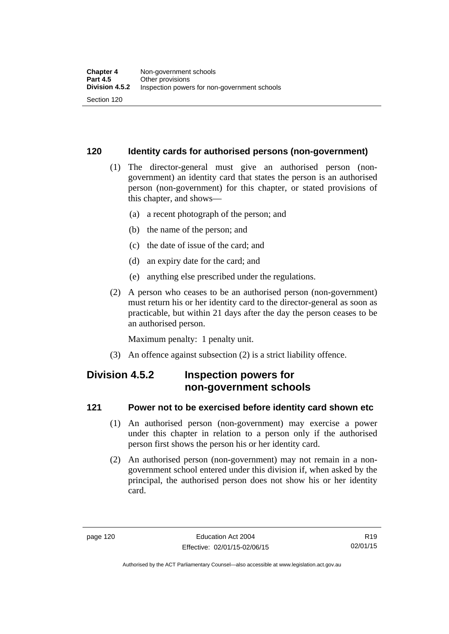#### **120 Identity cards for authorised persons (non-government)**

- (1) The director-general must give an authorised person (nongovernment) an identity card that states the person is an authorised person (non-government) for this chapter, or stated provisions of this chapter, and shows—
	- (a) a recent photograph of the person; and
	- (b) the name of the person; and
	- (c) the date of issue of the card; and
	- (d) an expiry date for the card; and
	- (e) anything else prescribed under the regulations.
- (2) A person who ceases to be an authorised person (non-government) must return his or her identity card to the director-general as soon as practicable, but within 21 days after the day the person ceases to be an authorised person.

Maximum penalty: 1 penalty unit.

(3) An offence against subsection (2) is a strict liability offence.

# **Division 4.5.2 Inspection powers for non-government schools**

#### **121 Power not to be exercised before identity card shown etc**

- (1) An authorised person (non-government) may exercise a power under this chapter in relation to a person only if the authorised person first shows the person his or her identity card.
- (2) An authorised person (non-government) may not remain in a nongovernment school entered under this division if, when asked by the principal, the authorised person does not show his or her identity card.

Authorised by the ACT Parliamentary Counsel—also accessible at www.legislation.act.gov.au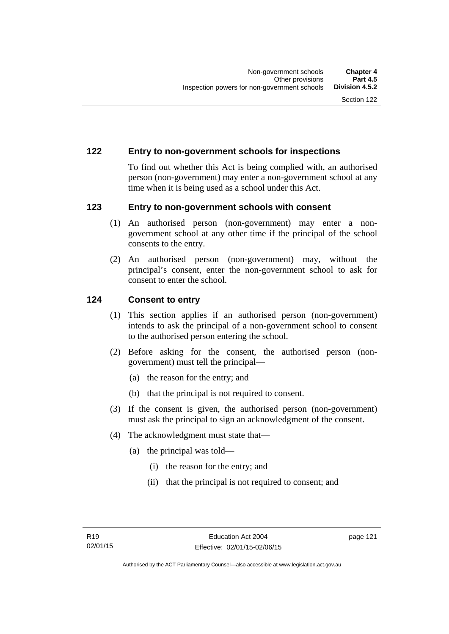#### **122 Entry to non-government schools for inspections**

To find out whether this Act is being complied with, an authorised person (non-government) may enter a non-government school at any time when it is being used as a school under this Act.

#### **123 Entry to non-government schools with consent**

- (1) An authorised person (non-government) may enter a nongovernment school at any other time if the principal of the school consents to the entry.
- (2) An authorised person (non-government) may, without the principal's consent, enter the non-government school to ask for consent to enter the school.

#### **124 Consent to entry**

- (1) This section applies if an authorised person (non-government) intends to ask the principal of a non-government school to consent to the authorised person entering the school.
- (2) Before asking for the consent, the authorised person (nongovernment) must tell the principal—
	- (a) the reason for the entry; and
	- (b) that the principal is not required to consent.
- (3) If the consent is given, the authorised person (non-government) must ask the principal to sign an acknowledgment of the consent.
- (4) The acknowledgment must state that—
	- (a) the principal was told—
		- (i) the reason for the entry; and
		- (ii) that the principal is not required to consent; and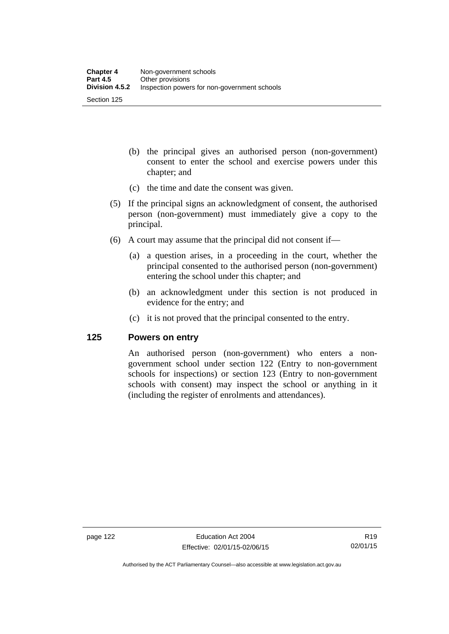- (b) the principal gives an authorised person (non-government) consent to enter the school and exercise powers under this chapter; and
- (c) the time and date the consent was given.
- (5) If the principal signs an acknowledgment of consent, the authorised person (non-government) must immediately give a copy to the principal.
- (6) A court may assume that the principal did not consent if—
	- (a) a question arises, in a proceeding in the court, whether the principal consented to the authorised person (non-government) entering the school under this chapter; and
	- (b) an acknowledgment under this section is not produced in evidence for the entry; and
	- (c) it is not proved that the principal consented to the entry.

#### **125 Powers on entry**

An authorised person (non-government) who enters a nongovernment school under section 122 (Entry to non-government schools for inspections) or section 123 (Entry to non-government schools with consent) may inspect the school or anything in it (including the register of enrolments and attendances).

Authorised by the ACT Parliamentary Counsel—also accessible at www.legislation.act.gov.au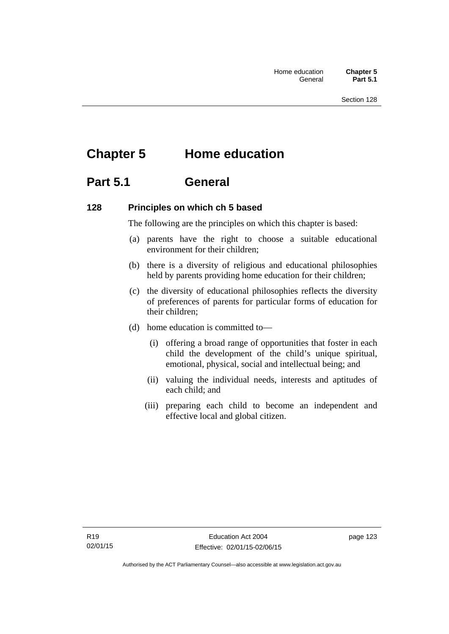# **Chapter 5 Home education**

# **Part 5.1 General**

#### **128 Principles on which ch 5 based**

The following are the principles on which this chapter is based:

- (a) parents have the right to choose a suitable educational environment for their children;
- (b) there is a diversity of religious and educational philosophies held by parents providing home education for their children;
- (c) the diversity of educational philosophies reflects the diversity of preferences of parents for particular forms of education for their children;
- (d) home education is committed to—
	- (i) offering a broad range of opportunities that foster in each child the development of the child's unique spiritual, emotional, physical, social and intellectual being; and
	- (ii) valuing the individual needs, interests and aptitudes of each child; and
	- (iii) preparing each child to become an independent and effective local and global citizen.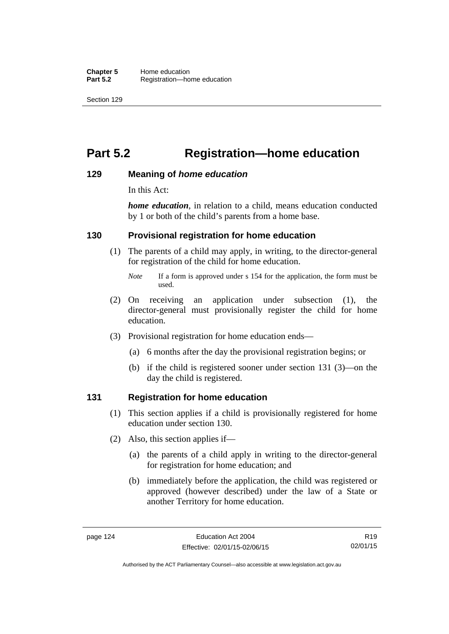# **Part 5.2 Registration—home education**

#### **129 Meaning of** *home education*

In this Act:

*home education*, in relation to a child, means education conducted by 1 or both of the child's parents from a home base.

#### **130 Provisional registration for home education**

(1) The parents of a child may apply, in writing, to the director-general for registration of the child for home education.

- (2) On receiving an application under subsection (1), the director-general must provisionally register the child for home education.
- (3) Provisional registration for home education ends—
	- (a) 6 months after the day the provisional registration begins; or
	- (b) if the child is registered sooner under section 131 (3)—on the day the child is registered.

#### **131 Registration for home education**

- (1) This section applies if a child is provisionally registered for home education under section 130.
- (2) Also, this section applies if—
	- (a) the parents of a child apply in writing to the director-general for registration for home education; and
	- (b) immediately before the application, the child was registered or approved (however described) under the law of a State or another Territory for home education.

*Note* If a form is approved under s 154 for the application, the form must be used.

R19 02/01/15

Authorised by the ACT Parliamentary Counsel—also accessible at www.legislation.act.gov.au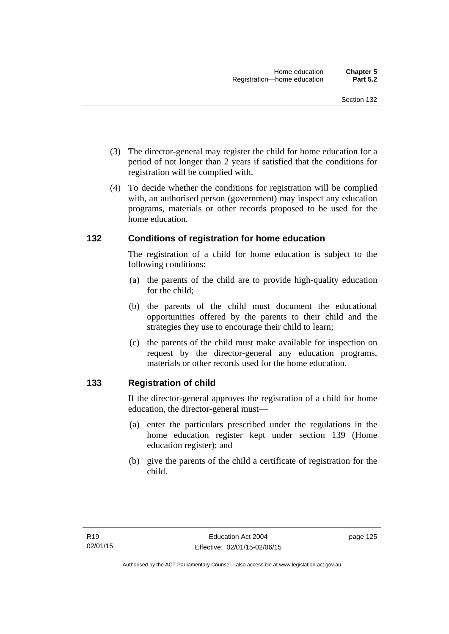- (3) The director-general may register the child for home education for a period of not longer than 2 years if satisfied that the conditions for registration will be complied with.
- (4) To decide whether the conditions for registration will be complied with, an authorised person (government) may inspect any education programs, materials or other records proposed to be used for the home education.

#### **132 Conditions of registration for home education**

The registration of a child for home education is subject to the following conditions:

- (a) the parents of the child are to provide high-quality education for the child;
- (b) the parents of the child must document the educational opportunities offered by the parents to their child and the strategies they use to encourage their child to learn;
- (c) the parents of the child must make available for inspection on request by the director-general any education programs, materials or other records used for the home education.

# **133 Registration of child**

If the director-general approves the registration of a child for home education, the director-general must—

- (a) enter the particulars prescribed under the regulations in the home education register kept under section 139 (Home education register); and
- (b) give the parents of the child a certificate of registration for the child.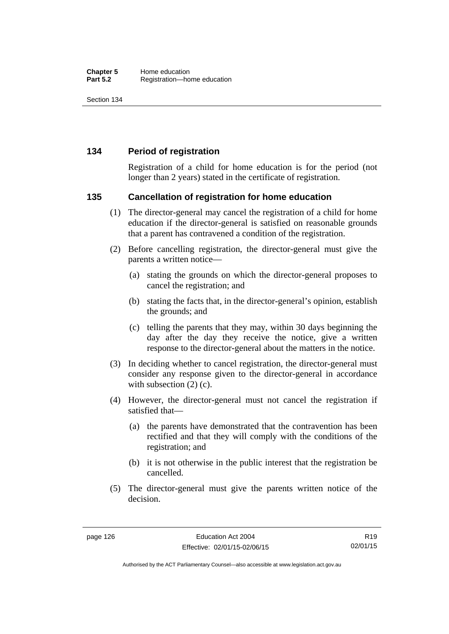#### **134 Period of registration**

Registration of a child for home education is for the period (not longer than 2 years) stated in the certificate of registration.

#### **135 Cancellation of registration for home education**

- (1) The director-general may cancel the registration of a child for home education if the director-general is satisfied on reasonable grounds that a parent has contravened a condition of the registration.
- (2) Before cancelling registration, the director-general must give the parents a written notice—
	- (a) stating the grounds on which the director-general proposes to cancel the registration; and
	- (b) stating the facts that, in the director-general's opinion, establish the grounds; and
	- (c) telling the parents that they may, within 30 days beginning the day after the day they receive the notice, give a written response to the director-general about the matters in the notice.
- (3) In deciding whether to cancel registration, the director-general must consider any response given to the director-general in accordance with subsection  $(2)$  (c).
- (4) However, the director-general must not cancel the registration if satisfied that—
	- (a) the parents have demonstrated that the contravention has been rectified and that they will comply with the conditions of the registration; and
	- (b) it is not otherwise in the public interest that the registration be cancelled.
- (5) The director-general must give the parents written notice of the decision.

Authorised by the ACT Parliamentary Counsel—also accessible at www.legislation.act.gov.au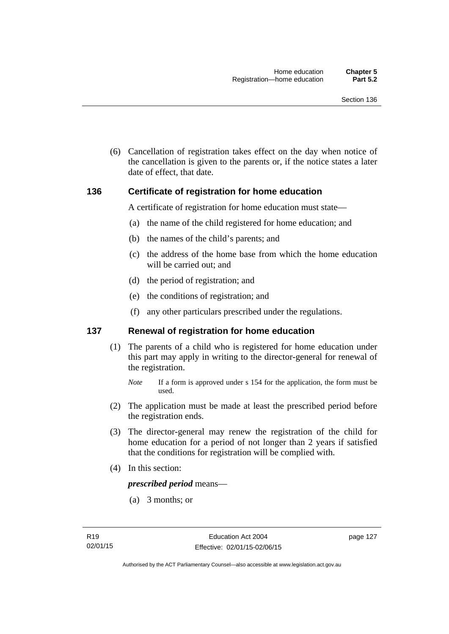(6) Cancellation of registration takes effect on the day when notice of the cancellation is given to the parents or, if the notice states a later date of effect, that date.

#### **136 Certificate of registration for home education**

A certificate of registration for home education must state—

- (a) the name of the child registered for home education; and
- (b) the names of the child's parents; and
- (c) the address of the home base from which the home education will be carried out; and
- (d) the period of registration; and
- (e) the conditions of registration; and
- (f) any other particulars prescribed under the regulations.

#### **137 Renewal of registration for home education**

(1) The parents of a child who is registered for home education under this part may apply in writing to the director-general for renewal of the registration.

- (2) The application must be made at least the prescribed period before the registration ends.
- (3) The director-general may renew the registration of the child for home education for a period of not longer than 2 years if satisfied that the conditions for registration will be complied with.
- (4) In this section:

*prescribed period* means—

(a) 3 months; or

*Note* If a form is approved under s 154 for the application, the form must be used.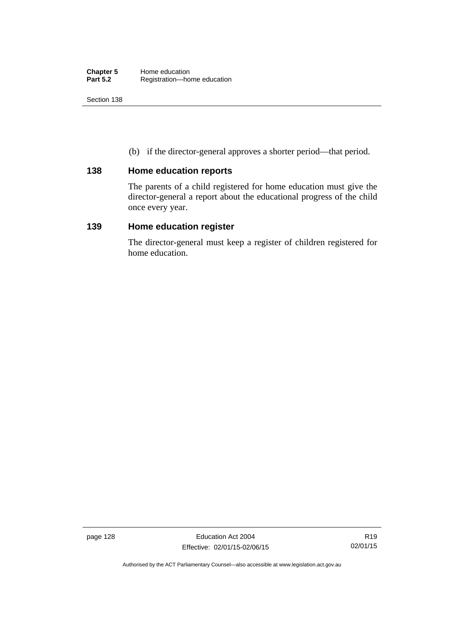(b) if the director-general approves a shorter period—that period.

#### **138 Home education reports**

The parents of a child registered for home education must give the director-general a report about the educational progress of the child once every year.

### **139 Home education register**

The director-general must keep a register of children registered for home education.

page 128 Education Act 2004 Effective: 02/01/15-02/06/15

Authorised by the ACT Parliamentary Counsel—also accessible at www.legislation.act.gov.au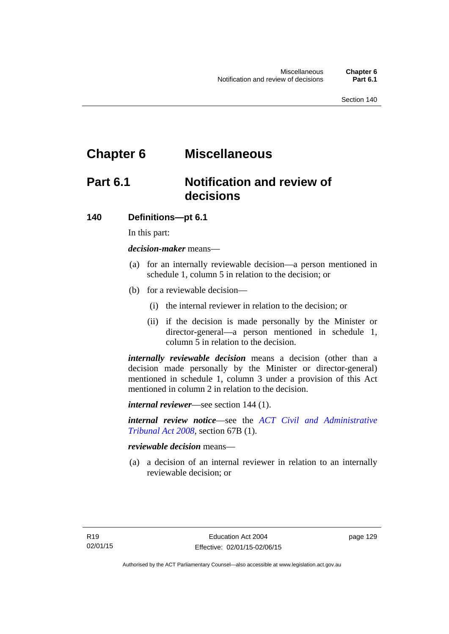# **Chapter 6 Miscellaneous**

# **Part 6.1 Notification and review of decisions**

#### **140 Definitions***—***pt 6.1**

In this part:

*decision-maker* means—

- (a) for an internally reviewable decision—a person mentioned in schedule 1, column 5 in relation to the decision; or
- (b) for a reviewable decision—
	- (i) the internal reviewer in relation to the decision; or
	- (ii) if the decision is made personally by the Minister or director-general—a person mentioned in schedule 1, column 5 in relation to the decision.

*internally reviewable decision* means a decision (other than a decision made personally by the Minister or director-general) mentioned in schedule 1, column 3 under a provision of this Act mentioned in column 2 in relation to the decision.

*internal reviewer*—see section 144 (1).

*internal review notice*—see the *[ACT Civil and Administrative](http://www.legislation.act.gov.au/a/2008-35)  [Tribunal Act 2008](http://www.legislation.act.gov.au/a/2008-35)*, section 67B (1).

*reviewable decision* means—

 (a) a decision of an internal reviewer in relation to an internally reviewable decision; or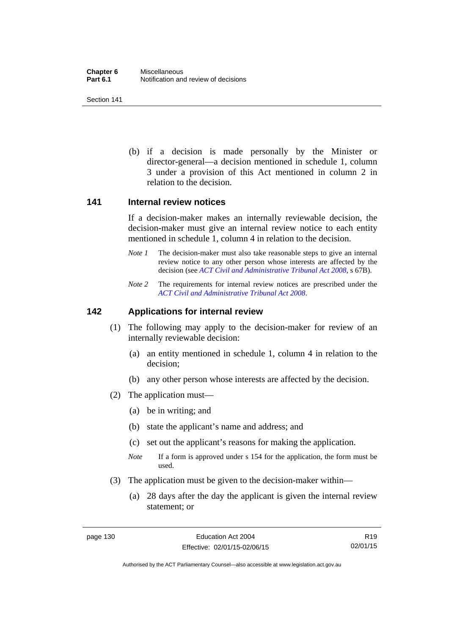(b) if a decision is made personally by the Minister or director-general—a decision mentioned in schedule 1, column 3 under a provision of this Act mentioned in column 2 in relation to the decision.

#### **141 Internal review notices**

If a decision-maker makes an internally reviewable decision, the decision-maker must give an internal review notice to each entity mentioned in schedule 1, column 4 in relation to the decision.

- *Note 1* The decision-maker must also take reasonable steps to give an internal review notice to any other person whose interests are affected by the decision (see *[ACT Civil and Administrative Tribunal Act 2008](http://www.legislation.act.gov.au/a/2008-35)*, s 67B).
- *Note 2* The requirements for internal review notices are prescribed under the *[ACT Civil and Administrative Tribunal Act 2008](http://www.legislation.act.gov.au/a/2008-35)*.

#### **142 Applications for internal review**

- (1) The following may apply to the decision-maker for review of an internally reviewable decision:
	- (a) an entity mentioned in schedule 1, column 4 in relation to the decision;
	- (b) any other person whose interests are affected by the decision.
- (2) The application must—
	- (a) be in writing; and
	- (b) state the applicant's name and address; and
	- (c) set out the applicant's reasons for making the application.
	- *Note* If a form is approved under s 154 for the application, the form must be used.
- (3) The application must be given to the decision-maker within—
	- (a) 28 days after the day the applicant is given the internal review statement; or

R19 02/01/15

Authorised by the ACT Parliamentary Counsel—also accessible at www.legislation.act.gov.au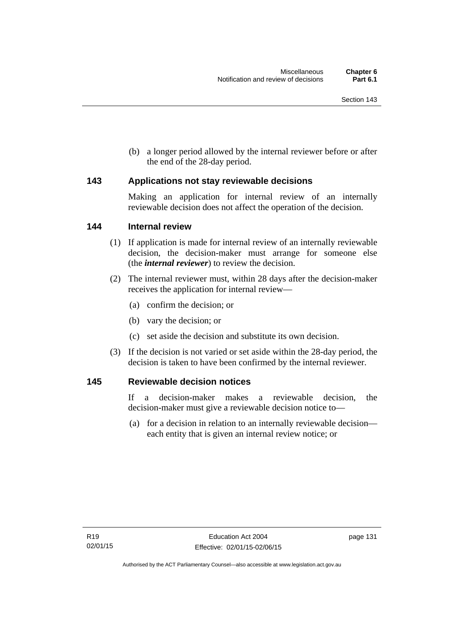(b) a longer period allowed by the internal reviewer before or after the end of the 28-day period.

#### **143 Applications not stay reviewable decisions**

Making an application for internal review of an internally reviewable decision does not affect the operation of the decision.

#### **144 Internal review**

- (1) If application is made for internal review of an internally reviewable decision, the decision-maker must arrange for someone else (the *internal reviewer*) to review the decision.
- (2) The internal reviewer must, within 28 days after the decision-maker receives the application for internal review—
	- (a) confirm the decision; or
	- (b) vary the decision; or
	- (c) set aside the decision and substitute its own decision.
- (3) If the decision is not varied or set aside within the 28-day period, the decision is taken to have been confirmed by the internal reviewer.

#### **145 Reviewable decision notices**

If a decision-maker makes a reviewable decision, the decision-maker must give a reviewable decision notice to—

 (a) for a decision in relation to an internally reviewable decision each entity that is given an internal review notice; or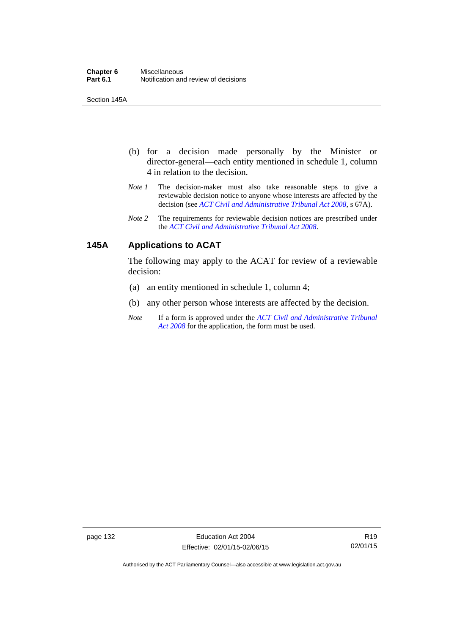Section 145A

- (b) for a decision made personally by the Minister or director-general—each entity mentioned in schedule 1, column 4 in relation to the decision.
- *Note 1* The decision-maker must also take reasonable steps to give a reviewable decision notice to anyone whose interests are affected by the decision (see *[ACT Civil and Administrative Tribunal Act 2008](http://www.legislation.act.gov.au/a/2008-35)*, s 67A).
- *Note 2* The requirements for reviewable decision notices are prescribed under the *[ACT Civil and Administrative Tribunal Act 2008](http://www.legislation.act.gov.au/a/2008-35)*.

# **145A Applications to ACAT**

The following may apply to the ACAT for review of a reviewable decision:

- (a) an entity mentioned in schedule 1, column 4;
- (b) any other person whose interests are affected by the decision.
- *Note* If a form is approved under the *[ACT Civil and Administrative Tribunal](http://www.legislation.act.gov.au/a/2008-35)  [Act 2008](http://www.legislation.act.gov.au/a/2008-35)* for the application, the form must be used.

page 132 Education Act 2004 Effective: 02/01/15-02/06/15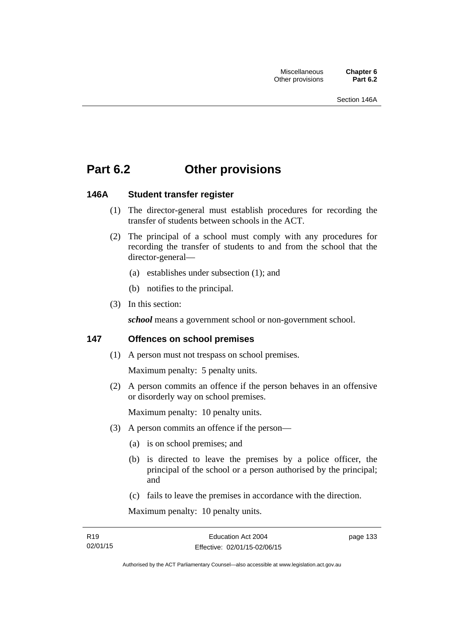# **Part 6.2 Other provisions**

# **146A Student transfer register**

- (1) The director-general must establish procedures for recording the transfer of students between schools in the ACT.
- (2) The principal of a school must comply with any procedures for recording the transfer of students to and from the school that the director-general—
	- (a) establishes under subsection (1); and
	- (b) notifies to the principal.
- (3) In this section:

*school* means a government school or non-government school.

# **147 Offences on school premises**

(1) A person must not trespass on school premises.

Maximum penalty: 5 penalty units.

 (2) A person commits an offence if the person behaves in an offensive or disorderly way on school premises.

Maximum penalty: 10 penalty units.

- (3) A person commits an offence if the person—
	- (a) is on school premises; and
	- (b) is directed to leave the premises by a police officer, the principal of the school or a person authorised by the principal; and
	- (c) fails to leave the premises in accordance with the direction.

Maximum penalty: 10 penalty units.

page 133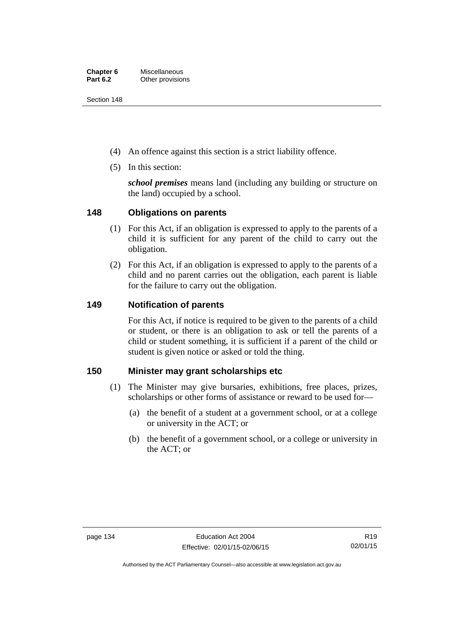Section 148

- (4) An offence against this section is a strict liability offence.
- (5) In this section:

*school premises* means land (including any building or structure on the land) occupied by a school.

# **148 Obligations on parents**

- (1) For this Act, if an obligation is expressed to apply to the parents of a child it is sufficient for any parent of the child to carry out the obligation.
- (2) For this Act, if an obligation is expressed to apply to the parents of a child and no parent carries out the obligation, each parent is liable for the failure to carry out the obligation.

# **149 Notification of parents**

For this Act, if notice is required to be given to the parents of a child or student, or there is an obligation to ask or tell the parents of a child or student something, it is sufficient if a parent of the child or student is given notice or asked or told the thing.

# **150 Minister may grant scholarships etc**

- (1) The Minister may give bursaries, exhibitions, free places, prizes, scholarships or other forms of assistance or reward to be used for—
	- (a) the benefit of a student at a government school, or at a college or university in the ACT; or
	- (b) the benefit of a government school, or a college or university in the ACT; or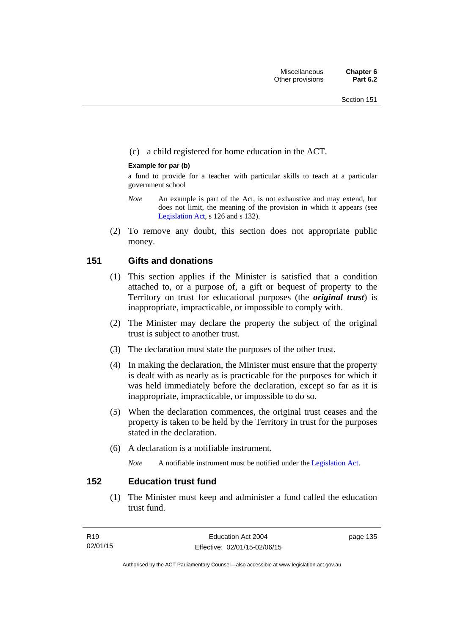# (c) a child registered for home education in the ACT.

## **Example for par (b)**

a fund to provide for a teacher with particular skills to teach at a particular government school

- *Note* An example is part of the Act, is not exhaustive and may extend, but does not limit, the meaning of the provision in which it appears (see [Legislation Act,](http://www.legislation.act.gov.au/a/2001-14) s 126 and s 132).
- (2) To remove any doubt, this section does not appropriate public money.

# **151 Gifts and donations**

- (1) This section applies if the Minister is satisfied that a condition attached to, or a purpose of, a gift or bequest of property to the Territory on trust for educational purposes (the *original trust*) is inappropriate, impracticable, or impossible to comply with.
- (2) The Minister may declare the property the subject of the original trust is subject to another trust.
- (3) The declaration must state the purposes of the other trust.
- (4) In making the declaration, the Minister must ensure that the property is dealt with as nearly as is practicable for the purposes for which it was held immediately before the declaration, except so far as it is inappropriate, impracticable, or impossible to do so.
- (5) When the declaration commences, the original trust ceases and the property is taken to be held by the Territory in trust for the purposes stated in the declaration.
- (6) A declaration is a notifiable instrument.

*Note* A notifiable instrument must be notified under the [Legislation Act](http://www.legislation.act.gov.au/a/2001-14).

# **152 Education trust fund**

 (1) The Minister must keep and administer a fund called the education trust fund.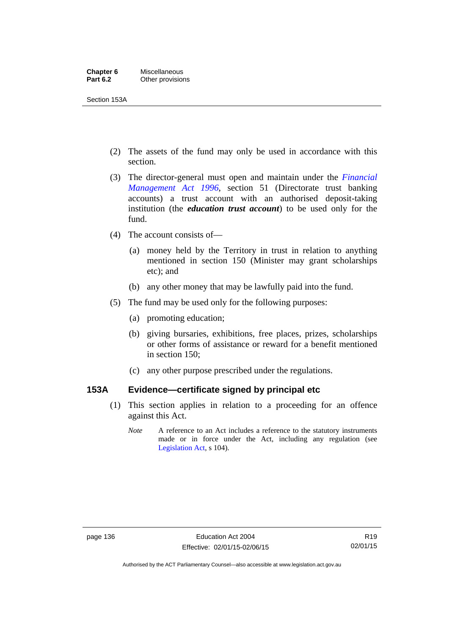Section 153A

- (2) The assets of the fund may only be used in accordance with this section.
- (3) The director-general must open and maintain under the *[Financial](http://www.legislation.act.gov.au/a/1996-22)  [Management Act 1996](http://www.legislation.act.gov.au/a/1996-22)*, section 51 (Directorate trust banking accounts) a trust account with an authorised deposit-taking institution (the *education trust account*) to be used only for the fund.
- (4) The account consists of—
	- (a) money held by the Territory in trust in relation to anything mentioned in section 150 (Minister may grant scholarships etc); and
	- (b) any other money that may be lawfully paid into the fund.
- (5) The fund may be used only for the following purposes:
	- (a) promoting education;
	- (b) giving bursaries, exhibitions, free places, prizes, scholarships or other forms of assistance or reward for a benefit mentioned in section 150;
	- (c) any other purpose prescribed under the regulations.

# **153A Evidence—certificate signed by principal etc**

- (1) This section applies in relation to a proceeding for an offence against this Act.
	- *Note* A reference to an Act includes a reference to the statutory instruments made or in force under the Act, including any regulation (see [Legislation Act,](http://www.legislation.act.gov.au/a/2001-14) s 104).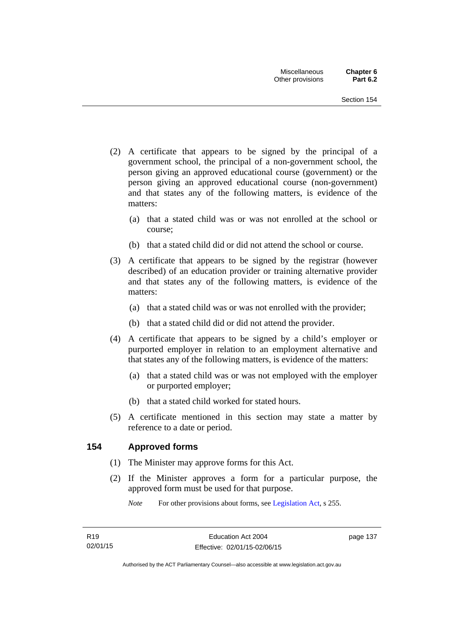- (2) A certificate that appears to be signed by the principal of a government school, the principal of a non-government school, the person giving an approved educational course (government) or the person giving an approved educational course (non-government) and that states any of the following matters, is evidence of the matters:
	- (a) that a stated child was or was not enrolled at the school or course;
	- (b) that a stated child did or did not attend the school or course.
- (3) A certificate that appears to be signed by the registrar (however described) of an education provider or training alternative provider and that states any of the following matters, is evidence of the matters:
	- (a) that a stated child was or was not enrolled with the provider;
	- (b) that a stated child did or did not attend the provider.
- (4) A certificate that appears to be signed by a child's employer or purported employer in relation to an employment alternative and that states any of the following matters, is evidence of the matters:
	- (a) that a stated child was or was not employed with the employer or purported employer;
	- (b) that a stated child worked for stated hours.
- (5) A certificate mentioned in this section may state a matter by reference to a date or period.

# **154 Approved forms**

- (1) The Minister may approve forms for this Act.
- (2) If the Minister approves a form for a particular purpose, the approved form must be used for that purpose.

*Note* For other provisions about forms, see [Legislation Act,](http://www.legislation.act.gov.au/a/2001-14) s 255.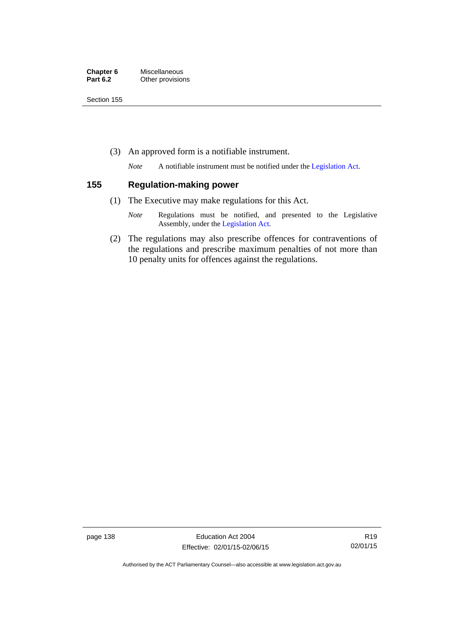| Chapter 6       | Miscellaneous    |
|-----------------|------------------|
| <b>Part 6.2</b> | Other provisions |

Section 155

(3) An approved form is a notifiable instrument.

*Note* A notifiable instrument must be notified under the [Legislation Act](http://www.legislation.act.gov.au/a/2001-14).

## **155 Regulation-making power**

- (1) The Executive may make regulations for this Act.
	- *Note* Regulations must be notified, and presented to the Legislative Assembly, under the [Legislation Act](http://www.legislation.act.gov.au/a/2001-14).
- (2) The regulations may also prescribe offences for contraventions of the regulations and prescribe maximum penalties of not more than 10 penalty units for offences against the regulations.

page 138 Education Act 2004 Effective: 02/01/15-02/06/15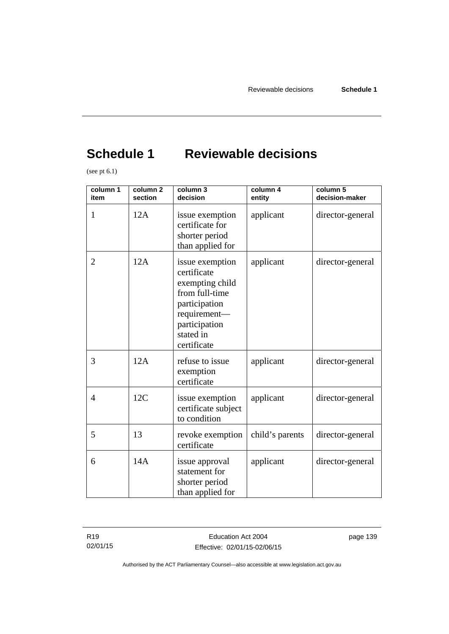# **Schedule 1 Reviewable decisions**

(see pt 6.1)

| column 1<br>item | column <sub>2</sub><br>section | column 3<br>decision                                                                                                                              | column 4<br>entity | column 5<br>decision-maker |
|------------------|--------------------------------|---------------------------------------------------------------------------------------------------------------------------------------------------|--------------------|----------------------------|
| 1                | 12A                            | issue exemption<br>certificate for<br>shorter period<br>than applied for                                                                          | applicant          | director-general           |
| $\overline{2}$   | 12A                            | issue exemption<br>certificate<br>exempting child<br>from full-time<br>participation<br>requirement-<br>participation<br>stated in<br>certificate | applicant          | director-general           |
| 3                | 12A                            | refuse to issue<br>exemption<br>certificate                                                                                                       | applicant          | director-general           |
| 4                | 12C                            | issue exemption<br>certificate subject<br>to condition                                                                                            | applicant          | director-general           |
| 5                | 13                             | revoke exemption<br>certificate                                                                                                                   | child's parents    | director-general           |
| 6                | 14A                            | issue approval<br>statement for<br>shorter period<br>than applied for                                                                             | applicant          | director-general           |

R19 02/01/15 page 139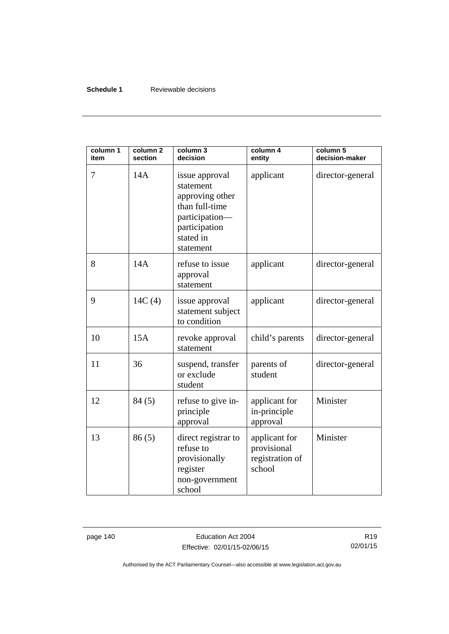# **Schedule 1** Reviewable decisions

| column 1<br>item | column <sub>2</sub><br>section | column 3<br>decision                                                                                                          | column 4<br>entity                                        | column 5<br>decision-maker |
|------------------|--------------------------------|-------------------------------------------------------------------------------------------------------------------------------|-----------------------------------------------------------|----------------------------|
| 7                | 14A                            | issue approval<br>statement<br>approving other<br>than full-time<br>participation-<br>participation<br>stated in<br>statement | applicant                                                 | director-general           |
| 8                | 14A                            | refuse to issue<br>approval<br>statement                                                                                      | applicant                                                 | director-general           |
| 9                | 14C(4)                         | issue approval<br>statement subject<br>to condition                                                                           | applicant                                                 | director-general           |
| 10               | 15A                            | revoke approval<br>statement                                                                                                  | child's parents                                           | director-general           |
| 11               | 36                             | suspend, transfer<br>or exclude<br>student                                                                                    | parents of<br>student                                     | director-general           |
| 12               | 84(5)                          | refuse to give in-<br>principle<br>approval                                                                                   | applicant for<br>in-principle<br>approval                 | Minister                   |
| 13               | 86(5)                          | direct registrar to<br>refuse to<br>provisionally<br>register<br>non-government<br>school                                     | applicant for<br>provisional<br>registration of<br>school | Minister                   |

page 140 **Education Act 2004** Effective: 02/01/15-02/06/15

R19 02/01/15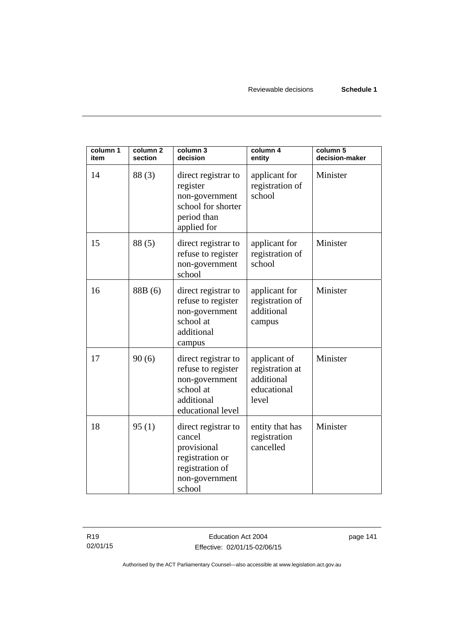| column 1<br>item | column <sub>2</sub><br>section | column 3<br>decision                                                                                           | column 4<br>entity                                                    | column 5<br>decision-maker |
|------------------|--------------------------------|----------------------------------------------------------------------------------------------------------------|-----------------------------------------------------------------------|----------------------------|
| 14               | 88(3)                          | direct registrar to<br>register<br>non-government<br>school for shorter<br>period than<br>applied for          | applicant for<br>registration of<br>school                            | Minister                   |
| 15               | 88 (5)                         | direct registrar to<br>refuse to register<br>non-government<br>school                                          | applicant for<br>registration of<br>school                            | Minister                   |
| 16               | 88B (6)                        | direct registrar to<br>refuse to register<br>non-government<br>school at<br>additional<br>campus               | applicant for<br>registration of<br>additional<br>campus              | Minister                   |
| 17               | 90(6)                          | direct registrar to<br>refuse to register<br>non-government<br>school at<br>additional<br>educational level    | applicant of<br>registration at<br>additional<br>educational<br>level | Minister                   |
| 18               | 95(1)                          | direct registrar to<br>cancel<br>provisional<br>registration or<br>registration of<br>non-government<br>school | entity that has<br>registration<br>cancelled                          | Minister                   |

R19 02/01/15 page 141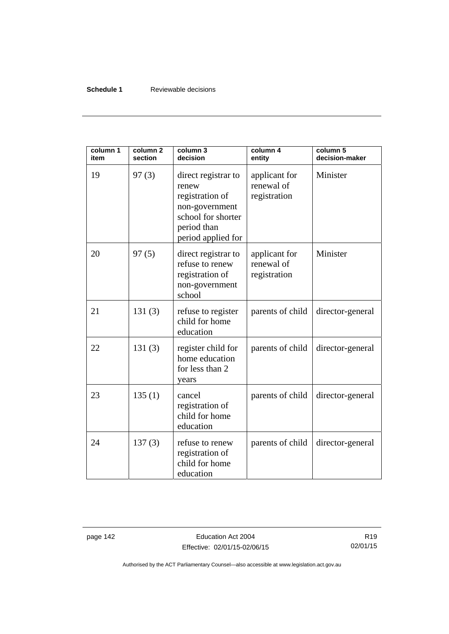## **Schedule 1** Reviewable decisions

| column 1<br>item | column <sub>2</sub><br>section | column 3<br>decision                                                                                                         | column 4<br>entity                          | column 5<br>decision-maker |
|------------------|--------------------------------|------------------------------------------------------------------------------------------------------------------------------|---------------------------------------------|----------------------------|
| 19               | 97(3)                          | direct registrar to<br>renew<br>registration of<br>non-government<br>school for shorter<br>period than<br>period applied for | applicant for<br>renewal of<br>registration | Minister                   |
| 20               | 97(5)                          | direct registrar to<br>refuse to renew<br>registration of<br>non-government<br>school                                        | applicant for<br>renewal of<br>registration | Minister                   |
| 21               | 131(3)                         | refuse to register<br>child for home<br>education                                                                            | parents of child                            | director-general           |
| 22               | 131(3)                         | register child for<br>home education<br>for less than 2<br>years                                                             | parents of child                            | director-general           |
| 23               | 135(1)                         | cancel<br>registration of<br>child for home<br>education                                                                     | parents of child                            | director-general           |
| 24               | 137(3)                         | refuse to renew<br>registration of<br>child for home<br>education                                                            | parents of child                            | director-general           |

page 142 **Education Act 2004** Effective: 02/01/15-02/06/15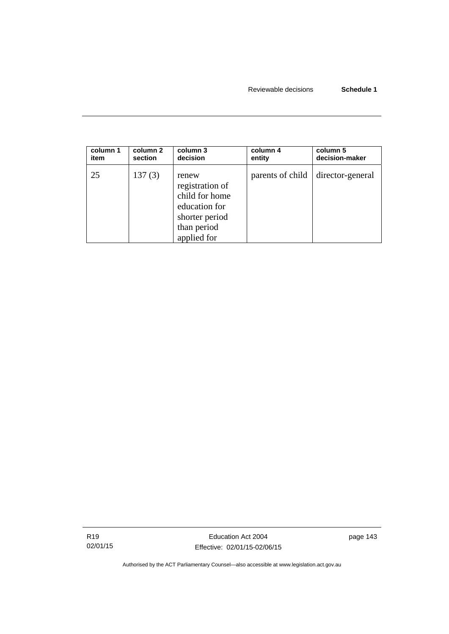| column 1 | column 2 | column 3                                                                                                    | column 4         | column 5         |
|----------|----------|-------------------------------------------------------------------------------------------------------------|------------------|------------------|
| item     | section  | decision                                                                                                    | entity           | decision-maker   |
| 25       | 137(3)   | renew<br>registration of<br>child for home<br>education for<br>shorter period<br>than period<br>applied for | parents of child | director-general |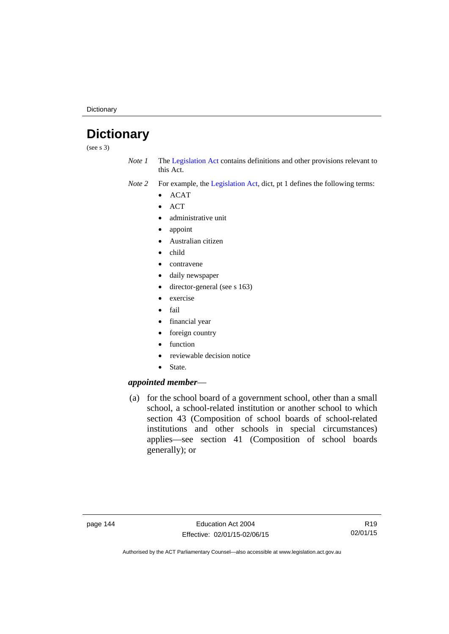**Dictionary** 

# **Dictionary**

(see s 3)

*Note 1* The [Legislation Act](http://www.legislation.act.gov.au/a/2001-14) contains definitions and other provisions relevant to this Act.

*Note 2* For example, the [Legislation Act,](http://www.legislation.act.gov.au/a/2001-14) dict, pt 1 defines the following terms:

- $\bullet$  ACAT
- ACT
- administrative unit
- appoint
- Australian citizen
- child
- contravene
- daily newspaper
- director-general (see s 163)
- exercise
- $\bullet$  fail
- financial year
- foreign country
- function
- reviewable decision notice
- State.

# *appointed member*—

 (a) for the school board of a government school, other than a small school, a school-related institution or another school to which section 43 (Composition of school boards of school-related institutions and other schools in special circumstances) applies—see section 41 (Composition of school boards generally); or

R19 02/01/15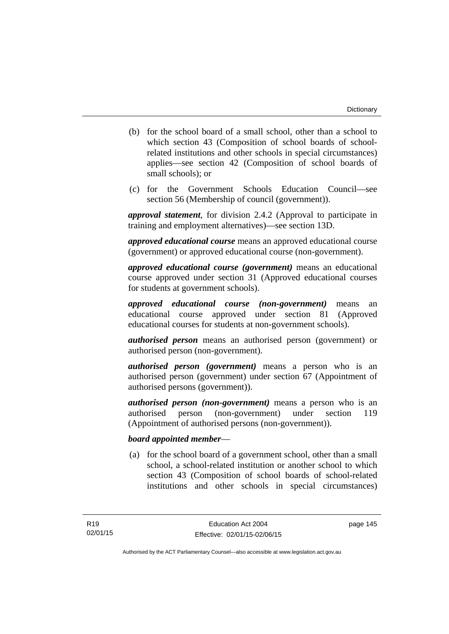- (b) for the school board of a small school, other than a school to which section 43 (Composition of school boards of schoolrelated institutions and other schools in special circumstances) applies—see section 42 (Composition of school boards of small schools); or
- (c) for the Government Schools Education Council—see section 56 (Membership of council (government)).

*approval statement*, for division 2.4.2 (Approval to participate in training and employment alternatives)—see section 13D.

*approved educational course* means an approved educational course (government) or approved educational course (non-government).

*approved educational course (government)* means an educational course approved under section 31 (Approved educational courses for students at government schools).

*approved educational course (non-government)* means an educational course approved under section 81 (Approved educational courses for students at non-government schools).

*authorised person* means an authorised person (government) or authorised person (non-government).

*authorised person (government)* means a person who is an authorised person (government) under section 67 (Appointment of authorised persons (government)).

*authorised person (non-government)* means a person who is an authorised person (non-government) under section 119 (Appointment of authorised persons (non-government)).

# *board appointed member*—

 (a) for the school board of a government school, other than a small school, a school-related institution or another school to which section 43 (Composition of school boards of school-related institutions and other schools in special circumstances)

page 145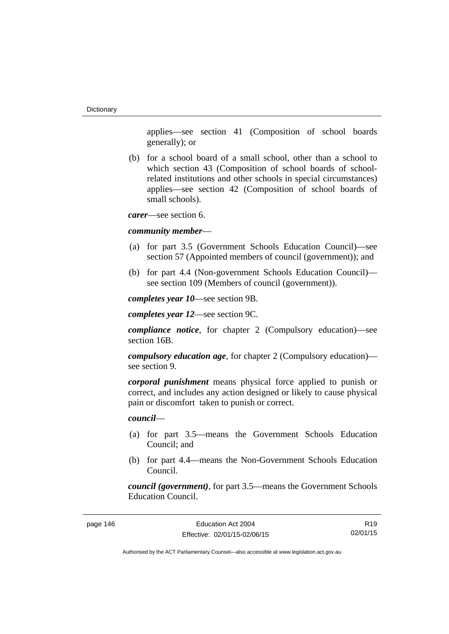applies—see section 41 (Composition of school boards generally); or

 (b) for a school board of a small school, other than a school to which section 43 (Composition of school boards of schoolrelated institutions and other schools in special circumstances) applies—see section 42 (Composition of school boards of small schools).

*carer*—see section 6.

#### *community member*—

- (a) for part 3.5 (Government Schools Education Council)—see section 57 (Appointed members of council (government)); and
- (b) for part 4.4 (Non-government Schools Education Council) see section 109 (Members of council (government)).

*completes year 10*—see section 9B.

*completes year 12*—see section 9C.

*compliance notice*, for chapter 2 (Compulsory education)—see section 16B.

*compulsory education age*, for chapter 2 (Compulsory education) see section 9.

*corporal punishment* means physical force applied to punish or correct, and includes any action designed or likely to cause physical pain or discomfort taken to punish or correct.

*council*—

- (a) for part 3.5—means the Government Schools Education Council; and
- (b) for part 4.4—means the Non-Government Schools Education Council.

*council (government)*, for part 3.5—means the Government Schools Education Council.

page 146 **Education Act 2004** Effective: 02/01/15-02/06/15

R19 02/01/15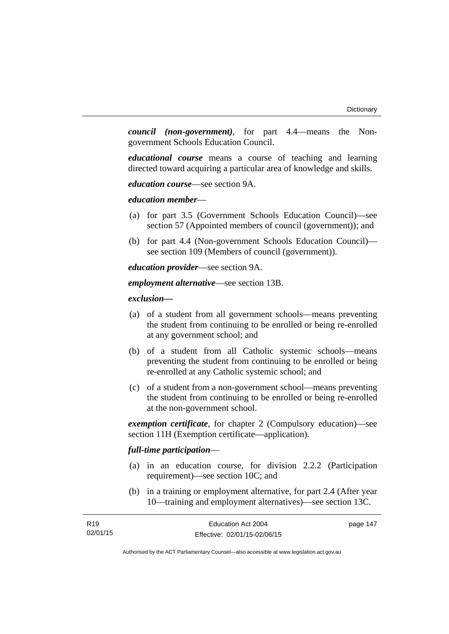*council (non-government)*, for part 4.4—means the Nongovernment Schools Education Council.

*educational course* means a course of teaching and learning directed toward acquiring a particular area of knowledge and skills.

*education course*—see section 9A.

*education member*—

- (a) for part 3.5 (Government Schools Education Council)—see section 57 (Appointed members of council (government)); and
- (b) for part 4.4 (Non-government Schools Education Council) see section 109 (Members of council (government)).

*education provider*—see section 9A.

*employment alternative*—see section 13B.

*exclusion***—**

- (a) of a student from all government schools—means preventing the student from continuing to be enrolled or being re-enrolled at any government school; and
- (b) of a student from all Catholic systemic schools—means preventing the student from continuing to be enrolled or being re-enrolled at any Catholic systemic school; and
- (c) of a student from a non-government school—means preventing the student from continuing to be enrolled or being re-enrolled at the non-government school.

*exemption certificate*, for chapter 2 (Compulsory education)—see section 11H (Exemption certificate—application).

# *full-time participation*—

- (a) in an education course, for division 2.2.2 (Participation requirement)—see section 10C; and
- (b) in a training or employment alternative, for part 2.4 (After year 10—training and employment alternatives)—see section 13C.

| R <sub>19</sub> | Education Act 2004           | page 147 |
|-----------------|------------------------------|----------|
| 02/01/15        | Effective: 02/01/15-02/06/15 |          |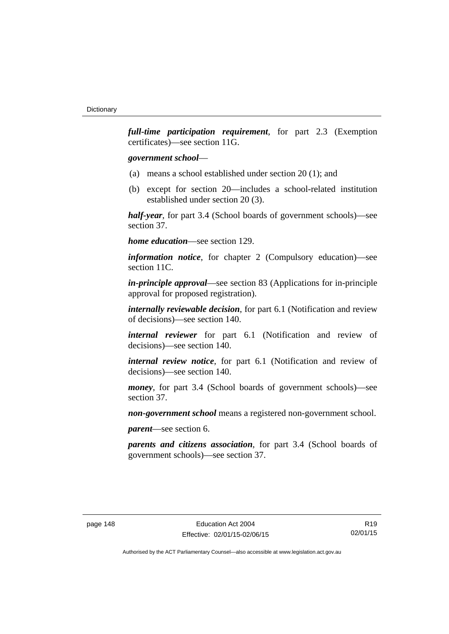*full-time participation requirement*, for part 2.3 (Exemption certificates)—see section 11G.

## *government school*—

- (a) means a school established under section 20 (1); and
- (b) except for section 20—includes a school-related institution established under section 20 (3).

*half-year*, for part 3.4 (School boards of government schools)—see section 37.

*home education*—see section 129.

*information notice*, for chapter 2 (Compulsory education)—see section 11C.

*in-principle approval*—see section 83 (Applications for in-principle approval for proposed registration).

*internally reviewable decision*, for part 6.1 (Notification and review of decisions)—see section 140.

*internal reviewer* for part 6.1 (Notification and review of decisions)—see section 140.

*internal review notice*, for part 6.1 (Notification and review of decisions)—see section 140.

*money*, for part 3.4 (School boards of government schools)—see section 37.

*non-government school* means a registered non-government school.

*parent*—see section 6.

*parents and citizens association*, for part 3.4 (School boards of government schools)—see section 37.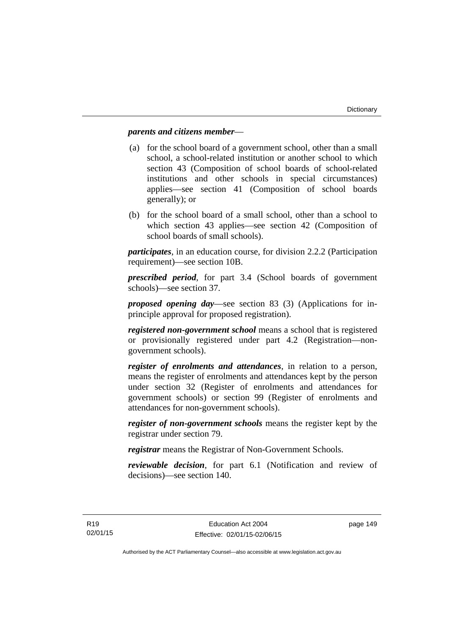## *parents and citizens member*—

- (a) for the school board of a government school, other than a small school, a school-related institution or another school to which section 43 (Composition of school boards of school-related institutions and other schools in special circumstances) applies—see section 41 (Composition of school boards generally); or
- (b) for the school board of a small school, other than a school to which section 43 applies—see section 42 (Composition of school boards of small schools).

*participates*, in an education course, for division 2.2.2 (Participation requirement)—see section 10B.

*prescribed period*, for part 3.4 (School boards of government schools)—see section 37.

*proposed opening day*—see section 83 (3) (Applications for inprinciple approval for proposed registration).

*registered non-government school* means a school that is registered or provisionally registered under part 4.2 (Registration—nongovernment schools).

*register of enrolments and attendances*, in relation to a person, means the register of enrolments and attendances kept by the person under section 32 (Register of enrolments and attendances for government schools) or section 99 (Register of enrolments and attendances for non-government schools).

*register of non-government schools* means the register kept by the registrar under section 79.

*registrar* means the Registrar of Non-Government Schools.

*reviewable decision*, for part 6.1 (Notification and review of decisions)—see section 140.

page 149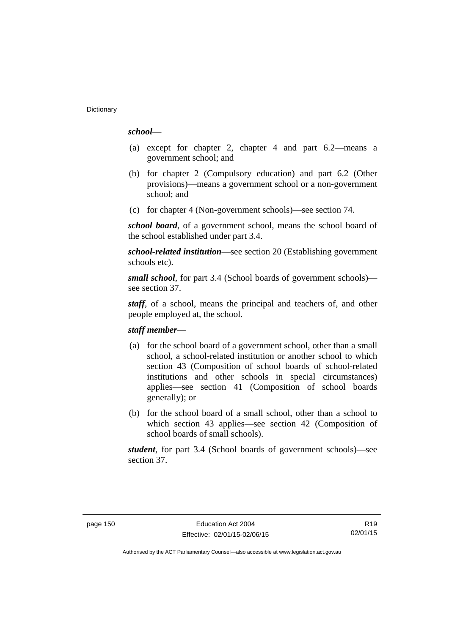# *school*—

- (a) except for chapter 2, chapter 4 and part 6.2—means a government school; and
- (b) for chapter 2 (Compulsory education) and part 6.2 (Other provisions)—means a government school or a non-government school; and
- (c) for chapter 4 (Non-government schools)—see section 74.

*school board*, of a government school, means the school board of the school established under part 3.4.

*school-related institution*—see section 20 (Establishing government schools etc).

*small school*, for part 3.4 (School boards of government schools) see section 37.

*staff*, of a school, means the principal and teachers of, and other people employed at, the school.

## *staff member*—

- (a) for the school board of a government school, other than a small school, a school-related institution or another school to which section 43 (Composition of school boards of school-related institutions and other schools in special circumstances) applies—see section 41 (Composition of school boards generally); or
- (b) for the school board of a small school, other than a school to which section 43 applies—see section 42 (Composition of school boards of small schools).

*student*, for part 3.4 (School boards of government schools)—see section 37.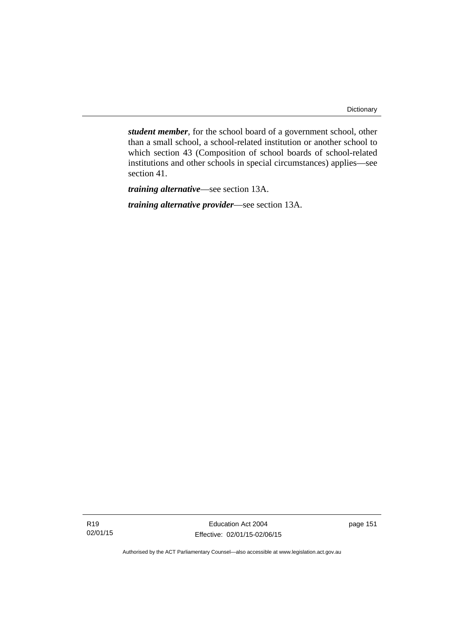*student member*, for the school board of a government school, other than a small school, a school-related institution or another school to which section 43 (Composition of school boards of school-related institutions and other schools in special circumstances) applies—see section 41.

*training alternative*—see section 13A.

*training alternative provider*—see section 13A.

Education Act 2004 Effective: 02/01/15-02/06/15 page 151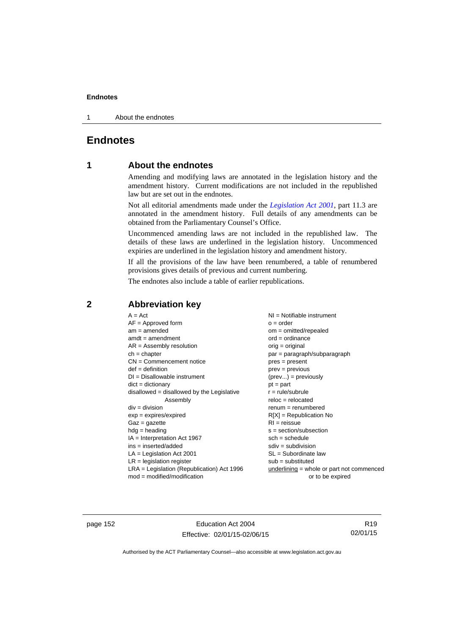1 About the endnotes

# **Endnotes**

# **1 About the endnotes**

Amending and modifying laws are annotated in the legislation history and the amendment history. Current modifications are not included in the republished law but are set out in the endnotes.

Not all editorial amendments made under the *[Legislation Act 2001](http://www.legislation.act.gov.au/a/2001-14)*, part 11.3 are annotated in the amendment history. Full details of any amendments can be obtained from the Parliamentary Counsel's Office.

Uncommenced amending laws are not included in the republished law. The details of these laws are underlined in the legislation history. Uncommenced expiries are underlined in the legislation history and amendment history.

If all the provisions of the law have been renumbered, a table of renumbered provisions gives details of previous and current numbering.

The endnotes also include a table of earlier republications.

| $A = Act$<br>$AF =$ Approved form<br>$am = amended$<br>$amdt = amendment$<br>$AR = Assembly resolution$<br>$ch = chapter$<br>$CN =$ Commencement notice<br>$def = definition$<br>$DI = Disallowable instrument$<br>$dict = dictionary$<br>disallowed = disallowed by the Legislative<br>Assembly<br>$div = division$<br>$exp = expires/expired$<br>$Gaz = gazette$<br>$hdg =$ heading<br>$IA = Interpretation Act 1967$<br>$ins = inserted/added$<br>$LA =$ Legislation Act 2001<br>$LR =$ legislation register | NI = Notifiable instrument<br>$o = order$<br>$om = omitted/repealed$<br>$ord = ordinance$<br>$orig = original$<br>$par = paragraph/subparagraph$<br>$pres = present$<br>$prev = previous$<br>$(\text{prev}) = \text{previously}$<br>$pt = part$<br>$r = rule/subrule$<br>$reloc = relocated$<br>$renum = renumbered$<br>$R[X]$ = Republication No<br>$RI = reissue$<br>$s = section/subsection$<br>$sch = schedule$<br>$sdiv = subdivision$<br>$SL = Subordinate$ law<br>$sub =$ substituted |
|-----------------------------------------------------------------------------------------------------------------------------------------------------------------------------------------------------------------------------------------------------------------------------------------------------------------------------------------------------------------------------------------------------------------------------------------------------------------------------------------------------------------|----------------------------------------------------------------------------------------------------------------------------------------------------------------------------------------------------------------------------------------------------------------------------------------------------------------------------------------------------------------------------------------------------------------------------------------------------------------------------------------------|
| $LRA =$ Legislation (Republication) Act 1996                                                                                                                                                                                                                                                                                                                                                                                                                                                                    | $underlining = whole or part not commenced$                                                                                                                                                                                                                                                                                                                                                                                                                                                  |
| $mod = modified/modification$                                                                                                                                                                                                                                                                                                                                                                                                                                                                                   | or to be expired                                                                                                                                                                                                                                                                                                                                                                                                                                                                             |

# **2 Abbreviation key**

page 152 Education Act 2004 Effective: 02/01/15-02/06/15

R19 02/01/15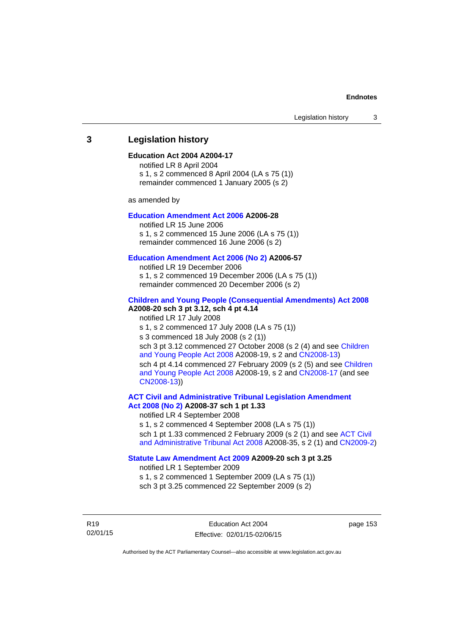# **3 Legislation history**

### **Education Act 2004 A2004-17**

notified LR 8 April 2004 s 1, s 2 commenced 8 April 2004 (LA s 75 (1)) remainder commenced 1 January 2005 (s 2)

as amended by

## **[Education Amendment Act 2006](http://www.legislation.act.gov.au/a/2006-28) A2006-28**

notified LR 15 June 2006 s 1, s 2 commenced 15 June 2006 (LA s 75 (1)) remainder commenced 16 June 2006 (s 2)

#### **[Education Amendment Act 2006 \(No 2\)](http://www.legislation.act.gov.au/a/2006-57) A2006-57**

notified LR 19 December 2006 s 1, s 2 commenced 19 December 2006 (LA s 75 (1)) remainder commenced 20 December 2006 (s 2)

#### **[Children and Young People \(Consequential Amendments\) Act 2008](http://www.legislation.act.gov.au/a/2008-20) A2008-20 sch 3 pt 3.12, sch 4 pt 4.14**

notified LR 17 July 2008 s 1, s 2 commenced 17 July 2008 (LA s 75 (1)) s 3 commenced 18 July 2008 (s 2 (1)) sch 3 pt 3.12 commenced 27 October 2008 (s 2 (4) and see [Children](http://www.legislation.act.gov.au/a/2008-19)  [and Young People Act 2008](http://www.legislation.act.gov.au/a/2008-19) A2008-19, s 2 and [CN2008-13](http://www.legislation.act.gov.au/cn/2008-13/default.asp)) sch 4 pt 4.14 commenced 27 February 2009 (s 2 (5) and see [Children](http://www.legislation.act.gov.au/a/2008-19)  [and Young People Act 2008](http://www.legislation.act.gov.au/a/2008-19) A2008-19, s 2 and [CN2008-17 \(](http://www.legislation.act.gov.au/cn/2008-17/default.asp)and see [CN2008-13](http://www.legislation.act.gov.au/cn/2008-13/default.asp)))

**[ACT Civil and Administrative Tribunal Legislation Amendment](http://www.legislation.act.gov.au/a/2008-37)  [Act 2008 \(No 2\)](http://www.legislation.act.gov.au/a/2008-37) A2008-37 sch 1 pt 1.33** 

notified LR 4 September 2008

s 1, s 2 commenced 4 September 2008 (LA s 75 (1)) sch 1 pt 1.33 commenced 2 February 2009 (s 2 (1) and see [ACT Civil](http://www.legislation.act.gov.au/a/2008-35)  [and Administrative Tribunal Act 2008](http://www.legislation.act.gov.au/a/2008-35) A2008-35, s 2 (1) and [CN2009-2](http://www.legislation.act.gov.au/cn/2009-2/default.asp))

#### **[Statute Law Amendment Act 2009](http://www.legislation.act.gov.au/a/2009-20) A2009-20 sch 3 pt 3.25**

notified LR 1 September 2009 s 1, s 2 commenced 1 September 2009 (LA s 75 (1)) sch 3 pt 3.25 commenced 22 September 2009 (s 2)

R19 02/01/15 page 153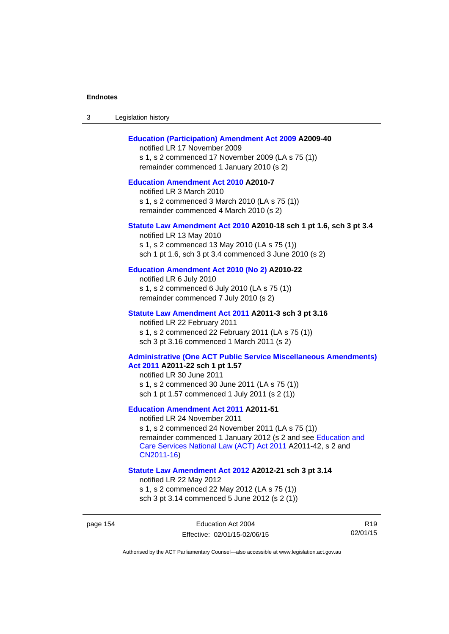| -3 | Legislation history |  |
|----|---------------------|--|
|----|---------------------|--|

### **[Education \(Participation\) Amendment Act 2009](http://www.legislation.act.gov.au/a/2009-40) A2009-40**

notified LR 17 November 2009 s 1, s 2 commenced 17 November 2009 (LA s 75 (1)) remainder commenced 1 January 2010 (s 2)

# **[Education Amendment Act 2010](http://www.legislation.act.gov.au/a/2010-7) A2010-7**

notified LR 3 March 2010 s 1, s 2 commenced 3 March 2010 (LA s 75 (1)) remainder commenced 4 March 2010 (s 2)

#### **[Statute Law Amendment Act 2010](http://www.legislation.act.gov.au/a/2010-18) A2010-18 sch 1 pt 1.6, sch 3 pt 3.4**

notified LR 13 May 2010 s 1, s 2 commenced 13 May 2010 (LA s 75 (1)) sch 1 pt 1.6, sch 3 pt 3.4 commenced 3 June 2010 (s 2)

#### **[Education Amendment Act 2010 \(No 2\)](http://www.legislation.act.gov.au/a/2010-22) A2010-22**

notified LR 6 July 2010 s 1, s 2 commenced 6 July 2010 (LA s 75 (1)) remainder commenced 7 July 2010 (s 2)

#### **[Statute Law Amendment Act 2011](http://www.legislation.act.gov.au/a/2011-3) A2011-3 sch 3 pt 3.16**

notified LR 22 February 2011 s 1, s 2 commenced 22 February 2011 (LA s 75 (1)) sch 3 pt 3.16 commenced 1 March 2011 (s 2)

#### **[Administrative \(One ACT Public Service Miscellaneous Amendments\)](http://www.legislation.act.gov.au/a/2011-22)  [Act 2011](http://www.legislation.act.gov.au/a/2011-22) A2011-22 sch 1 pt 1.57**

notified LR 30 June 2011 s 1, s 2 commenced 30 June 2011 (LA s 75 (1)) sch 1 pt 1.57 commenced 1 July 2011 (s 2 (1))

## **[Education Amendment Act 2011](http://www.legislation.act.gov.au/a/2011-51) A2011-51**

notified LR 24 November 2011

s 1, s 2 commenced 24 November 2011 (LA s 75 (1)) remainder commenced 1 January 2012 (s 2 and see [Education and](http://www.legislation.act.gov.au/a/2011-42)  [Care Services National Law \(ACT\) Act 2011](http://www.legislation.act.gov.au/a/2011-42) A2011-42, s 2 and [CN2011-16](http://www.legislation.act.gov.au/cn/2011-16/default.asp))

#### **[Statute Law Amendment Act 2012](http://www.legislation.act.gov.au/a/2012-21) A2012-21 sch 3 pt 3.14**

notified LR 22 May 2012

s 1, s 2 commenced 22 May 2012 (LA s 75 (1)) sch 3 pt 3.14 commenced 5 June 2012 (s 2 (1))

R19 02/01/15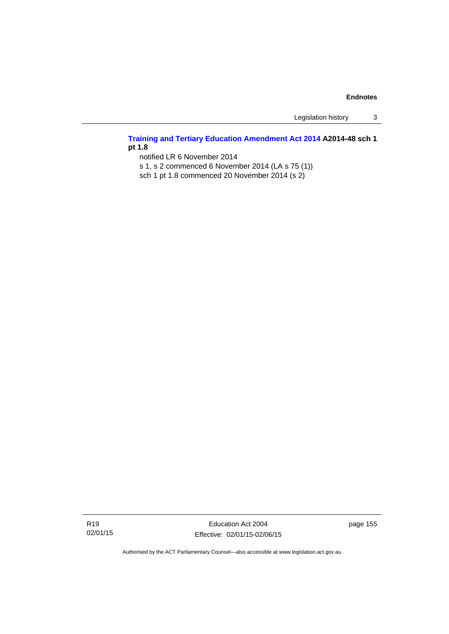Legislation history 3

# **[Training and Tertiary Education Amendment Act 2014](http://www.legislation.act.gov.au/a/2014-48) A2014-48 sch 1 pt 1.8**

notified LR 6 November 2014

s 1, s 2 commenced 6 November 2014 (LA s 75 (1))

sch 1 pt 1.8 commenced 20 November 2014 (s 2)

Education Act 2004 Effective: 02/01/15-02/06/15 page 155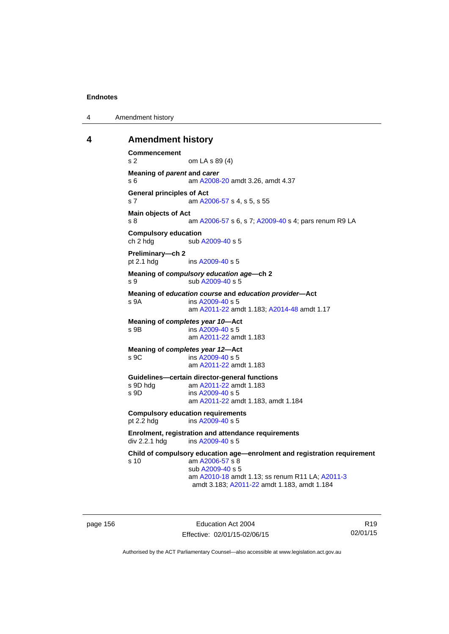4 Amendment history

## **4 Amendment history**

```
Commencement 
s 2 om LA s 89 (4) 
Meaning of parent and carer 
s 6 am A2008-20 amdt 3.26, amdt 4.37 
General principles of Act 
s 7 am A2006-57 s 4, s 5, s 55
Main objects of Act 
 A2006-57A2009-40 s 4; pars renum R9 LA
Compulsory education 
A2009-40 s 5
Preliminary—ch 2 
A2009-40 s 5
Meaning of compulsory education age—ch 2 
s 9 sub A2009-40 s 5 
Meaning of education course and education provider—Act 
s 9A ins A2009-40 s 5
                am A2011-22 amdt 1.183; A2014-48 amdt 1.17 
Meaning of completes year 10—Act 
s 9B ins A2009-40 s 5
                am A2011-22 amdt 1.183
Meaning of completes year 12—Act 
 A2009-40 s 5
                am A2011-22 amdt 1.183
Guidelines—certain director-general functions 
                A2011-22 amdt 1.183
s 9D ins A2009-40 s 5
                am A2011-22 amdt 1.183, amdt 1.184 
Compulsory education requirements 
pt 2.2 hdg ins A2009-40 s 5
Enrolment, registration and attendance requirements 
div 2.2.1 hdg ins A2009-40 s 5
Child of compulsory education age—enrolment and registration requirement 
s 10 am A2006-57 s 8 
                sub A2009-40 s 5 
                am A2010-18 amdt 1.13; ss renum R11 LA; A2011-3
                amdt 3.183; A2011-22 amdt 1.183, amdt 1.184
```
page 156 **Education Act 2004** Effective: 02/01/15-02/06/15

R19 02/01/15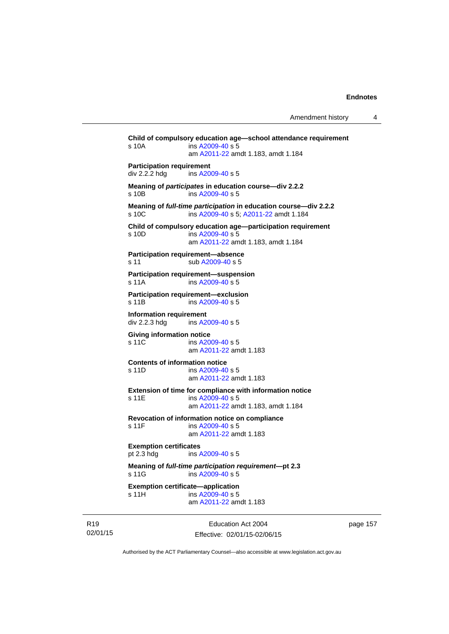```
Child of compulsory education age—school attendance requirement 
s 10A ins A2009-40 s 5
                am A2011-22 amdt 1.183, amdt 1.184 
Participation requirement 
div 2.2.2 hdg ins A2009-40 s 5
Meaning of participates in education course—div 2.2.2 
s 10B ins A2009-40 s 5
Meaning of full-time participation in education course—div 2.2.2 
A2009-40 A2011-22 amdt 1.184
Child of compulsory education age—participation requirement 
s 10D ins A2009-40 s 5
                am A2011-22 amdt 1.183, amdt 1.184 
Participation requirement—absence 
A2009-40 s 5
Participation requirement—suspension 
s 11A ins A2009-40 s 5
Participation requirement—exclusion 
s 11B ins A2009-40 s 5
Information requirement 
div 2.2.3 hdg ins A2009-40 s 5
Giving information notice 
A2009-40 s 5
                am A2011-22 amdt 1.183
Contents of information notice 
s 11D ins A2009-40 s 5
                am A2011-22 amdt 1.183
Extension of time for compliance with information notice 
A2009-40 s 5
                am A2011-22 amdt 1.183, amdt 1.184 
Revocation of information notice on compliance 
A2009-40 s 5
                am A2011-22 amdt 1.183
Exemption certificates 
pt 2.3 hdg ins A2009-40 s 5
Meaning of full-time participation requirement—pt 2.3 
 A2009-40 s 5
Exemption certificate—application 
A2009-40 s 5
                am A2011-22 amdt 1.183
```
R19 02/01/15

Education Act 2004 Effective: 02/01/15-02/06/15 page 157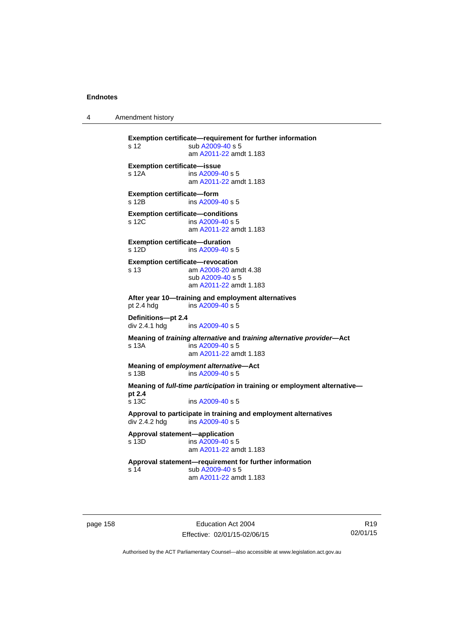4 Amendment history

**Exemption certificate—requirement for further information**  s 12 sub [A2009-40](http://www.legislation.act.gov.au/a/2009-40) s 5 am [A2011-22](http://www.legislation.act.gov.au/a/2011-22) amdt 1.183 **Exemption certificate—issue**  s 12A ins [A2009-40](http://www.legislation.act.gov.au/a/2009-40) s 5 am [A2011-22](http://www.legislation.act.gov.au/a/2011-22) amdt 1.183 **Exemption certificate—form**  s 12B ins [A2009-40](http://www.legislation.act.gov.au/a/2009-40) s 5 **Exemption certificate—conditions**  s 12C ins [A2009-40](http://www.legislation.act.gov.au/a/2009-40) s 5 am [A2011-22](http://www.legislation.act.gov.au/a/2011-22) amdt 1.183 **Exemption certificate—duration**  s 12D ins [A2009-40](http://www.legislation.act.gov.au/a/2009-40) s 5 **Exemption certificate—revocation**  s 13 am [A2008-20](http://www.legislation.act.gov.au/a/2008-20) amdt 4.38 sub [A2009-40](http://www.legislation.act.gov.au/a/2009-40) s 5 am [A2011-22](http://www.legislation.act.gov.au/a/2011-22) amdt 1.183 **After year 10—training and employment alternatives**  pt 2.4 hdg ins [A2009-40](http://www.legislation.act.gov.au/a/2009-40) s 5 **Definitions—pt 2.4**  ins [A2009-40](http://www.legislation.act.gov.au/a/2009-40) s 5 **Meaning of** *training alternative* **and** *training alternative provider***—Act**  s 13A ins [A2009-40](http://www.legislation.act.gov.au/a/2009-40) s 5 am [A2011-22](http://www.legislation.act.gov.au/a/2011-22) amdt 1.183 **Meaning of** *employment alternative***—Act**  s 13B ins [A2009-40](http://www.legislation.act.gov.au/a/2009-40) s 5 **Meaning of** *full-time participation* **in training or employment alternative pt 2.4**  s 13C ins [A2009-40](http://www.legislation.act.gov.au/a/2009-40) s 5 **Approval to participate in training and employment alternatives**  div 2.4.2 hdg ins [A2009-40](http://www.legislation.act.gov.au/a/2009-40) s 5 **Approval statement—application**   $ins A2009-40 s 5$  $ins A2009-40 s 5$  $ins A2009-40 s 5$  am [A2011-22](http://www.legislation.act.gov.au/a/2011-22) amdt 1.183 **Approval statement—requirement for further information**  s 14 sub [A2009-40](http://www.legislation.act.gov.au/a/2009-40) s 5 am [A2011-22](http://www.legislation.act.gov.au/a/2011-22) amdt 1.183

page 158 Education Act 2004 Effective: 02/01/15-02/06/15

R19 02/01/15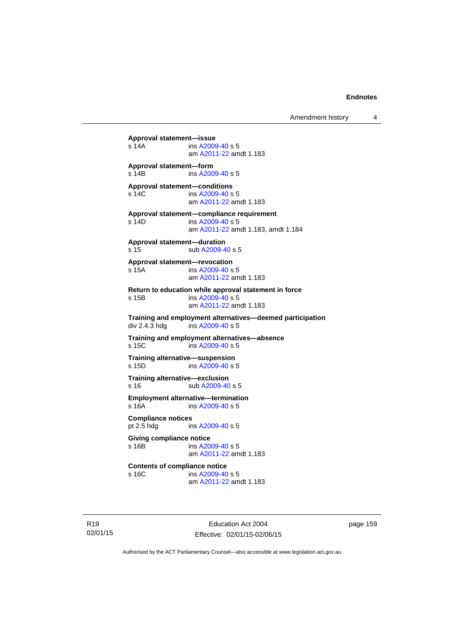**Approval statement—issue**  s 14A ins [A2009-40](http://www.legislation.act.gov.au/a/2009-40) s 5 am [A2011-22](http://www.legislation.act.gov.au/a/2011-22) amdt 1.183 **Approval statement—form**  s 14B ins [A2009-40](http://www.legislation.act.gov.au/a/2009-40) s 5 **Approval statement—conditions**  s 14C ins [A2009-40](http://www.legislation.act.gov.au/a/2009-40) s 5 am [A2011-22](http://www.legislation.act.gov.au/a/2011-22) amdt 1.183 **Approval statement—compliance requirement**  s 14D ins [A2009-40](http://www.legislation.act.gov.au/a/2009-40) s 5 am [A2011-22](http://www.legislation.act.gov.au/a/2011-22) amdt 1.183, amdt 1.184 **Approval statement—duration**  s 15 sub [A2009-40](http://www.legislation.act.gov.au/a/2009-40) s 5 **Approval statement—revocation**  s 15A ins [A2009-40](http://www.legislation.act.gov.au/a/2009-40) s 5 am [A2011-22](http://www.legislation.act.gov.au/a/2011-22) amdt 1.183 **Return to education while approval statement in force**  s 15B ins [A2009-40](http://www.legislation.act.gov.au/a/2009-40) s 5 am [A2011-22](http://www.legislation.act.gov.au/a/2011-22) amdt 1.183 **Training and employment alternatives—deemed participation**   $ins$  [A2009-40](http://www.legislation.act.gov.au/a/2009-40) s 5 **Training and employment alternatives—absence**  s 15C ins [A2009-40](http://www.legislation.act.gov.au/a/2009-40) s 5 **Training alternative—suspension**<br>s 15D **ins A2009-40 s** 5  $ins A2009-40 s 5$  $ins A2009-40 s 5$  $ins A2009-40 s 5$ **Training alternative—exclusion**  s 16 sub [A2009-40](http://www.legislation.act.gov.au/a/2009-40) s 5 **Employment alternative—termination**  s 16A ins [A2009-40](http://www.legislation.act.gov.au/a/2009-40) s 5 **Compliance notices**  pt 2.5 hdg ins [A2009-40](http://www.legislation.act.gov.au/a/2009-40) s 5 **Giving compliance notice**  s 16B ins [A2009-40](http://www.legislation.act.gov.au/a/2009-40) s 5 am [A2011-22](http://www.legislation.act.gov.au/a/2011-22) amdt 1.183 **Contents of compliance notice**<br>s 16C ins A2009-40 ins [A2009-40](http://www.legislation.act.gov.au/a/2009-40) s 5

am [A2011-22](http://www.legislation.act.gov.au/a/2011-22) amdt 1.183

R19 02/01/15

Education Act 2004 Effective: 02/01/15-02/06/15 page 159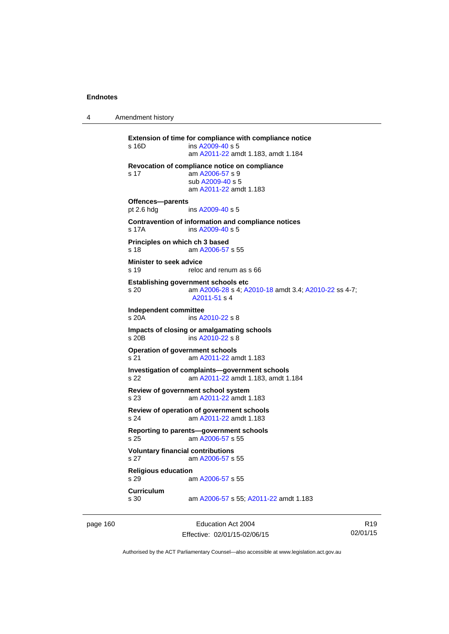4 Amendment history

**Extension of time for compliance with compliance notice**  s 16D ins [A2009-40](http://www.legislation.act.gov.au/a/2009-40) s 5 am [A2011-22](http://www.legislation.act.gov.au/a/2011-22) amdt 1.183, amdt 1.184 **Revocation of compliance notice on compliance**  s 17 am [A2006-57](http://www.legislation.act.gov.au/a/2006-57) s 9 sub [A2009-40](http://www.legislation.act.gov.au/a/2009-40) s 5 am [A2011-22](http://www.legislation.act.gov.au/a/2011-22) amdt 1.183 **Offences—parents**  pt 2.6 hdg ins [A2009-40](http://www.legislation.act.gov.au/a/2009-40) s 5 **Contravention of information and compliance notices**  s 17A ins [A2009-40](http://www.legislation.act.gov.au/a/2009-40) s 5 **Principles on which ch 3 based**  s 18 am [A2006-57](http://www.legislation.act.gov.au/a/2006-57) s 55 **Minister to seek advice**  s 19 reloc and renum as s 66 **Establishing government schools etc**  s 20 am [A2006-28](http://www.legislation.act.gov.au/a/2006-28) s 4; [A2010-18](http://www.legislation.act.gov.au/a/2010-18) amdt 3.4; [A2010-22](http://www.legislation.act.gov.au/a/2010-22) ss 4-7; [A2011-51](http://www.legislation.act.gov.au/a/2011-51) s 4 **Independent committee**  ins [A2010-22](http://www.legislation.act.gov.au/a/2010-22) s 8 **Impacts of closing or amalgamating schools**  s 20B ins [A2010-22](http://www.legislation.act.gov.au/a/2010-22) s 8 **Operation of government schools**  s 21 am [A2011-22](http://www.legislation.act.gov.au/a/2011-22) amdt 1.183 **Investigation of complaints—government schools**  s 22 am [A2011-22](http://www.legislation.act.gov.au/a/2011-22) amdt 1.183, amdt 1.184 **Review of government school system**  s 23 am [A2011-22](http://www.legislation.act.gov.au/a/2011-22) amdt 1.183 **Review of operation of government schools**  s 24 am [A2011-22](http://www.legislation.act.gov.au/a/2011-22) amdt 1.183 **Reporting to parents—government schools**  s 25 am [A2006-57](http://www.legislation.act.gov.au/a/2006-57) s 55 **Voluntary financial contributions**  s 27 am [A2006-57](http://www.legislation.act.gov.au/a/2006-57) s 55 **Religious education**  s 29 am [A2006-57](http://www.legislation.act.gov.au/a/2006-57) s 55 **Curriculum**  am [A2006-57](http://www.legislation.act.gov.au/a/2006-57) s 55; [A2011-22](http://www.legislation.act.gov.au/a/2011-22) amdt 1.183

page 160 Education Act 2004 Effective: 02/01/15-02/06/15

R19 02/01/15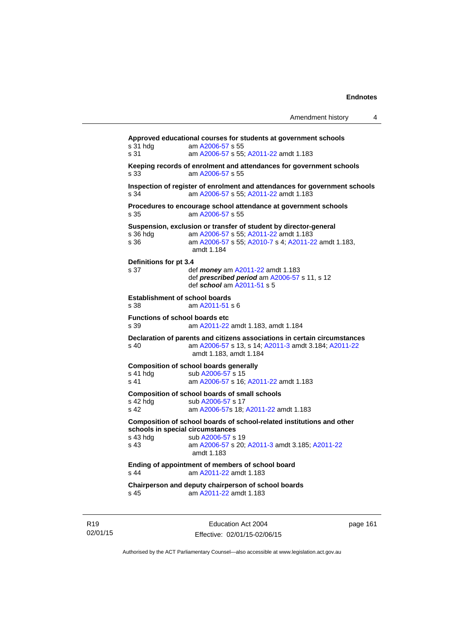| Amendment history |  |  |
|-------------------|--|--|
|-------------------|--|--|

**Approved educational courses for students at government schools**  s 31 hdg am [A2006-57](http://www.legislation.act.gov.au/a/2006-57) s 55 s 31 am [A2006-57](http://www.legislation.act.gov.au/a/2006-57) s 55; [A2011-22](http://www.legislation.act.gov.au/a/2011-22) amdt 1.183 **Keeping records of enrolment and attendances for government schools**  s 33 am [A2006-57](http://www.legislation.act.gov.au/a/2006-57) s 55 **Inspection of register of enrolment and attendances for government schools**  s 34 am [A2006-57](http://www.legislation.act.gov.au/a/2006-57) s 55; [A2011-22](http://www.legislation.act.gov.au/a/2011-22) amdt 1.183 **Procedures to encourage school attendance at government schools**  s 35 am [A2006-57](http://www.legislation.act.gov.au/a/2006-57) s 55 **Suspension, exclusion or transfer of student by director-general** s 36 hdg am A2006-57 s 55; A2011-22 amdt 1.183 s 36 hdg am [A2006-57](http://www.legislation.act.gov.au/a/2006-57) s 55; [A2011-22](http://www.legislation.act.gov.au/a/2011-22) amdt 1.183 am [A2006-57](http://www.legislation.act.gov.au/a/2006-57) s 55; [A2010-7](http://www.legislation.act.gov.au/a/2010-7) s 4; [A2011-22](http://www.legislation.act.gov.au/a/2011-22) amdt 1.183, amdt 1.184 **Definitions for pt 3.4**  s 37 def *money* am [A2011-22](http://www.legislation.act.gov.au/a/2011-22) amdt 1.183 def *prescribed period* am [A2006-57](http://www.legislation.act.gov.au/a/2006-57) s 11, s 12 def *school* am [A2011-51](http://www.legislation.act.gov.au/a/2011-51) s 5 **Establishment of school boards**  s 38 am [A2011-51](http://www.legislation.act.gov.au/a/2011-51) s 6 **Functions of school boards etc**  s 39 am [A2011-22](http://www.legislation.act.gov.au/a/2011-22) amdt 1.183, amdt 1.184 **Declaration of parents and citizens associations in certain circumstances**  s 40 am [A2006-57](http://www.legislation.act.gov.au/a/2006-57) s 13, s 14; [A2011-3](http://www.legislation.act.gov.au/a/2011-3) amdt 3.184; [A2011-22](http://www.legislation.act.gov.au/a/2011-22) amdt 1.183, amdt 1.184 **Composition of school boards generally**  s 41 hdg sub [A2006-57](http://www.legislation.act.gov.au/a/2006-57) s 15 s 41 am [A2006-57](http://www.legislation.act.gov.au/a/2006-57) s 16; [A2011-22](http://www.legislation.act.gov.au/a/2011-22) amdt 1.183 **Composition of school boards of small schools**  s 42 hdg sub [A2006-57](http://www.legislation.act.gov.au/a/2006-57) s 17<br>s 42 am A2006-57 s 18: am [A2006-57](http://www.legislation.act.gov.au/a/2006-57)s 18; [A2011-22](http://www.legislation.act.gov.au/a/2011-22) amdt 1.183 **Composition of school boards of school-related institutions and other schools in special circumstances**  s 43 hdg sub [A2006-57](http://www.legislation.act.gov.au/a/2006-57) s 19 s 43 am [A2006-57](http://www.legislation.act.gov.au/a/2006-57) s 20; [A2011-3](http://www.legislation.act.gov.au/a/2011-3) amdt 3.185; [A2011-22](http://www.legislation.act.gov.au/a/2011-22) amdt 1.183 **Ending of appointment of members of school board**  s 44 am [A2011-22](http://www.legislation.act.gov.au/a/2011-22) amdt 1.183 **Chairperson and deputy chairperson of school boards**  s 45 am [A2011-22](http://www.legislation.act.gov.au/a/2011-22) amdt 1.183

R19 02/01/15

Education Act 2004 Effective: 02/01/15-02/06/15 page 161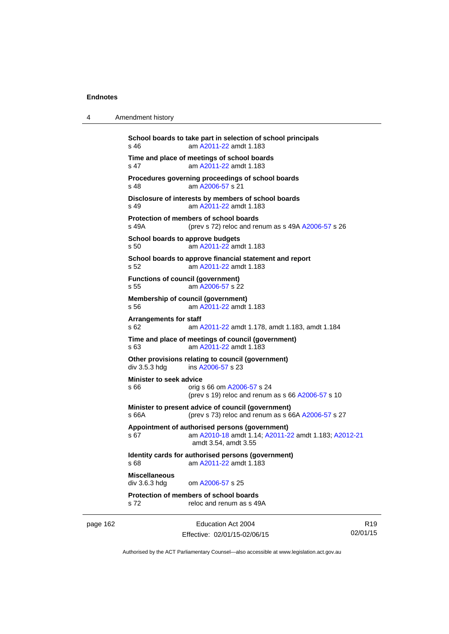4 Amendment history

| page 162 |                                                  | Education Act 2004                                                                                                             | R19 |
|----------|--------------------------------------------------|--------------------------------------------------------------------------------------------------------------------------------|-----|
|          | s 72                                             | Protection of members of school boards<br>reloc and renum as s 49A                                                             |     |
|          | <b>Miscellaneous</b><br>div 3.6.3 hdg            | om A2006-57 s 25                                                                                                               |     |
|          |                                                  | Identity cards for authorised persons (government)<br>s 68 <b>am A2011-22</b> amdt 1.183                                       |     |
|          | s 67                                             | Appointment of authorised persons (government)<br>am A2010-18 amdt 1.14; A2011-22 amdt 1.183; A2012-21<br>amdt 3.54, amdt 3.55 |     |
|          | s 66A                                            | Minister to present advice of council (government)<br>(prev s 73) reloc and renum as s 66A A2006-57 s 27                       |     |
|          | <b>Minister to seek advice</b><br>s 66           | orig s 66 om A2006-57 s 24<br>(prev s 19) reloc and renum as s 66 A2006-57 s 10                                                |     |
|          | div 3.5.3 hdg                                    | Other provisions relating to council (government)<br>ins A2006-57 s 23                                                         |     |
|          | s 63                                             | Time and place of meetings of council (government)<br>am A2011-22 amdt 1.183                                                   |     |
|          | <b>Arrangements for staff</b><br>s 62            | am A2011-22 amdt 1.178, amdt 1.183, amdt 1.184                                                                                 |     |
|          | s 56                                             | Membership of council (government)<br>am A2011-22 amdt 1.183                                                                   |     |
|          | <b>Functions of council (government)</b><br>s 55 | am A2006-57 s 22                                                                                                               |     |
|          | s 52                                             | School boards to approve financial statement and report<br>am A2011-22 amdt 1.183                                              |     |
|          | School boards to approve budgets<br>s 50         | am A2011-22 amdt 1.183                                                                                                         |     |
|          | s 49A                                            | Protection of members of school boards<br>(prev s 72) reloc and renum as s 49A A2006-57 s 26                                   |     |
|          | s 49                                             | Disclosure of interests by members of school boards<br>am A2011-22 amdt 1.183                                                  |     |
|          | s 48                                             | Procedures governing proceedings of school boards<br>am A2006-57 s 21                                                          |     |
|          | s 47                                             | Time and place of meetings of school boards<br>am A2011-22 amdt 1.183                                                          |     |
|          | s 46                                             | School boards to take part in selection of school principals<br>am A2011-22 amdt 1.183                                         |     |
|          |                                                  |                                                                                                                                |     |

Authorised by the ACT Parliamentary Counsel—also accessible at www.legislation.act.gov.au

02/01/15

Effective: 02/01/15-02/06/15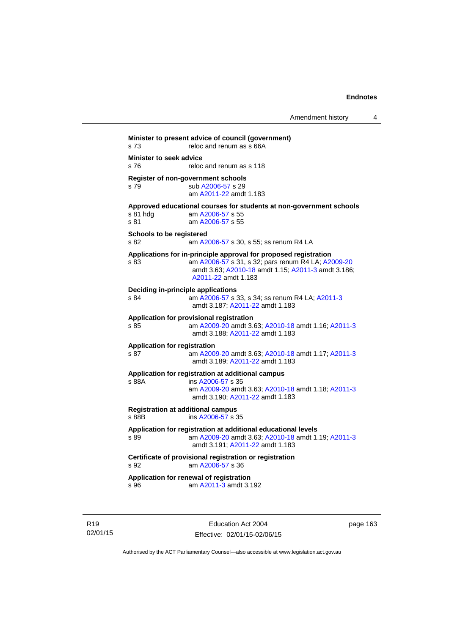| s 73                           | reloc and renum as s 66A                                                              |
|--------------------------------|---------------------------------------------------------------------------------------|
| <b>Minister to seek advice</b> |                                                                                       |
| s 76                           | reloc and renum as s 118                                                              |
|                                | Register of non-government schools                                                    |
| s 79                           | sub A2006-57 s 29                                                                     |
|                                | am A2011-22 amdt 1.183                                                                |
|                                | Approved educational courses for students at non-government schools                   |
| s 81 hdg                       | am A2006-57 s 55                                                                      |
| s 81                           | am A2006-57 s 55                                                                      |
|                                | Schools to be registered                                                              |
| s 82                           | am A2006-57 s 30, s 55; ss renum R4 LA                                                |
|                                | Applications for in-principle approval for proposed registration                      |
| s 83                           | am A2006-57 s 31, s 32; pars renum R4 LA; A2009-20                                    |
|                                | amdt 3.63; A2010-18 amdt 1.15; A2011-3 amdt 3.186;                                    |
|                                | A2011-22 amdt 1.183                                                                   |
|                                | Deciding in-principle applications                                                    |
| s 84                           | am A2006-57 s 33, s 34; ss renum R4 LA; A2011-3                                       |
|                                | amdt 3.187; A2011-22 amdt 1.183                                                       |
|                                | Application for provisional registration                                              |
| s 85                           | am A2009-20 amdt 3.63; A2010-18 amdt 1.16; A2011-3                                    |
|                                | amdt 3.188; A2011-22 amdt 1.183                                                       |
|                                | <b>Application for registration</b>                                                   |
| s 87                           | am A2009-20 amdt 3.63; A2010-18 amdt 1.17; A2011-3                                    |
|                                | amdt 3.189; A2011-22 amdt 1.183                                                       |
|                                | Application for registration at additional campus                                     |
| s 88A                          | ins A2006-57 s 35                                                                     |
|                                | am A2009-20 amdt 3.63; A2010-18 amdt 1.18; A2011-3<br>amdt 3.190; A2011-22 amdt 1.183 |
|                                |                                                                                       |
|                                | <b>Registration at additional campus</b>                                              |
| s 88B                          | ins A2006-57 s 35                                                                     |
|                                | Application for registration at additional educational levels                         |
| s 89                           | am A2009-20 amdt 3.63; A2010-18 amdt 1.19; A2011-3                                    |
|                                | amdt 3.191; A2011-22 amdt 1.183                                                       |
|                                | Certificate of provisional registration or registration                               |
| s 92                           | am A2006-57 s 36                                                                      |
|                                | Application for renewal of registration                                               |
| s 96                           | am A2011-3 amdt 3.192                                                                 |

R19 02/01/15

Education Act 2004 Effective: 02/01/15-02/06/15 page 163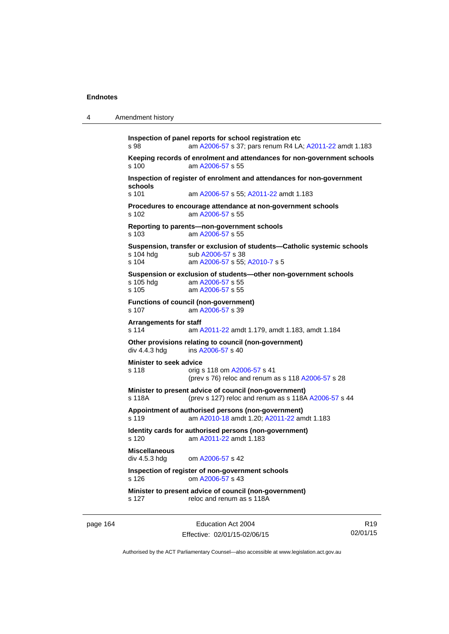| 4 | Amendment history |
|---|-------------------|
|   |                   |

```
Inspection of panel reports for school registration etc 
s 98 am A2006-57 s 37; pars renum R4 LA; A2011-22 amdt 1.183 
Keeping records of enrolment and attendances for non-government schools s 100 am A2006-57 s 55
                 A2006-57 s 55
Inspection of register of enrolment and attendances for non-government 
schools 
s 101 am A2006-57 s 55; A2011-22 amdt 1.183 
Procedures to encourage attendance at non-government schools 
s 102 am A2006-57 s 55 
Reporting to parents—non-government schools 
s 103 am A2006-57 s 55 
Suspension, transfer or exclusion of students—Catholic systemic schools 
                A2006-57 s 38
s 104 am A2006-57 s 55; A2010-7 s 5 
Suspension or exclusion of students—other non-government schools 
                 A2006-57 s 55
s 105 am A2006-57 s 55 
Functions of council (non-government) 
s 107 am A2006-57 s 39 
Arrangements for staff 
s 114 am A2011-22 amdt 1.179, amdt 1.183, amdt 1.184 
Other provisions relating to council (non-government) 
A2006-57 s 40
Minister to seek advice 
s 118 orig s 118 om A2006-57 s 41 
                (prev s 76) reloc and renum as s 118 A2006-57 s 28 
Minister to present advice of council (non-government) 
s 118A (prev s 127) reloc and renum as s 118A A2006-57 s 44 
Appointment of authorised persons (non-government) 
s 119 am A2010-18 amdt 1.20; A2011-22 amdt 1.183 
Identity cards for authorised persons (non-government) 
s 120 am A2011-22 amdt 1.183
Miscellaneous 
div 4.5.3 hdg om A2006-57 s 42 
Inspection of register of non-government schools 
s 126 om A2006-57 s 43 
Minister to present advice of council (non-government) 
s 127 reloc and renum as s 118A
```
page 164 Education Act 2004 Effective: 02/01/15-02/06/15

R19 02/01/15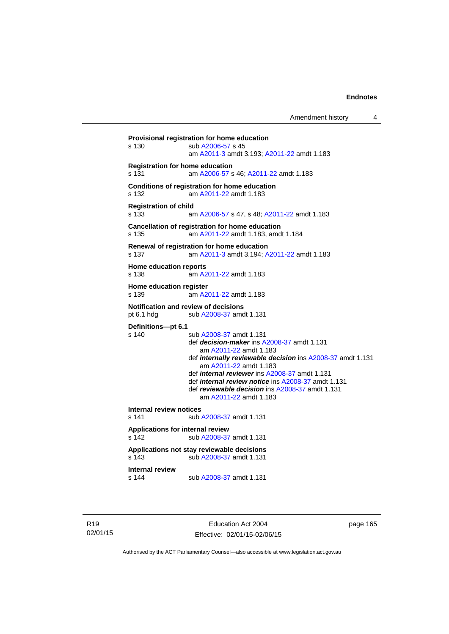```
Provisional registration for home education 
s 130 sub A2006-57 s 45 
                 am A2011-3 amdt 3.193; A2011-22 amdt 1.183 
Registration for home education 
s 131 am A2006-57 s 46; A2011-22 amdt 1.183 
Conditions of registration for home education 
s 132 am A2011-22 amdt 1.183
Registration of child 
s 133 am A2006-57 s 47, s 48; A2011-22 amdt 1.183 
Cancellation of registration for home education 
s 135 am A2011-22 amdt 1.183, amdt 1.184 
Renewal of registration for home education 
s 137 am A2011-3 amdt 3.194; A2011-22 amdt 1.183 
Home education reports 
s 138 am A2011-22 amdt 1.183
Home education register 
s 139 am A2011-22 amdt 1.183
Notification and review of decisions 
pt 6.1 hdg sub A2008-37 amdt 1.131 
Definitions—pt 6.1 
                 A2008-37 amdt 1.131
                  def decision-maker ins A2008-37 amdt 1.131 
                     am A2011-22 amdt 1.183
                  def internally reviewable decision ins A2008-37 amdt 1.131 
                     am A2011-22 amdt 1.183
                  def internal reviewer ins A2008-37 amdt 1.131 
                  def internal review notice ins A2008-37 amdt 1.131 
                  def reviewable decision ins A2008-37 amdt 1.131 
                     am A2011-22 amdt 1.183
Internal review notices 
                A2008-37 amdt 1.131
Applications for internal review 
s 142 sub A2008-37 amdt 1.131 
Applications not stay reviewable decisions 
s 143 sub A2008-37 amdt 1.131 
Internal review 
s 144 sub A2008-37 amdt 1.131
```
R19 02/01/15

Education Act 2004 Effective: 02/01/15-02/06/15 page 165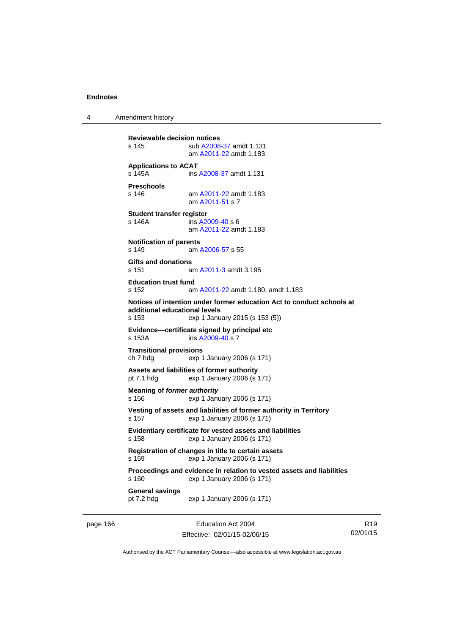4 Amendment history

```
Reviewable decision notices 
s 145 sub A2008-37 amdt 1.131 
                 am A2011-22 amdt 1.183
Applications to ACAT 
s 145A ins A2008-37 amdt 1.131 
Preschools 
s 146 am A2011-22 amdt 1.183
                 om A2011-51 s 7 
Student transfer register 
s 146A ins A2009-40 s 6
                 am A2011-22 amdt 1.183
Notification of parents 
s 149 am A2006-57 s 55 
Gifts and donations 
s 151 am A2011-3 amdt 3.195 
Education trust fund 
s 152 am A2011-22 amdt 1.180, amdt 1.183 
Notices of intention under former education Act to conduct schools at 
additional educational levels 
                exp 1 January 2015 (s 153 (5))
Evidence—certificate signed by principal etc 
s 153A ins A2009-40 s 7
Transitional provisions 
ch 7 hdg exp 1 January 2006 (s 171) 
Assets and liabilities of former authority 
pt 7.1 hdg exp 1 January 2006 (s 171) 
Meaning of former authority
s 156 exp 1 January 2006 (s 171) 
Vesting of assets and liabilities of former authority in Territory 
s 157 exp 1 January 2006 (s 171) 
Evidentiary certificate for vested assets and liabilities 
s 158 exp 1 January 2006 (s 171) 
Registration of changes in title to certain assets 
s 159 exp 1 January 2006 (s 171) 
Proceedings and evidence in relation to vested assets and liabilities 
s 160 exp 1 January 2006 (s 171) 
General savings 
                 exp 1 January 2006 (s 171)
```
page 166 Education Act 2004 Effective: 02/01/15-02/06/15

R19 02/01/15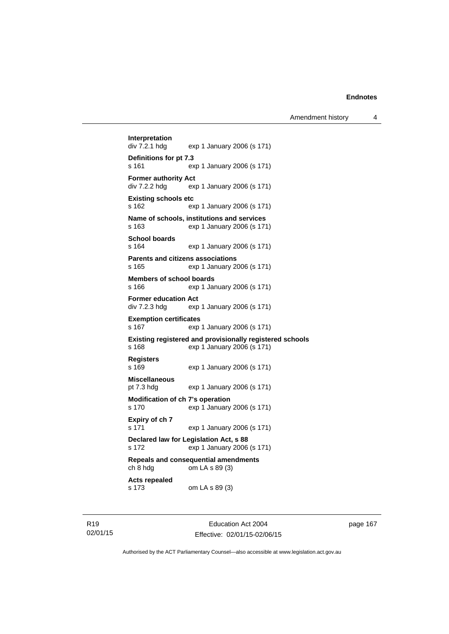**Interpretation**  exp 1 January 2006 (s 171) **Definitions for pt 7.3**  s 161 exp 1 January 2006 (s 171) **Former authority Act**  div 7.2.2 hdg exp 1 January 2006 (s 171) **Existing schools etc**  s 162 exp 1 January 2006 (s 171) **Name of schools, institutions and services**  s 163 exp 1 January 2006 (s 171) **School boards**  s 164 exp 1 January 2006 (s 171) **Parents and citizens associations**  s 165 exp 1 January 2006 (s 171) **Members of school boards**  s 166 exp 1 January 2006 (s 171) **Former education Act**  div 7.2.3 hdg exp 1 January 2006 (s 171) **Exemption certificates**  s 167 exp 1 January 2006 (s 171) **Existing registered and provisionally registered schools**  s 168 exp 1 January 2006 (s 171) **Registers**  s 169 exp 1 January 2006 (s 171) **Miscellaneous**  pt 7.3 hdg exp 1 January 2006 (s 171) **Modification of ch 7's operation**  s 170 exp 1 January 2006 (s 171) **Expiry of ch 7**  s 171 exp 1 January 2006 (s 171) **Declared law for Legislation Act, s 88**  s 172 exp 1 January 2006 (s 171) **Repeals and consequential amendments**  ch 8 hdg om LA s 89 (3) **Acts repealed**  s 173 om LA s 89 (3)

R19 02/01/15

Education Act 2004 Effective: 02/01/15-02/06/15 page 167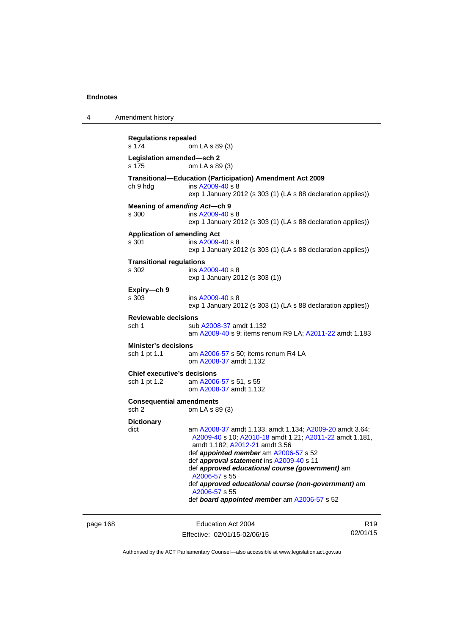4 Amendment history

**Regulations repealed**  s 174 om LA s 89 (3) **Legislation amended—sch 2**  om LA s 89 (3) **Transitional—Education (Participation) Amendment Act 2009**  ch 9 hdg ins [A2009-40](http://www.legislation.act.gov.au/a/2009-40) s 8 exp 1 January 2012 (s 303 (1) (LA s 88 declaration applies)) **Meaning of** *amending Act***—ch 9**  s 300 ins [A2009-40](http://www.legislation.act.gov.au/a/2009-40) s 8 exp 1 January 2012 (s 303 (1) (LA s 88 declaration applies)) **Application of amending Act**  s 301 ins [A2009-40](http://www.legislation.act.gov.au/a/2009-40) s 8 exp 1 January 2012 (s 303 (1) (LA s 88 declaration applies)) **Transitional regulations**  s 302 ins [A2009-40](http://www.legislation.act.gov.au/a/2009-40) s 8 exp 1 January 2012 (s 303 (1)) **Expiry—ch 9**  s 303 ins [A2009-40](http://www.legislation.act.gov.au/a/2009-40) s 8 exp 1 January 2012 (s 303 (1) (LA s 88 declaration applies)) **Reviewable decisions**  sub [A2008-37](http://www.legislation.act.gov.au/a/2008-37) amdt 1.132 am [A2009-40](http://www.legislation.act.gov.au/a/2009-40) s 9; items renum R9 LA; [A2011-22](http://www.legislation.act.gov.au/a/2011-22) amdt 1.183 **Minister's decisions**  sch 1 pt 1.1 am [A2006-57](http://www.legislation.act.gov.au/a/2006-57) s 50; items renum R4 LA om [A2008-37](http://www.legislation.act.gov.au/a/2008-37) amdt 1.132 **Chief executive's decisions**  sch 1 pt 1.2 am [A2006-57](http://www.legislation.act.gov.au/a/2006-57) s 51, s 55 om [A2008-37](http://www.legislation.act.gov.au/a/2008-37) amdt 1.132 **Consequential amendments**  sch 2 om LA s 89 (3) **Dictionary**  dict am [A2008-37](http://www.legislation.act.gov.au/a/2008-37) amdt 1.133, amdt 1.134; [A2009-20](http://www.legislation.act.gov.au/a/2009-20) amdt 3.64; [A2009-40](http://www.legislation.act.gov.au/a/2009-40) s 10; [A2010-18](http://www.legislation.act.gov.au/a/2010-18) amdt 1.21; [A2011-22](http://www.legislation.act.gov.au/a/2011-22) amdt 1.181, amdt 1.182; [A2012-21](http://www.legislation.act.gov.au/a/2012-21) amdt 3.56 def *appointed member* am [A2006-57](http://www.legislation.act.gov.au/a/2006-57) s 52 def *approval statement* ins [A2009-40](http://www.legislation.act.gov.au/a/2009-40) s 11 def *approved educational course (government)* am [A2006-57](http://www.legislation.act.gov.au/a/2006-57) s 55 def *approved educational course (non-government)* am [A2006-57](http://www.legislation.act.gov.au/a/2006-57) s 55 def *board appointed member* am [A2006-57](http://www.legislation.act.gov.au/a/2006-57) s 52

page 168 Education Act 2004 Effective: 02/01/15-02/06/15

R19 02/01/15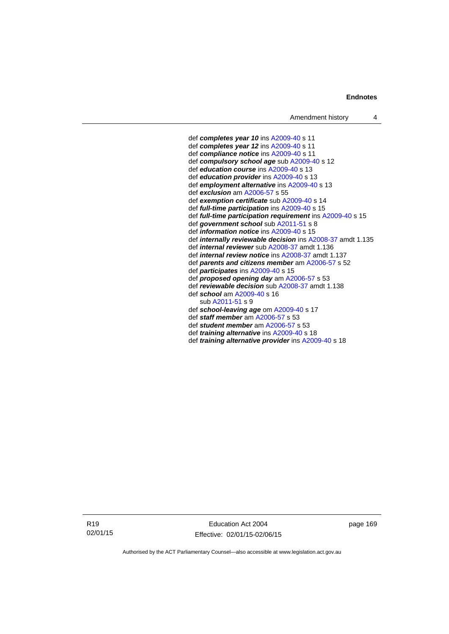#### **Endnotes**

 def *completes year 10* ins [A2009-40](http://www.legislation.act.gov.au/a/2009-40) s 11 def *completes year 12* ins [A2009-40](http://www.legislation.act.gov.au/a/2009-40) s 11 def *compliance notice* ins [A2009-40](http://www.legislation.act.gov.au/a/2009-40) s 11 def *compulsory school age* sub [A2009-40](http://www.legislation.act.gov.au/a/2009-40) s 12 def *education course* ins [A2009-40](http://www.legislation.act.gov.au/a/2009-40) s 13 def *education provider* ins [A2009-40](http://www.legislation.act.gov.au/a/2009-40) s 13 def *employment alternative* ins [A2009-40](http://www.legislation.act.gov.au/a/2009-40) s 13 def *exclusion* am [A2006-57](http://www.legislation.act.gov.au/a/2006-57) s 55 def *exemption certificate* sub [A2009-40](http://www.legislation.act.gov.au/a/2009-40) s 14 def *full-time participation* ins [A2009-40](http://www.legislation.act.gov.au/a/2009-40) s 15 def *full-time participation requirement* ins [A2009-40](http://www.legislation.act.gov.au/a/2009-40) s 15 def *government school* sub [A2011-51](http://www.legislation.act.gov.au/a/2011-51) s 8 def *information notice* ins [A2009-40](http://www.legislation.act.gov.au/a/2009-40) s 15 def *internally reviewable decision* ins [A2008-37](http://www.legislation.act.gov.au/a/2008-37) amdt 1.135 def *internal reviewer* sub [A2008-37](http://www.legislation.act.gov.au/a/2008-37) amdt 1.136 def *internal review notice* ins [A2008-37](http://www.legislation.act.gov.au/a/2008-37) amdt 1.137 def *parents and citizens member* am [A2006-57](http://www.legislation.act.gov.au/a/2006-57) s 52 def *participates* ins [A2009-40](http://www.legislation.act.gov.au/a/2009-40) s 15 def *proposed opening day* am [A2006-57](http://www.legislation.act.gov.au/a/2006-57) s 53 def *reviewable decision* sub [A2008-37](http://www.legislation.act.gov.au/a/2008-37) amdt 1.138 def *school* am [A2009-40](http://www.legislation.act.gov.au/a/2009-40) s 16 sub [A2011-51](http://www.legislation.act.gov.au/a/2011-51) s 9 def *school-leaving age* om [A2009-40](http://www.legislation.act.gov.au/a/2009-40) s 17 def *staff member* am [A2006-57](http://www.legislation.act.gov.au/a/2006-57) s 53 def *student member* am [A2006-57](http://www.legislation.act.gov.au/a/2006-57) s 53 def *training alternative* ins [A2009-40](http://www.legislation.act.gov.au/a/2009-40) s 18 def *training alternative provider* ins [A2009-40](http://www.legislation.act.gov.au/a/2009-40) s 18

R19 02/01/15

Education Act 2004 Effective: 02/01/15-02/06/15 page 169

Authorised by the ACT Parliamentary Counsel—also accessible at www.legislation.act.gov.au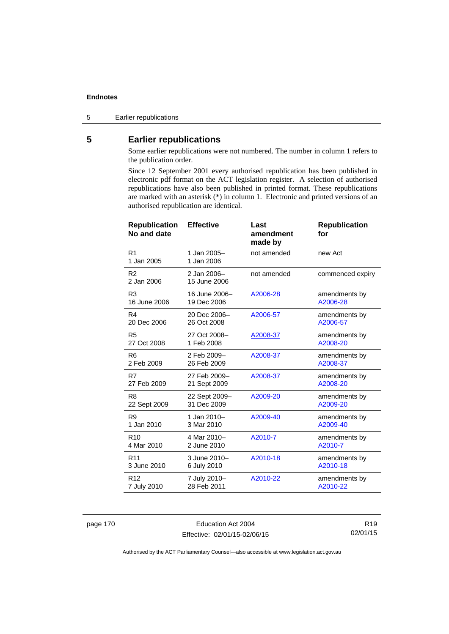### **Endnotes**

5 Earlier republications

# **5 Earlier republications**

Some earlier republications were not numbered. The number in column 1 refers to the publication order.

Since 12 September 2001 every authorised republication has been published in electronic pdf format on the ACT legislation register. A selection of authorised republications have also been published in printed format. These republications are marked with an asterisk (\*) in column 1. Electronic and printed versions of an authorised republication are identical.

| <b>Republication</b><br>No and date | <b>Effective</b>            | Last<br>amendment<br>made by | <b>Republication</b><br>for |
|-------------------------------------|-----------------------------|------------------------------|-----------------------------|
| R <sub>1</sub><br>1 Jan 2005        | 1 Jan 2005-<br>1 Jan 2006   | not amended                  | new Act                     |
| R <sub>2</sub><br>2 Jan 2006        | 2 Jan 2006-<br>15 June 2006 | not amended                  | commenced expiry            |
| R <sub>3</sub>                      | 16 June 2006-               | A2006-28                     | amendments by               |
| 16 June 2006                        | 19 Dec 2006                 |                              | A2006-28                    |
| R4                                  | 20 Dec 2006-                | A2006-57                     | amendments by               |
| 20 Dec 2006                         | 26 Oct 2008                 |                              | A2006-57                    |
| R <sub>5</sub>                      | 27 Oct 2008-                | A2008-37                     | amendments by               |
| 27 Oct 2008                         | 1 Feb 2008                  |                              | A2008-20                    |
| R <sub>6</sub>                      | 2 Feb 2009-                 | A2008-37                     | amendments by               |
| 2 Feb 2009                          | 26 Feb 2009                 |                              | A2008-37                    |
| R7                                  | 27 Feb 2009-                | A2008-37                     | amendments by               |
| 27 Feb 2009                         | 21 Sept 2009                |                              | A2008-20                    |
| R <sub>8</sub>                      | 22 Sept 2009-               | A2009-20                     | amendments by               |
| 22 Sept 2009                        | 31 Dec 2009                 |                              | A2009-20                    |
| R <sub>9</sub>                      | 1 Jan 2010-                 | A2009-40                     | amendments by               |
| 1 Jan 2010                          | 3 Mar 2010                  |                              | A2009-40                    |
| R <sub>10</sub>                     | 4 Mar 2010-                 | A2010-7                      | amendments by               |
| 4 Mar 2010                          | 2 June 2010                 |                              | A2010-7                     |
| R <sub>11</sub>                     | 3 June 2010-                | A2010-18                     | amendments by               |
| 3 June 2010                         | 6 July 2010                 |                              | A2010-18                    |
| R <sub>12</sub>                     | 7 July 2010-                | A2010-22                     | amendments by               |
| 7 July 2010                         | 28 Feb 2011                 |                              | A2010-22                    |

page 170 Education Act 2004 Effective: 02/01/15-02/06/15

R19 02/01/15

Authorised by the ACT Parliamentary Counsel—also accessible at www.legislation.act.gov.au